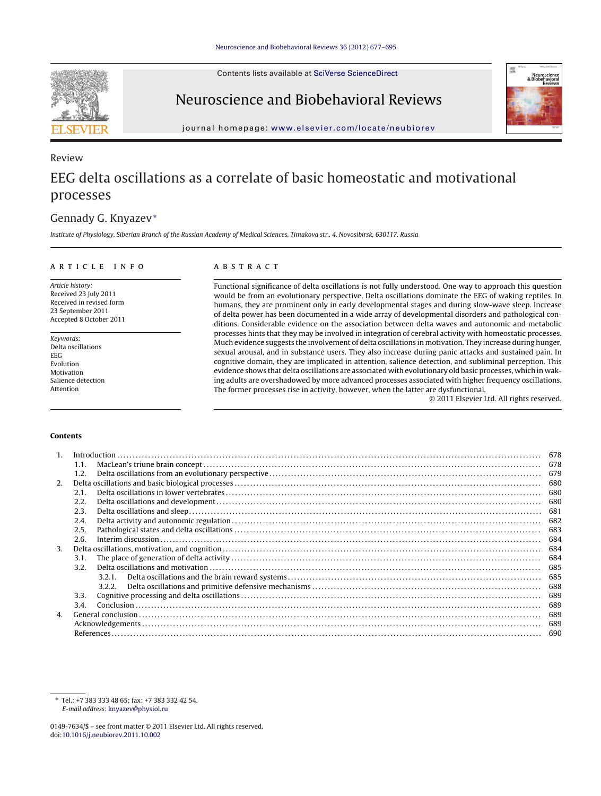Contents lists available at SciVerse [ScienceDirect](http://www.sciencedirect.com/science/journal/01497634)



Review

Neuroscience and Biobehavioral Reviews



journal homepage: [www.elsevier.com/locate/neubiorev](http://www.elsevier.com/locate/neubiorev)

# EEG delta oscillations as a correlate of basic homeostatic and motivational processes

# Gennady G. Knyazev<sup>∗</sup>

Institute of Physiology, Siberian Branch of the Russian Academy of Medical Sciences, Timakova str., 4, Novosibirsk, 630117, Russia

# a r t i c l e i n f o

Article history: Received 23 July 2011 Received in revised form 23 September 2011 Accepted 8 October 2011

Keywords: Delta oscillations EEG Evolution Motivation Salience detection Attention

# A B S T R A C T

Functional significance of delta oscillations is not fully understood. One way to approach this question would be from an evolutionary perspective. Delta oscillations dominate the EEG of waking reptiles. In humans, they are prominent only in early developmental stages and during slow-wave sleep. Increase of delta power has been documented in a wide array of developmental disorders and pathological conditions. Considerable evidence on the association between delta waves and autonomic and metabolic processes hints that they may be involved in integration of cerebral activity with homeostatic processes. Much evidence suggests the involvement of delta oscillations in motivation. They increase during hunger, sexual arousal, and in substance users. They also increase during panic attacks and sustained pain. In cognitive domain, they are implicated in attention, salience detection, and subliminal perception. This evidence shows that delta oscillations are associated with evolutionary old basic processes, which in waking adults are overshadowed by more advanced processes associated with higher frequency oscillations. The former processes rise in activity, however, when the latter are dysfunctional.

© 2011 Elsevier Ltd. All rights reserved.

#### **Contents**

| $\mathbf{1}$ . |      |        | 678 |
|----------------|------|--------|-----|
|                | 1.1. |        | 678 |
|                | 1.2. |        | 679 |
| 2.             |      |        | 680 |
|                | 2.1. |        | 680 |
|                | 2.2. |        | 680 |
|                | 2.3. |        | 681 |
|                | 2.4. |        | 682 |
|                | 2.5. |        | 683 |
|                | 2.6. |        | 684 |
| 3.             |      |        | 684 |
|                | 3.1. |        | 684 |
|                | 3.2. |        | 685 |
|                |      | 3.2.1. | 685 |
|                |      | 3.2.2. | 688 |
|                | 3.3. |        | 689 |
|                | 3.4. |        | 689 |
| 4.             |      |        | 689 |
|                |      |        | 689 |
|                |      |        | 690 |
|                |      |        |     |

<sup>∗</sup> Tel.: +7 383 333 48 65; fax: +7 383 332 42 54. E-mail address: [knyazev@physiol.ru](mailto:knyazev@physiol.ru)

<sup>0149-7634/\$</sup> – see front matter © 2011 Elsevier Ltd. All rights reserved. doi:[10.1016/j.neubiorev.2011.10.002](dx.doi.org/10.1016/j.neubiorev.2011.10.002)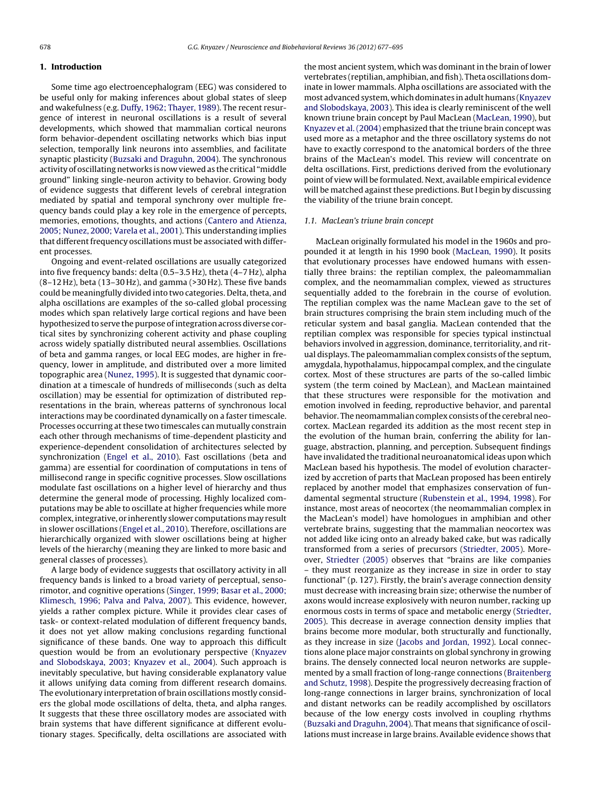#### **1. Introduction**

Some time ago electroencephalogram (EEG) was considered to be useful only for making inferences about global states of sleep and wakefulness (e.g. [Duffy,](#page-14-0) [1962;](#page-14-0) [Thayer,](#page-14-0) [1989\).](#page-14-0) The recent resurgence of interest in neuronal oscillations is a result of several developments, which showed that mammalian cortical neurons form behavior-dependent oscillating networks which bias input selection, temporally link neurons into assemblies, and facilitate synaptic plasticity ([Buzsaki](#page-13-0) [and](#page-13-0) [Draguhn,](#page-13-0) [2004\).](#page-13-0) The synchronous activity of oscillating networks is now viewed as the critical "middle ground" linking single-neuron activity to behavior. Growing body of evidence suggests that different levels of cerebral integration mediated by spatial and temporal synchrony over multiple frequency bands could play a key role in the emergence of percepts, memories, emotions, thoughts, and actions [\(Cantero](#page-13-0) [and](#page-13-0) [Atienza,](#page-13-0) [2005;](#page-13-0) [Nunez,](#page-13-0) [2000;](#page-13-0) [Varela](#page-13-0) et [al.,](#page-13-0) [2001\).](#page-13-0) This understanding implies that different frequency oscillations must be associated with different processes.

Ongoing and event-related oscillations are usually categorized into five frequency bands: delta (0.5–3.5 Hz), theta (4–7 Hz), alpha (8–12 Hz), beta (13–30 Hz), and gamma (>30 Hz). These five bands could be meaningfully divided into two categories. Delta, theta, and alpha oscillations are examples of the so-called global processing modes which span relatively large cortical regions and have been hypothesized to serve the purpose of integration across diverse cortical sites by synchronizing coherent activity and phase coupling across widely spatially distributed neural assemblies. Oscillations of beta and gamma ranges, or local EEG modes, are higher in frequency, lower in amplitude, and distributed over a more limited topographic area [\(Nunez,](#page-16-0) [1995\).](#page-16-0) It is suggested that dynamic coordination at a timescale of hundreds of milliseconds (such as delta oscillation) may be essential for optimization of distributed representations in the brain, whereas patterns of synchronous local interactions may be coordinated dynamically on a faster timescale. Processes occurring at these two timescales can mutually constrain each other through mechanisms of time-dependent plasticity and experience-dependent consolidation of architectures selected by synchronization [\(Engel](#page-14-0) et [al.,](#page-14-0) [2010\).](#page-14-0) Fast oscillations (beta and gamma) are essential for coordination of computations in tens of millisecond range in specific cognitive processes. Slow oscillations modulate fast oscillations on a higher level of hierarchy and thus determine the general mode of processing. Highly localized computations may be able to oscillate at higher frequencies while more complex,integrative, or inherently slower computationsmay result in slower oscillations [\(Engel](#page-14-0) et [al.,](#page-14-0) [2010\).](#page-14-0) Therefore, oscillations are hierarchically organized with slower oscillations being at higher levels of the hierarchy (meaning they are linked to more basic and general classes of processes).

A large body of evidence suggests that oscillatory activity in all frequency bands is linked to a broad variety of perceptual, sensorimotor, and cognitive operations [\(Singer,](#page-17-0) [1999;](#page-17-0) [Basar](#page-17-0) et [al.,](#page-17-0) [2000;](#page-17-0) [Klimesch,](#page-17-0) [1996;](#page-17-0) [Palva](#page-17-0) [and](#page-17-0) [Palva,](#page-17-0) [2007\).](#page-17-0) This evidence, however, yields a rather complex picture. While it provides clear cases of task- or context-related modulation of different frequency bands, it does not yet allow making conclusions regarding functional significance of these bands. One way to approach this difficult question would be from an evolutionary perspective [\(Knyazev](#page-15-0) [and](#page-15-0) [Slobodskaya,](#page-15-0) [2003;](#page-15-0) [Knyazev](#page-15-0) et [al.,](#page-15-0) [2004\).](#page-15-0) Such approach is inevitably speculative, but having considerable explanatory value it allows unifying data coming from different research domains. The evolutionary interpretation of brain oscillations mostly considers the global mode oscillations of delta, theta, and alpha ranges. It suggests that these three oscillatory modes are associated with brain systems that have different significance at different evolutionary stages. Specifically, delta oscillations are associated with

the most ancient system, which was dominant in the brain of lower vertebrates (reptilian, amphibian, and fish). Theta oscillations dominate in lower mammals. Alpha oscillations are associated with the most advanced system, which dominates in adult humans ([Knyazev](#page-15-0) [and](#page-15-0) [Slobodskaya,](#page-15-0) [2003\).](#page-15-0) This idea is clearly reminiscent of the well known triune brain concept by Paul MacLean ([MacLean,](#page-16-0) [1990\),](#page-16-0) but [Knyazev](#page-15-0) et [al.](#page-15-0) [\(2004\)](#page-15-0) emphasized that the triune brain concept was used more as a metaphor and the three oscillatory systems do not have to exactly correspond to the anatomical borders of the three brains of the MacLean's model. This review will concentrate on delta oscillations. First, predictions derived from the evolutionary point of view will be formulated. Next, available empirical evidence will be matched against these predictions. But I begin by discussing the viability of the triune brain concept.

#### 1.1. MacLean's triune brain concept

MacLean originally formulated his model in the 1960s and propounded it at length in his 1990 book ([MacLean,](#page-16-0) [1990\).](#page-16-0) It posits that evolutionary processes have endowed humans with essentially three brains: the reptilian complex, the paleomammalian complex, and the neomammalian complex, viewed as structures sequentially added to the forebrain in the course of evolution. The reptilian complex was the name MacLean gave to the set of brain structures comprising the brain stem including much of the reticular system and basal ganglia. MacLean contended that the reptilian complex was responsible for species typical instinctual behaviors involved in aggression, dominance, territoriality, and ritual displays. The paleomammalian complex consists of the septum, amygdala, hypothalamus, hippocampal complex, and the cingulate cortex. Most of these structures are parts of the so-called limbic system (the term coined by MacLean), and MacLean maintained that these structures were responsible for the motivation and emotion involved in feeding, reproductive behavior, and parental behavior. The neomammalian complex consists of the cerebral neocortex. MacLean regarded its addition as the most recent step in the evolution of the human brain, conferring the ability for language, abstraction, planning, and perception. Subsequent findings have invalidated the traditional neuroanatomical ideas upon which MacLean based his hypothesis. The model of evolution characterized by accretion of parts that MacLean proposed has been entirely replaced by another model that emphasizes conservation of fundamental segmental structure [\(Rubenstein](#page-17-0) et [al.,](#page-17-0) [1994,](#page-17-0) [1998\).](#page-17-0) For instance, most areas of neocortex (the neomammalian complex in the MacLean's model) have homologues in amphibian and other vertebrate brains, suggesting that the mammalian neocortex was not added like icing onto an already baked cake, but was radically transformed from a series of precursors ([Striedter,](#page-18-0) [2005\).](#page-18-0) Moreover, [Striedter](#page-18-0) [\(2005\)](#page-18-0) observes that "brains are like companies – they must reorganize as they increase in size in order to stay functional" (p. 127). Firstly, the brain's average connection density must decrease with increasing brain size; otherwise the number of axons would increase explosively with neuron number, racking up enormous costs in terms of space and metabolic energy ([Striedter,](#page-18-0) [2005\).](#page-18-0) This decrease in average connection density implies that brains become more modular, both structurally and functionally, as they increase in size [\(Jacobs](#page-15-0) [and](#page-15-0) [Jordan,](#page-15-0) [1992\).](#page-15-0) Local connections alone place major constraints on global synchrony in growing brains. The densely connected local neuron networks are supplemented by a small fraction of long-range connections [\(Braitenberg](#page-13-0) [and](#page-13-0) [Schutz,](#page-13-0) [1998\).](#page-13-0) Despite the progressively decreasing fraction of long-range connections in larger brains, synchronization of local and distant networks can be readily accomplished by oscillators because of the low energy costs involved in coupling rhythms [\(Buzsaki](#page-13-0) [and](#page-13-0) [Draguhn,](#page-13-0) [2004\).](#page-13-0) That means that significance of oscillations must increase in large brains. Available evidence shows that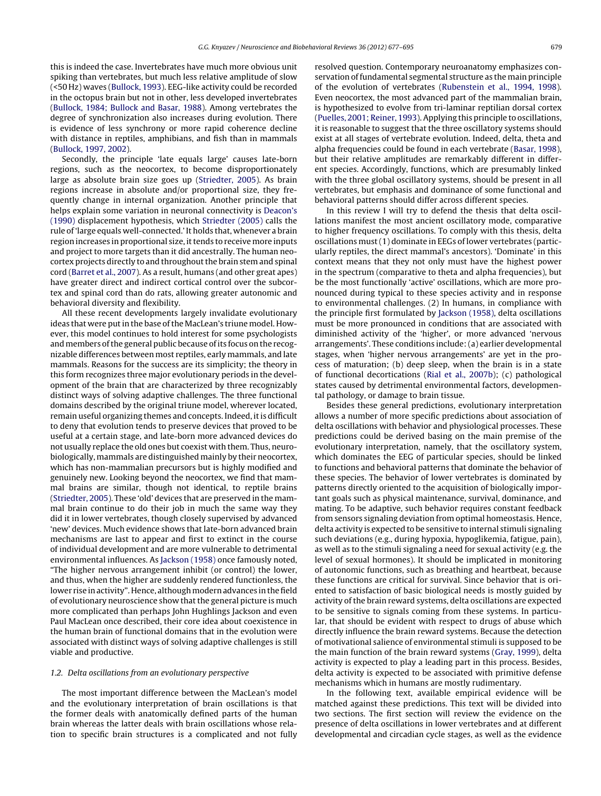this is indeed the case. Invertebrates have much more obvious unit spiking than vertebrates, but much less relative amplitude of slow (<50 Hz) waves ([Bullock,](#page-13-0) [1993\).](#page-13-0) EEG-like activity could be recorded in the octopus brain but not in other, less developed invertebrates ([Bullock,](#page-13-0) [1984;](#page-13-0) [Bullock](#page-13-0) [and](#page-13-0) [Basar,](#page-13-0) [1988\).](#page-13-0) Among vertebrates the degree of synchronization also increases during evolution. There is evidence of less synchrony or more rapid coherence decline with distance in reptiles, amphibians, and fish than in mammals ([Bullock,](#page-13-0) [1997,](#page-13-0) [2002\).](#page-13-0)

Secondly, the principle 'late equals large' causes late-born regions, such as the neocortex, to become disproportionately large as absolute brain size goes up [\(Striedter,](#page-18-0) [2005\).](#page-18-0) As brain regions increase in absolute and/or proportional size, they frequently change in internal organization. Another principle that helps explain some variation in neuronal connectivity is [Deacon's](#page-14-0) [\(1990\)](#page-14-0) displacement hypothesis, which [Striedter](#page-18-0) [\(2005\)](#page-18-0) calls the rule of'large equals well-connected.' It holds that, whenever a brain region increases in proportional size, it tends to receive more inputs and project to more targets than it did ancestrally. The human neocortex projects directly to and throughout the brain stem and spinal cord [\(Barret](#page-13-0) et [al.,](#page-13-0) [2007\).](#page-13-0) As a result, humans (and other great apes) have greater direct and indirect cortical control over the subcortex and spinal cord than do rats, allowing greater autonomic and behavioral diversity and flexibility.

All these recent developments largely invalidate evolutionary ideas that were put in the base of the MacLean's triune model. However, this model continues to hold interest for some psychologists and members of the general public because of its focus on the recognizable differences between most reptiles, early mammals, and late mammals. Reasons for the success are its simplicity; the theory in this form recognizes three major evolutionary periods in the development of the brain that are characterized by three recognizably distinct ways of solving adaptive challenges. The three functional domains described by the original triune model, wherever located, remain useful organizing themes and concepts. Indeed, it is difficult to deny that evolution tends to preserve devices that proved to be useful at a certain stage, and late-born more advanced devices do not usually replace the old ones but coexist with them. Thus, neurobiologically, mammals are distinguished mainly by their neocortex, which has non-mammalian precursors but is highly modified and genuinely new. Looking beyond the neocortex, we find that mammal brains are similar, though not identical, to reptile brains ([Striedter,](#page-18-0) [2005\).](#page-18-0) These 'old' devices that are preserved in the mammal brain continue to do their job in much the same way they did it in lower vertebrates, though closely supervised by advanced 'new' devices. Much evidence shows that late-born advanced brain mechanisms are last to appear and first to extinct in the course of individual development and are more vulnerable to detrimental environmental influences. As [Jackson](#page-15-0) [\(1958\)](#page-15-0) once famously noted, "The higher nervous arrangement inhibit (or control) the lower, and thus, when the higher are suddenly rendered functionless, the lower rise in activity". Hence, although modern advances in the field of evolutionary neuroscience show that the general picture is much more complicated than perhaps John Hughlings Jackson and even Paul MacLean once described, their core idea about coexistence in the human brain of functional domains that in the evolution were associated with distinct ways of solving adaptive challenges is still viable and productive.

### 1.2. Delta oscillations from an evolutionary perspective

The most important difference between the MacLean's model and the evolutionary interpretation of brain oscillations is that the former deals with anatomically defined parts of the human brain whereas the latter deals with brain oscillations whose relation to specific brain structures is a complicated and not fully resolved question. Contemporary neuroanatomy emphasizes conservation of fundamental segmental structure as the main principle of the evolution of vertebrates ([Rubenstein](#page-17-0) et [al.,](#page-17-0) [1994,](#page-17-0) [1998\).](#page-17-0) Even neocortex, the most advanced part of the mammalian brain, is hypothesized to evolve from tri-laminar reptilian dorsal cortex [\(Puelles,](#page-17-0) [2001;](#page-17-0) [Reiner,](#page-17-0) [1993\).](#page-17-0)Applying this principle to oscillations, it is reasonable to suggest that the three oscillatory systems should exist at all stages of vertebrate evolution. Indeed, delta, theta and alpha frequencies could be found in each vertebrate ([Basar,](#page-13-0) [1998\),](#page-13-0) but their relative amplitudes are remarkably different in different species. Accordingly, functions, which are presumably linked with the three global oscillatory systems, should be present in all vertebrates, but emphasis and dominance of some functional and behavioral patterns should differ across different species.

In this review I will try to defend the thesis that delta oscillations manifest the most ancient oscillatory mode, comparative to higher frequency oscillations. To comply with this thesis, delta oscillations must(1) dominate in EEGs of lower vertebrates (particularly reptiles, the direct mammal's ancestors). 'Dominate' in this context means that they not only must have the highest power in the spectrum (comparative to theta and alpha frequencies), but be the most functionally 'active' oscillations, which are more pronounced during typical to these species activity and in response to environmental challenges. (2) In humans, in compliance with the principle first formulated by [Jackson](#page-15-0) [\(1958\),](#page-15-0) delta oscillations must be more pronounced in conditions that are associated with diminished activity of the 'higher', or more advanced 'nervous arrangements'. These conditions include:(a) earlier developmental stages, when 'higher nervous arrangements' are yet in the process of maturation; (b) deep sleep, when the brain is in a state of functional decortications [\(Rial](#page-17-0) et [al.,](#page-17-0) [2007b\);](#page-17-0) (c) pathological states caused by detrimental environmental factors, developmental pathology, or damage to brain tissue.

Besides these general predictions, evolutionary interpretation allows a number of more specific predictions about association of delta oscillations with behavior and physiological processes. These predictions could be derived basing on the main premise of the evolutionary interpretation, namely, that the oscillatory system, which dominates the EEG of particular species, should be linked to functions and behavioral patterns that dominate the behavior of these species. The behavior of lower vertebrates is dominated by patterns directly oriented to the acquisition of biologically important goals such as physical maintenance, survival, dominance, and mating. To be adaptive, such behavior requires constant feedback from sensors signaling deviation from optimal homeostasis. Hence, delta activity is expected to be sensitive to internal stimuli signaling such deviations (e.g., during hypoxia, hypoglikemia, fatigue, pain), as well as to the stimuli signaling a need for sexual activity (e.g. the level of sexual hormones). It should be implicated in monitoring of autonomic functions, such as breathing and heartbeat, because these functions are critical for survival. Since behavior that is oriented to satisfaction of basic biological needs is mostly guided by activity of the brain reward systems, delta oscillations are expected to be sensitive to signals coming from these systems. In particular, that should be evident with respect to drugs of abuse which directly influence the brain reward systems. Because the detection of motivational salience of environmental stimuli is supposed to be the main function of the brain reward systems ([Gray,](#page-15-0) [1999\),](#page-15-0) delta activity is expected to play a leading part in this process. Besides, delta activity is expected to be associated with primitive defense mechanisms which in humans are mostly rudimentary.

In the following text, available empirical evidence will be matched against these predictions. This text will be divided into two sections. The first section will review the evidence on the presence of delta oscillations in lower vertebrates and at different developmental and circadian cycle stages, as well as the evidence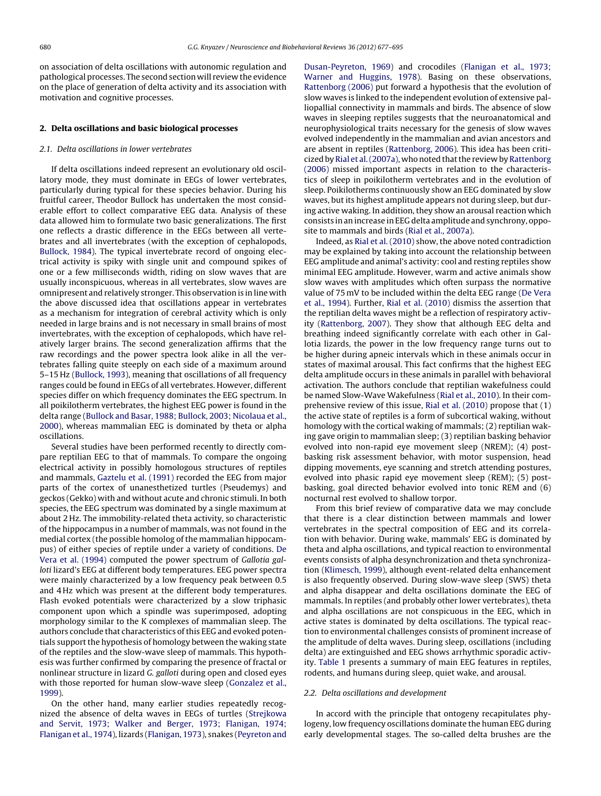on association of delta oscillations with autonomic regulation and pathological processes. The second section will review the evidence on the place of generation of delta activity and its association with motivation and cognitive processes.

# **2. Delta oscillations and basic biological processes**

#### 2.1. Delta oscillations in lower vertebrates

If delta oscillations indeed represent an evolutionary old oscillatory mode, they must dominate in EEGs of lower vertebrates, particularly during typical for these species behavior. During his fruitful career, Theodor Bullock has undertaken the most considerable effort to collect comparative EEG data. Analysis of these data allowed him to formulate two basic generalizations. The first one reflects a drastic difference in the EEGs between all vertebrates and all invertebrates (with the exception of cephalopods, [Bullock,](#page-13-0) [1984\).](#page-13-0) The typical invertebrate record of ongoing electrical activity is spiky with single unit and compound spikes of one or a few milliseconds width, riding on slow waves that are usually inconspicuous, whereas in all vertebrates, slow waves are omnipresent and relatively stronger. This observation is in line with the above discussed idea that oscillations appear in vertebrates as a mechanism for integration of cerebral activity which is only needed in large brains and is not necessary in small brains of most invertebrates, with the exception of cephalopods, which have relatively larger brains. The second generalization affirms that the raw recordings and the power spectra look alike in all the vertebrates falling quite steeply on each side of a maximum around 5–15 Hz ([Bullock,](#page-13-0) [1993\),](#page-13-0) meaning that oscillations of all frequency ranges could be found in EEGs of all vertebrates. However, different species differ on which frequency dominates the EEG spectrum. In all poikilotherm vertebrates, the highest EEG power is found in the delta range [\(Bullock](#page-13-0) [and](#page-13-0) [Basar,](#page-13-0) [1988;](#page-13-0) [Bullock,](#page-13-0) [2003;](#page-13-0) [Nicolaua](#page-13-0) et [al.,](#page-13-0) [2000\),](#page-13-0) whereas mammalian EEG is dominated by theta or alpha oscillations.

Several studies have been performed recently to directly compare reptilian EEG to that of mammals. To compare the ongoing electrical activity in possibly homologous structures of reptiles and mammals, [Gaztelu](#page-14-0) et [al.](#page-14-0) [\(1991\)](#page-14-0) recorded the EEG from major parts of the cortex of unanesthetized turtles (Pseudemys) and geckos (Gekko) with and without acute and chronic stimuli. In both species, the EEG spectrum was dominated by a single maximum at about 2 Hz. The immobility-related theta activity, so characteristic of the hippocampus in a number of mammals, was not found in the medial cortex (the possible homolog of the mammalian hippocampus) of either species of reptile under a variety of conditions. [De](#page-14-0) [Vera](#page-14-0) et [al.](#page-14-0) [\(1994\)](#page-14-0) computed the power spectrum of Gallotia galloti lizard's EEG at different body temperatures. EEG power spectra were mainly characterized by a low frequency peak between 0.5 and 4 Hz which was present at the different body temperatures. Flash evoked potentials were characterized by a slow triphasic component upon which a spindle was superimposed, adopting morphology similar to the K complexes of mammalian sleep. The authors conclude that characteristics of this EEG and evoked potentials support the hypothesis of homology between the waking state of the reptiles and the slow-wave sleep of mammals. This hypothesis was further confirmed by comparing the presence of fractal or nonlinear structure in lizard G. galloti during open and closed eyes with those reported for human slow-wave sleep [\(Gonzalez](#page-15-0) et [al.,](#page-15-0) [1999\).](#page-15-0)

On the other hand, many earlier studies repeatedly recognized the absence of delta waves in EEGs of turtles [\(Strejkowa](#page-18-0) [and](#page-18-0) [Servit,](#page-18-0) [1973;](#page-18-0) [Walker](#page-18-0) [and](#page-18-0) [Berger,](#page-18-0) [1973;](#page-18-0) [Flanigan,](#page-18-0) [1974;](#page-18-0) [Flanigan](#page-18-0) et [al.,](#page-18-0) [1974\),](#page-18-0) lizards [\(Flanigan,](#page-14-0) [1973\),](#page-14-0) snakes ([Peyreton](#page-17-0) [and](#page-17-0) [Dusan-Peyreton,](#page-17-0) [1969\)](#page-17-0) and crocodiles [\(Flanigan](#page-14-0) et [al.,](#page-14-0) [1973;](#page-14-0) [Warner](#page-14-0) [and](#page-14-0) [Huggins,](#page-14-0) [1978\).](#page-14-0) Basing on these observations, [Rattenborg](#page-17-0) [\(2006\)](#page-17-0) put forward a hypothesis that the evolution of slow waves is linked to the independent evolution of extensive palliopallial connectivity in mammals and birds. The absence of slow waves in sleeping reptiles suggests that the neuroanatomical and neurophysiological traits necessary for the genesis of slow waves evolved independently in the mammalian and avian ancestors and are absent in reptiles ([Rattenborg,](#page-17-0) [2006\).](#page-17-0) This idea has been criti-cized by [Rial](#page-17-0) et al. (2007a), who noted that the review by [Rattenborg](#page-17-0) [\(2006\)](#page-17-0) missed important aspects in relation to the characteristics of sleep in poikilotherm vertebrates and in the evolution of sleep. Poikilotherms continuously show an EEG dominated by slow waves, but its highest amplitude appears not during sleep, but during active waking. In addition, they show an arousal reaction which consists in an increase in EEG delta amplitude and synchrony, opposite to mammals and birds ([Rial](#page-17-0) et [al.,](#page-17-0) [2007a\).](#page-17-0)

Indeed, as [Rial](#page-17-0) et [al.](#page-17-0) [\(2010\)](#page-17-0) show, the above noted contradiction may be explained by taking into account the relationship between EEG amplitude and animal's activity: cool and resting reptiles show minimal EEG amplitude. However, warm and active animals show slow waves with amplitudes which often surpass the normative value of 75 mV to be included within the delta EEG range [\(De](#page-14-0) [Vera](#page-14-0) et [al.,](#page-14-0) [1994\).](#page-14-0) Further, [Rial](#page-17-0) et [al.](#page-17-0) [\(2010\)](#page-17-0) dismiss the assertion that the reptilian delta waves might be a reflection of respiratory activity [\(Rattenborg,](#page-17-0) [2007\).](#page-17-0) They show that although EEG delta and breathing indeed significantly correlate with each other in Gallotia lizards, the power in the low frequency range turns out to be higher during apneic intervals which in these animals occur in states of maximal arousal. This fact confirms that the highest EEG delta amplitude occurs in these animals in parallel with behavioral activation. The authors conclude that reptilian wakefulness could be named Slow-Wave Wakefulness ([Rial](#page-17-0) et [al.,](#page-17-0) [2010\).](#page-17-0) In their comprehensive review of this issue, [Rial](#page-17-0) et [al.](#page-17-0) [\(2010\)](#page-17-0) propose that (1) the active state of reptiles is a form of subcortical waking, without homology with the cortical waking of mammals; (2) reptilian waking gave origin to mammalian sleep; (3) reptilian basking behavior evolved into non-rapid eye movement sleep (NREM); (4) postbasking risk assessment behavior, with motor suspension, head dipping movements, eye scanning and stretch attending postures, evolved into phasic rapid eye movement sleep (REM); (5) postbasking, goal directed behavior evolved into tonic REM and (6) nocturnal rest evolved to shallow torpor.

From this brief review of comparative data we may conclude that there is a clear distinction between mammals and lower vertebrates in the spectral composition of EEG and its correlation with behavior. During wake, mammals' EEG is dominated by theta and alpha oscillations, and typical reaction to environmental events consists of alpha desynchronization and theta synchronization [\(Klimesch,](#page-15-0) [1999\),](#page-15-0) although event-related delta enhancement is also frequently observed. During slow-wave sleep (SWS) theta and alpha disappear and delta oscillations dominate the EEG of mammals. In reptiles (and probably other lower vertebrates), theta and alpha oscillations are not conspicuous in the EEG, which in active states is dominated by delta oscillations. The typical reaction to environmental challenges consists of prominent increase of the amplitude of delta waves. During sleep, oscillations (including delta) are extinguished and EEG shows arrhythmic sporadic activity. [Table](#page-4-0) 1 presents a summary of main EEG features in reptiles, rodents, and humans during sleep, quiet wake, and arousal.

#### 2.2. Delta oscillations and development

In accord with the principle that ontogeny recapitulates phylogeny, low frequency oscillations dominate the human EEG during early developmental stages. The so-called delta brushes are the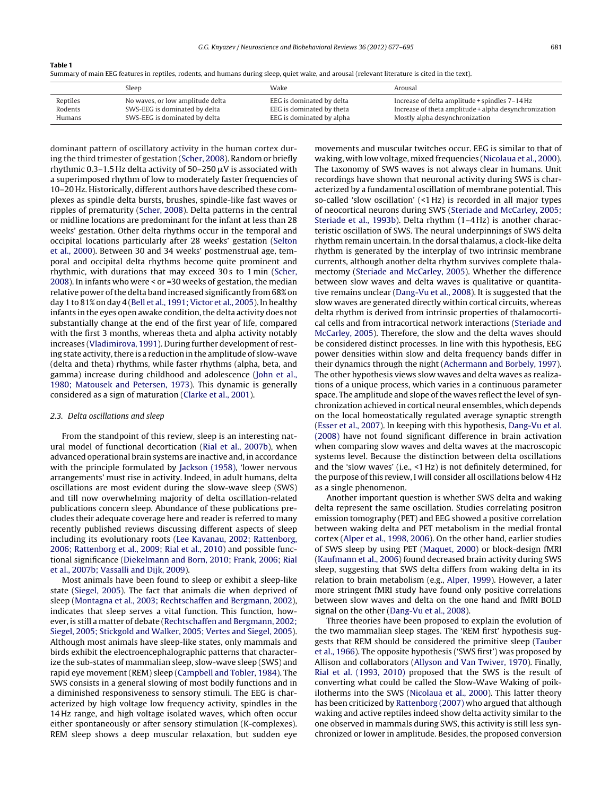#### <span id="page-4-0"></span>**Table 1**

Summary of main EEG features in reptiles, rodents, and humans during sleep, quiet wake, and arousal (relevant literature is cited in the text).

|          | Sleep                            | Wake                      | Arousal                                               |
|----------|----------------------------------|---------------------------|-------------------------------------------------------|
| Reptiles | No waves, or low amplitude delta | EEG is dominated by delta | Increase of delta amplitude + spindles 7–14 Hz        |
| Rodents  | SWS-EEG is dominated by delta    | EEG is dominated by theta | Increase of theta amplitude + alpha desynchronization |
| Humans   | SWS-EEG is dominated by delta    | EEG is dominated by alpha | Mostly alpha desynchronization                        |

dominant pattern of oscillatory activity in the human cortex during the third trimester of gestation [\(Scher,](#page-17-0) [2008\).](#page-17-0) Random or briefly rhythmic 0.3–1.5 Hz delta activity of 50–250  $\rm \mu V$  is associated with a superimposed rhythm of low to moderately faster frequencies of 10–20 Hz. Historically, different authors have described these complexes as spindle delta bursts, brushes, spindle-like fast waves or ripples of prematurity [\(Scher,](#page-17-0) [2008\).](#page-17-0) Delta patterns in the central or midline locations are predominant for the infant at less than 28 weeks' gestation. Other delta rhythms occur in the temporal and occipital locations particularly after 28 weeks' gestation [\(Selton](#page-17-0) et [al.,](#page-17-0) [2000\).](#page-17-0) Between 30 and 34 weeks' postmenstrual age, temporal and occipital delta rhythms become quite prominent and rhythmic, with durations that may exceed 30 s to 1 min [\(Scher,](#page-17-0) [2008\).](#page-17-0) In infants who were < or =30 weeks of gestation, the median relative power ofthe delta band increased significantly from 68% on day 1 to 81% on day 4 [\(Bell](#page-13-0) et [al.,](#page-13-0) [1991;](#page-13-0) [Victor](#page-13-0) et [al.,](#page-13-0) [2005\).](#page-13-0) In healthy infants in the eyes open awake condition, the delta activity does not substantially change at the end of the first year of life, compared with the first 3 months, whereas theta and alpha activity notably increases ([Vladimirova,](#page-18-0) [1991\).](#page-18-0) During further development of resting state activity, there is a reduction in the amplitude of slow-wave (delta and theta) rhythms, while faster rhythms (alpha, beta, and gamma) increase during childhood and adolescence [\(John](#page-15-0) et [al.,](#page-15-0) [1980;](#page-15-0) [Matousek](#page-15-0) [and](#page-15-0) [Petersen,](#page-15-0) [1973\).](#page-15-0) This dynamic is generally considered as a sign of maturation ([Clarke](#page-14-0) et [al.,](#page-14-0) [2001\).](#page-14-0)

#### 2.3. Delta oscillations and sleep

From the standpoint of this review, sleep is an interesting natural model of functional decortication [\(Rial](#page-17-0) et [al.,](#page-17-0) [2007b\),](#page-17-0) when advanced operational brain systems are inactive and, in accordance with the principle formulated by [Jackson](#page-15-0) [\(1958\),](#page-15-0) 'lower nervous arrangements' must rise in activity. Indeed, in adult humans, delta oscillations are most evident during the slow-wave sleep (SWS) and till now overwhelming majority of delta oscillation-related publications concern sleep. Abundance of these publications precludes their adequate coverage here and reader is referred to many recently published reviews discussing different aspects of sleep including its evolutionary roots [\(Lee](#page-16-0) [Kavanau,](#page-16-0) [2002;](#page-16-0) [Rattenborg,](#page-16-0) [2006;](#page-16-0) [Rattenborg](#page-16-0) et [al.,](#page-16-0) [2009;](#page-16-0) [Rial](#page-16-0) et [al.,](#page-16-0) [2010\)](#page-16-0) and possible functional significance ([Diekelmann](#page-14-0) [and](#page-14-0) [Born,](#page-14-0) [2010;](#page-14-0) [Frank,](#page-14-0) [2006;](#page-14-0) [Rial](#page-14-0) et [al.,](#page-14-0) [2007b;](#page-14-0) [Vassalli](#page-14-0) [and](#page-14-0) [Dijk,](#page-14-0) [2009\).](#page-14-0)

Most animals have been found to sleep or exhibit a sleep-like state ([Siegel,](#page-17-0) [2005\).](#page-17-0) The fact that animals die when deprived of sleep ([Montagna](#page-16-0) [et](#page-16-0) [al.,](#page-16-0) [2003;](#page-16-0) [Rechtschaffen](#page-16-0) [and](#page-16-0) [Bergmann,](#page-16-0) [2002\),](#page-16-0) indicates that sleep serves a vital function. This function, however, is still a matter of debate ([Rechtschaffen](#page-17-0) [and](#page-17-0) [Bergmann,](#page-17-0) [2002;](#page-17-0) [Siegel,](#page-17-0) [2005;](#page-17-0) [Stickgold](#page-17-0) [and](#page-17-0) [Walker,](#page-17-0) [2005;](#page-17-0) [Vertes](#page-17-0) [and](#page-17-0) [Siegel,](#page-17-0) [2005\).](#page-17-0) Although most animals have sleep-like states, only mammals and birds exhibit the electroencephalographic patterns that characterize the sub-states of mammalian sleep, slow-wave sleep (SWS) and rapid eye movement (REM) sleep ([Campbell](#page-13-0) [and](#page-13-0) [Tobler,](#page-13-0) [1984\).](#page-13-0) The SWS consists in a general slowing of most bodily functions and in a diminished responsiveness to sensory stimuli. The EEG is characterized by high voltage low frequency activity, spindles in the 14 Hz range, and high voltage isolated waves, which often occur either spontaneously or after sensory stimulation (K-complexes). REM sleep shows a deep muscular relaxation, but sudden eye

movements and muscular twitches occur. EEG is similar to that of waking, with low voltage, mixed frequencies ([Nicolaua](#page-16-0) et [al.,](#page-16-0) [2000\).](#page-16-0) The taxonomy of SWS waves is not always clear in humans. Unit recordings have shown that neuronal activity during SWS is characterized by a fundamental oscillation of membrane potential. This so-called 'slow oscillation' (<1 Hz) is recorded in all major types of neocortical neurons during SWS [\(Steriade](#page-17-0) [and](#page-17-0) [McCarley,](#page-17-0) [2005;](#page-17-0) [Steriade](#page-17-0) et [al.,](#page-17-0) [1993b\).](#page-17-0) Delta rhythm (1–4 Hz) is another characteristic oscillation of SWS. The neural underpinnings of SWS delta rhythm remain uncertain. In the dorsal thalamus, a clock-like delta rhythm is generated by the interplay of two intrinsic membrane currents, although another delta rhythm survives complete thalamectomy [\(Steriade](#page-17-0) [and](#page-17-0) [McCarley,](#page-17-0) [2005\).](#page-17-0) Whether the difference between slow waves and delta waves is qualitative or quantitative remains unclear ([Dang-Vu](#page-14-0) et [al.,](#page-14-0) [2008\).](#page-14-0) It is suggested that the slow waves are generated directly within cortical circuits, whereas delta rhythm is derived from intrinsic properties of thalamocortical cells and from intracortical network interactions [\(Steriade](#page-17-0) [and](#page-17-0) [McCarley,](#page-17-0) [2005\).](#page-17-0) Therefore, the slow and the delta waves should be considered distinct processes. In line with this hypothesis, EEG power densities within slow and delta frequency bands differ in their dynamics through the night ([Achermann](#page-13-0) [and](#page-13-0) [Borbely,](#page-13-0) [1997\).](#page-13-0) The other hypothesis views slow waves and delta waves as realizations of a unique process, which varies in a continuous parameter space. The amplitude and slope of the waves reflect the level of synchronization achieved in cortical neural ensembles, which depends on the local homeostatically regulated average synaptic strength [\(Esser](#page-14-0) et [al.,](#page-14-0) [2007\).](#page-14-0) In keeping with this hypothesis, [Dang-Vu](#page-14-0) et [al.](#page-14-0) [\(2008\)](#page-14-0) have not found significant difference in brain activation when comparing slow waves and delta waves at the macroscopic systems level. Because the distinction between delta oscillations and the 'slow waves' (i.e., <1 Hz) is not definitely determined, for the purpose ofthis review, I will consider all oscillations below 4 Hz as a single phenomenon.

Another important question is whether SWS delta and waking delta represent the same oscillation. Studies correlating positron emission tomography (PET) and EEG showed a positive correlation between waking delta and PET metabolism in the medial frontal cortex ([Alper](#page-13-0) et [al.,](#page-13-0) [1998,](#page-13-0) [2006\).](#page-13-0) On the other hand, earlier studies of SWS sleep by using PET ([Maquet,](#page-16-0) [2000\)](#page-16-0) or block-design fMRI [\(Kaufmann](#page-15-0) et [al.,](#page-15-0) [2006\)](#page-15-0) found decreased brain activity during SWS sleep, suggesting that SWS delta differs from waking delta in its relation to brain metabolism (e.g., [Alper,](#page-13-0) [1999\).](#page-13-0) However, a later more stringent fMRI study have found only positive correlations between slow waves and delta on the one hand and fMRI BOLD signal on the other ([Dang-Vu](#page-14-0) et [al.,](#page-14-0) [2008\).](#page-14-0)

Three theories have been proposed to explain the evolution of the two mammalian sleep stages. The 'REM first' hypothesis suggests that REM should be considered the primitive sleep [\(Tauber](#page-18-0) et [al.,](#page-18-0) [1966\).](#page-18-0) The opposite hypothesis ('SWS first') was proposed by Allison and collaborators ([Allyson](#page-13-0) [and](#page-13-0) [Van](#page-13-0) [Twiver,](#page-13-0) [1970\).](#page-13-0) Finally, [Rial](#page-17-0) et [al.](#page-17-0) [\(1993,](#page-17-0) [2010\)](#page-17-0) proposed that the SWS is the result of converting what could be called the Slow-Wave Waking of poikilotherms into the SWS [\(Nicolaua](#page-16-0) et [al.,](#page-16-0) [2000\).](#page-16-0) This latter theory has been criticized by [Rattenborg](#page-17-0) [\(2007\)](#page-17-0) who argued that although waking and active reptiles indeed show delta activity similar to the one observed in mammals during SWS, this activity is still less synchronized or lower in amplitude. Besides, the proposed conversion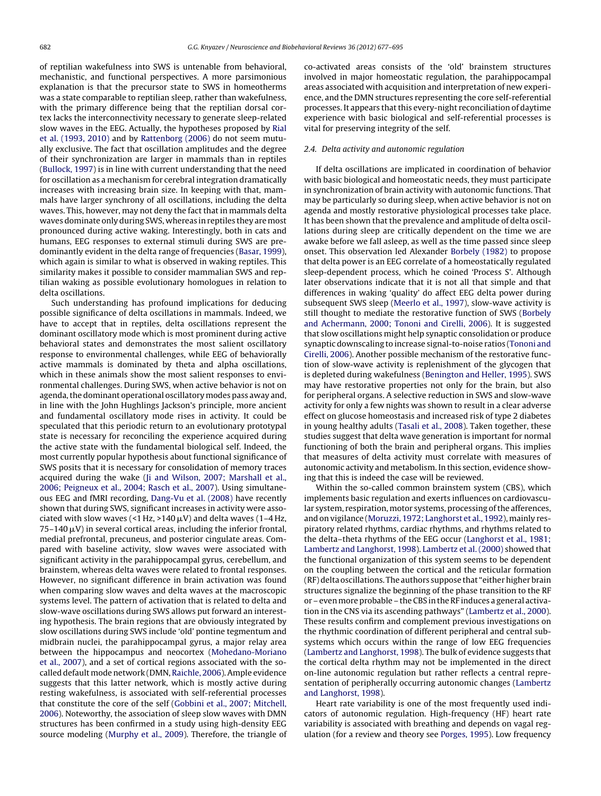of reptilian wakefulness into SWS is untenable from behavioral, mechanistic, and functional perspectives. A more parsimonious explanation is that the precursor state to SWS in homeotherms was a state comparable to reptilian sleep, rather than wakefulness, with the primary difference being that the reptilian dorsal cortex lacks the interconnectivity necessary to generate sleep-related slow waves in the EEG. Actually, the hypotheses proposed by [Rial](#page-17-0) et [al.](#page-17-0) [\(1993,](#page-17-0) [2010\)](#page-17-0) and by [Rattenborg](#page-17-0) [\(2006\)](#page-17-0) do not seem mutually exclusive. The fact that oscillation amplitudes and the degree of their synchronization are larger in mammals than in reptiles ([Bullock,](#page-13-0) [1997\)](#page-13-0) is in line with current understanding that the need for oscillation as a mechanism for cerebral integration dramatically increases with increasing brain size. In keeping with that, mammals have larger synchrony of all oscillations, including the delta waves. This, however, may not deny the fact that in mammals delta waves dominate only during SWS, whereas in reptiles they are most pronounced during active waking. Interestingly, both in cats and humans, EEG responses to external stimuli during SWS are predominantly evident in the delta range of frequencies ([Basar,](#page-13-0) [1999\),](#page-13-0) which again is similar to what is observed in waking reptiles. This similarity makes it possible to consider mammalian SWS and reptilian waking as possible evolutionary homologues in relation to delta oscillations.

Such understanding has profound implications for deducing possible significance of delta oscillations in mammals. Indeed, we have to accept that in reptiles, delta oscillations represent the dominant oscillatory mode which is most prominent during active behavioral states and demonstrates the most salient oscillatory response to environmental challenges, while EEG of behaviorally active mammals is dominated by theta and alpha oscillations, which in these animals show the most salient responses to environmental challenges. During SWS, when active behavior is not on agenda, the dominant operational oscillatory modes pass away and, in line with the John Hughlings Jackson's principle, more ancient and fundamental oscillatory mode rises in activity. It could be speculated that this periodic return to an evolutionary prototypal state is necessary for reconciling the experience acquired during the active state with the fundamental biological self. Indeed, the most currently popular hypothesis about functional significance of SWS posits that it is necessary for consolidation of memory traces acquired during the wake [\(Ji](#page-15-0) [and](#page-15-0) [Wilson,](#page-15-0) [2007;](#page-15-0) [Marshall](#page-15-0) et [al.,](#page-15-0) [2006;](#page-15-0) [Peigneux](#page-15-0) et [al.,](#page-15-0) [2004;](#page-15-0) [Rasch](#page-15-0) et [al.,](#page-15-0) [2007\).](#page-15-0) Using simultaneous EEG and fMRI recording, [Dang-Vu](#page-14-0) et [al.](#page-14-0) [\(2008\)](#page-14-0) have recently shown that during SWS, significant increases in activity were associated with slow waves (<1 Hz, >140  $\rm \mu V$ ) and delta waves (1–4 Hz, 75–140  $\mu$ V) in several cortical areas, including the inferior frontal, medial prefrontal, precuneus, and posterior cingulate areas. Compared with baseline activity, slow waves were associated with significant activity in the parahippocampal gyrus, cerebellum, and brainstem, whereas delta waves were related to frontal responses. However, no significant difference in brain activation was found when comparing slow waves and delta waves at the macroscopic systems level. The pattern of activation that is related to delta and slow-wave oscillations during SWS allows put forward an interesting hypothesis. The brain regions that are obviously integrated by slow oscillations during SWS include 'old' pontine tegmentum and midbrain nuclei, the parahippocampal gyrus, a major relay area between the hippocampus and neocortex ([Mohedano-Moriano](#page-16-0) et [al.,](#page-16-0) [2007\),](#page-16-0) and a set of cortical regions associated with the socalled default mode network (DMN, [Raichle,](#page-17-0) [2006\).](#page-17-0)Ample evidence suggests that this latter network, which is mostly active during resting wakefulness, is associated with self-referential processes that constitute the core of the self [\(Gobbini](#page-15-0) et [al.,](#page-15-0) [2007;](#page-15-0) [Mitchell,](#page-15-0) [2006\).](#page-15-0) Noteworthy, the association of sleep slow waves with DMN structures has been confirmed in a study using high-density EEG source modeling ([Murphy](#page-16-0) et [al.,](#page-16-0) [2009\).](#page-16-0) Therefore, the triangle of co-activated areas consists of the 'old' brainstem structures involved in major homeostatic regulation, the parahippocampal areas associated with acquisition and interpretation of new experience, and the DMN structures representing the core self-referential processes. It appears that this every-night reconciliation of daytime experience with basic biological and self-referential processes is vital for preserving integrity of the self.

#### 2.4. Delta activity and autonomic regulation

If delta oscillations are implicated in coordination of behavior with basic biological and homeostatic needs, they must participate in synchronization of brain activity with autonomic functions. That may be particularly so during sleep, when active behavior is not on agenda and mostly restorative physiological processes take place. It has been shown that the prevalence and amplitude of delta oscillations during sleep are critically dependent on the time we are awake before we fall asleep, as well as the time passed since sleep onset. This observation led Alexander [Borbely](#page-13-0) [\(1982\)](#page-13-0) to propose that delta power is an EEG correlate of a homeostatically regulated sleep-dependent process, which he coined 'Process S'. Although later observations indicate that it is not all that simple and that differences in waking 'quality' do affect EEG delta power during subsequent SWS sleep ([Meerlo](#page-16-0) et [al.,](#page-16-0) [1997\),](#page-16-0) slow-wave activity is still thought to mediate the restorative function of SWS ([Borbely](#page-13-0) [and](#page-13-0) [Achermann,](#page-13-0) [2000;](#page-13-0) [Tononi](#page-13-0) [and](#page-13-0) [Cirelli,](#page-13-0) [2006\).](#page-13-0) It is suggested that slow oscillations might help synaptic consolidation or produce synaptic downscaling to increase signal-to-noise ratios ([Tononi](#page-18-0) [and](#page-18-0) [Cirelli,](#page-18-0) [2006\).](#page-18-0) Another possible mechanism of the restorative function of slow-wave activity is replenishment of the glycogen that is depleted during wakefulness ([Benington](#page-13-0) [and](#page-13-0) [Heller,](#page-13-0) [1995\).](#page-13-0) SWS may have restorative properties not only for the brain, but also for peripheral organs. A selective reduction in SWS and slow-wave activity for only a few nights was shown to result in a clear adverse effect on glucose homeostasis and increased risk of type 2 diabetes in young healthy adults [\(Tasali](#page-18-0) et [al.,](#page-18-0) [2008\).](#page-18-0) Taken together, these studies suggest that delta wave generation is important for normal functioning of both the brain and peripheral organs. This implies that measures of delta activity must correlate with measures of autonomic activity and metabolism. In this section, evidence showing that this is indeed the case will be reviewed.

Within the so-called common brainstem system (CBS), which implements basic regulation and exerts influences on cardiovascular system, respiration, motor systems, processing of the afferences, and on vigilance ([Moruzzi,](#page-16-0) [1972;](#page-16-0) [Langhorst](#page-16-0) [et](#page-16-0) [al.,](#page-16-0) [1992\),](#page-16-0) mainly respiratory related rhythms, cardiac rhythms, and rhythms related to the delta–theta rhythms of the EEG occur [\(Langhorst](#page-16-0) et [al.,](#page-16-0) [1981;](#page-16-0) [Lambertz](#page-16-0) [and](#page-16-0) [Langhorst,](#page-16-0) [1998\).](#page-16-0) [Lambertz](#page-16-0) et [al.](#page-16-0) [\(2000\)](#page-16-0) showed that the functional organization of this system seems to be dependent on the coupling between the cortical and the reticular formation (RF) delta oscillations. The authors suppose that "either higher brain structures signalize the beginning of the phase transition to the RF or – even more probable – the CBS in the RF induces a general activation in the CNS via its ascending pathways" [\(Lambertz](#page-16-0) et [al.,](#page-16-0) [2000\).](#page-16-0) These results confirm and complement previous investigations on the rhythmic coordination of different peripheral and central subsystems which occurs within the range of low EEG frequencies [\(Lambertz](#page-16-0) [and](#page-16-0) [Langhorst,](#page-16-0) [1998\).](#page-16-0) The bulk of evidence suggests that the cortical delta rhythm may not be implemented in the direct on-line autonomic regulation but rather reflects a central representation of peripherally occurring autonomic changes [\(Lambertz](#page-16-0) [and](#page-16-0) [Langhorst,](#page-16-0) [1998\).](#page-16-0)

Heart rate variability is one of the most frequently used indicators of autonomic regulation. High-frequency (HF) heart rate variability is associated with breathing and depends on vagal regulation (for a review and theory see [Porges,](#page-17-0) [1995\).](#page-17-0) Low frequency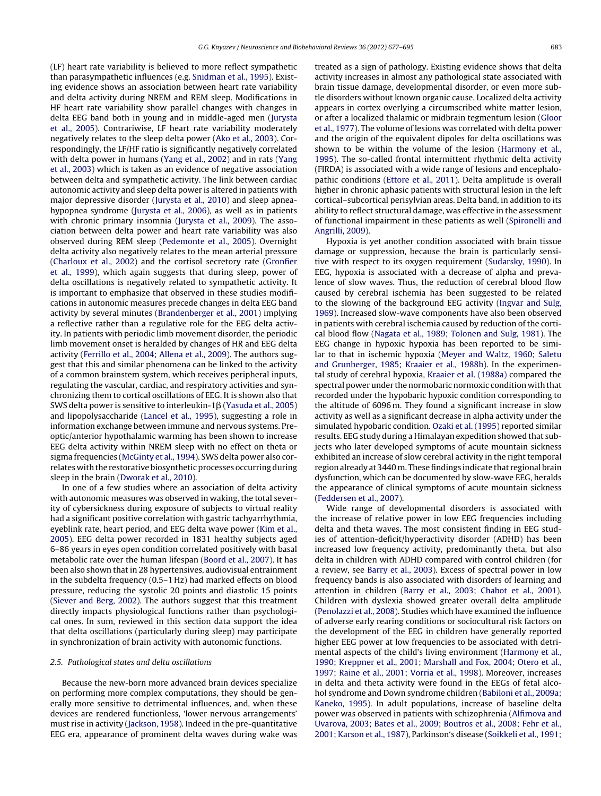(LF) heart rate variability is believed to more reflect sympathetic than parasympathetic influences (e.g. [Snidman](#page-17-0) et [al.,](#page-17-0) [1995\).](#page-17-0) Existing evidence shows an association between heart rate variability and delta activity during NREM and REM sleep. Modifications in HF heart rate variability show parallel changes with changes in delta EEG band both in young and in middle-aged men ([Jurysta](#page-15-0) et [al.,](#page-15-0) [2005\).](#page-15-0) Contrariwise, LF heart rate variability moderately negatively relates to the sleep delta power [\(Ako](#page-13-0) et [al.,](#page-13-0) [2003\).](#page-13-0) Correspondingly, the LF/HF ratio is significantly negatively correlated with delta power in humans [\(Yang](#page-18-0) et [al.,](#page-18-0) [2002\)](#page-18-0) and in rats [\(Yang](#page-18-0) et [al.,](#page-18-0) [2003\)](#page-18-0) which is taken as an evidence of negative association between delta and sympathetic activity. The link between cardiac autonomic activity and sleep delta power is altered in patients with major depressive disorder ([Jurysta](#page-15-0) et [al.,](#page-15-0) [2010\)](#page-15-0) and sleep apneahypopnea syndrome [\(Jurysta](#page-15-0) et [al.,](#page-15-0) [2006\),](#page-15-0) as well as in patients with chronic primary insomnia [\(Jurysta](#page-15-0) et [al.,](#page-15-0) [2009\).](#page-15-0) The association between delta power and heart rate variability was also observed during REM sleep ([Pedemonte](#page-17-0) et [al.,](#page-17-0) [2005\).](#page-17-0) Overnight delta activity also negatively relates to the mean arterial pressure ([Charloux](#page-14-0) et [al.,](#page-14-0) [2002\)](#page-14-0) and the cortisol secretory rate [\(Gronfier](#page-15-0) et [al.,](#page-15-0) [1999\),](#page-15-0) which again suggests that during sleep, power of delta oscillations is negatively related to sympathetic activity. It is important to emphasize that observed in these studies modifications in autonomic measures precede changes in delta EEG band activity by several minutes [\(Brandenberger](#page-13-0) et [al.,](#page-13-0) [2001\)](#page-13-0) implying a reflective rather than a regulative role for the EEG delta activity. In patients with periodic limb movement disorder, the periodic limb movement onset is heralded by changes of HR and EEG delta activity ([Ferrillo](#page-14-0) et [al.,](#page-14-0) [2004;](#page-14-0) [Allena](#page-14-0) et [al.,](#page-14-0) [2009\).](#page-14-0) The authors suggest that this and similar phenomena can be linked to the activity of a common brainstem system, which receives peripheral inputs, regulating the vascular, cardiac, and respiratory activities and synchronizing them to cortical oscillations of EEG. It is shown also that SWS delta power is sensitive to interleukin-1 $\beta$  ([Yasuda](#page-18-0) et [al.,](#page-18-0) [2005\)](#page-18-0) and lipopolysaccharide [\(Lancel](#page-16-0) et [al.,](#page-16-0) [1995\),](#page-16-0) suggesting a role in information exchange between immune and nervous systems. Preoptic/anterior hypothalamic warming has been shown to increase EEG delta activity within NREM sleep with no effect on theta or sigma frequencies ([McGinty](#page-16-0) et [al.,](#page-16-0) [1994\).](#page-16-0) SWS delta power also correlates with the restorative biosynthetic processes occurring during sleep in the brain ([Dworak](#page-14-0) et [al.,](#page-14-0) [2010\).](#page-14-0)

In one of a few studies where an association of delta activity with autonomic measures was observed in waking, the total severity of cybersickness during exposure of subjects to virtual reality had a significant positive correlation with gastric tachyarrhythmia, eyeblink rate, heart period, and EEG delta wave power [\(Kim](#page-15-0) et [al.,](#page-15-0) [2005\).](#page-15-0) EEG delta power recorded in 1831 healthy subjects aged 6–86 years in eyes open condition correlated positively with basal metabolic rate over the human lifespan [\(Boord](#page-13-0) et [al.,](#page-13-0) [2007\).](#page-13-0) It has been also shown that in 28 hypertensives, audiovisual entrainment in the subdelta frequency (0.5–1 Hz) had marked effects on blood pressure, reducing the systolic 20 points and diastolic 15 points ([Siever](#page-17-0) [and](#page-17-0) [Berg,](#page-17-0) [2002\).](#page-17-0) The authors suggest that this treatment directly impacts physiological functions rather than psychological ones. In sum, reviewed in this section data support the idea that delta oscillations (particularly during sleep) may participate in synchronization of brain activity with autonomic functions.

#### 2.5. Pathological states and delta oscillations

Because the new-born more advanced brain devices specialize on performing more complex computations, they should be generally more sensitive to detrimental influences, and, when these devices are rendered functionless, 'lower nervous arrangements' must rise in activity ([Jackson,](#page-15-0) [1958\).](#page-15-0) Indeed in the pre-quantitative EEG era, appearance of prominent delta waves during wake was

treated as a sign of pathology. Existing evidence shows that delta activity increases in almost any pathological state associated with brain tissue damage, developmental disorder, or even more subtle disorders without known organic cause. Localized delta activity appears in cortex overlying a circumscribed white matter lesion, or after a localized thalamic or midbrain tegmentum lesion ([Gloor](#page-15-0) et [al.,](#page-15-0) [1977\).](#page-15-0) The volume of lesions was correlated with delta power and the origin of the equivalent dipoles for delta oscillations was shown to be within the volume of the lesion [\(Harmony](#page-15-0) et [al.,](#page-15-0) [1995\).](#page-15-0) The so-called frontal intermittent rhythmic delta activity (FIRDA) is associated with a wide range of lesions and encephalopathic conditions [\(Ettore](#page-14-0) et [al.,](#page-14-0) [2011\).](#page-14-0) Delta amplitude is overall higher in chronic aphasic patients with structural lesion in the left cortical–subcortical perisylvian areas. Delta band, in addition to its ability to reflect structural damage, was effective in the assessment of functional impairment in these patients as well [\(Spironelli](#page-17-0) [and](#page-17-0) [Angrilli,](#page-17-0) [2009\).](#page-17-0)

Hypoxia is yet another condition associated with brain tissue damage or suppression, because the brain is particularly sensitive with respect to its oxygen requirement [\(Sudarsky,](#page-18-0) [1990\).](#page-18-0) In EEG, hypoxia is associated with a decrease of alpha and prevalence of slow waves. Thus, the reduction of cerebral blood flow caused by cerebral ischemia has been suggested to be related to the slowing of the background EEG activity [\(Ingvar](#page-15-0) [and](#page-15-0) [Sulg,](#page-15-0) [1969\).](#page-15-0) Increased slow-wave components have also been observed in patients with cerebral ischemia caused by reduction of the cortical blood flow ([Nagata](#page-16-0) et [al.,](#page-16-0) [1989;](#page-16-0) [Tolonen](#page-16-0) [and](#page-16-0) [Sulg,](#page-16-0) [1981\).](#page-16-0) The EEG change in hypoxic hypoxia has been reported to be similar to that in ischemic hypoxia [\(Meyer](#page-16-0) [and](#page-16-0) [Waltz,](#page-16-0) [1960;](#page-16-0) [Saletu](#page-16-0) [and](#page-16-0) [Grunberger,](#page-16-0) [1985;](#page-16-0) [Kraaier](#page-16-0) et [al.,](#page-16-0) [1988b\).](#page-16-0) In the experimental study of cerebral hypoxia, [Kraaier](#page-15-0) et [al.](#page-15-0) [\(1988a\)](#page-15-0) compared the spectral power under the normobaric normoxic condition with that recorded under the hypobaric hypoxic condition corresponding to the altitude of 6096 m. They found a significant increase in slow activity as well as a significant decrease in alpha activity under the simulated hypobaric condition. [Ozaki](#page-16-0) et [al.](#page-16-0) [\(1995\)](#page-16-0) reported similar results. EEG study during a Himalayan expedition showed that subjects who later developed symptoms of acute mountain sickness exhibited an increase of slow cerebral activity in the right temporal region already at 3440 m. These findings indicate that regional brain dysfunction, which can be documented by slow-wave EEG, heralds the appearance of clinical symptoms of acute mountain sickness [\(Feddersen](#page-14-0) et [al.,](#page-14-0) [2007\).](#page-14-0)

Wide range of developmental disorders is associated with the increase of relative power in low EEG frequencies including delta and theta waves. The most consistent finding in EEG studies of attention-deficit/hyperactivity disorder (ADHD) has been increased low frequency activity, predominantly theta, but also delta in children with ADHD compared with control children (for a review, see [Barry](#page-13-0) et [al.,](#page-13-0) [2003\).](#page-13-0) Excess of spectral power in low frequency bands is also associated with disorders of learning and attention in children ([Barry](#page-13-0) et [al.,](#page-13-0) [2003;](#page-13-0) [Chabot](#page-13-0) et [al.,](#page-13-0) [2001\).](#page-13-0) Children with dyslexia showed greater overall delta amplitude [\(Penolazzi](#page-17-0) et [al.,](#page-17-0) [2008\).](#page-17-0) Studies which have examined the influence of adverse early rearing conditions or sociocultural risk factors on the development of the EEG in children have generally reported higher EEG power at low frequencies to be associated with detrimental aspects of the child's living environment ([Harmony](#page-15-0) [et](#page-15-0) [al.,](#page-15-0) [1990;](#page-15-0) [Kreppner](#page-15-0) et [al.,](#page-15-0) [2001;](#page-15-0) [Marshall](#page-15-0) [and](#page-15-0) [Fox,](#page-15-0) [2004;](#page-15-0) [Otero](#page-15-0) [et](#page-15-0) [al.,](#page-15-0) [1997;](#page-15-0) [Raine](#page-15-0) et [al.,](#page-15-0) [2001;](#page-15-0) [Vorria](#page-15-0) et [al.,](#page-15-0) [1998\).](#page-15-0) Moreover, increases in delta and theta activity were found in the EEGs of fetal alcohol syndrome and Down syndrome children ([Babiloni](#page-13-0) et [al.,](#page-13-0) [2009a;](#page-13-0) [Kaneko,](#page-13-0) [1995\).](#page-13-0) In adult populations, increase of baseline delta power was observed in patients with schizophrenia [\(Alfimova](#page-13-0) [and](#page-13-0) [Uvarova,](#page-13-0) [2003;](#page-13-0) [Bates](#page-13-0) [et](#page-13-0) [al.,](#page-13-0) [2009;](#page-13-0) [Boutros](#page-13-0) et [al.,](#page-13-0) [2008;](#page-13-0) [Fehr](#page-13-0) et [al.,](#page-13-0) [2001;](#page-13-0) [Karson](#page-13-0) et [al.,](#page-13-0) [1987\),](#page-13-0) Parkinson's disease ([Soikkeli](#page-17-0) et [al.,](#page-17-0) [1991;](#page-17-0)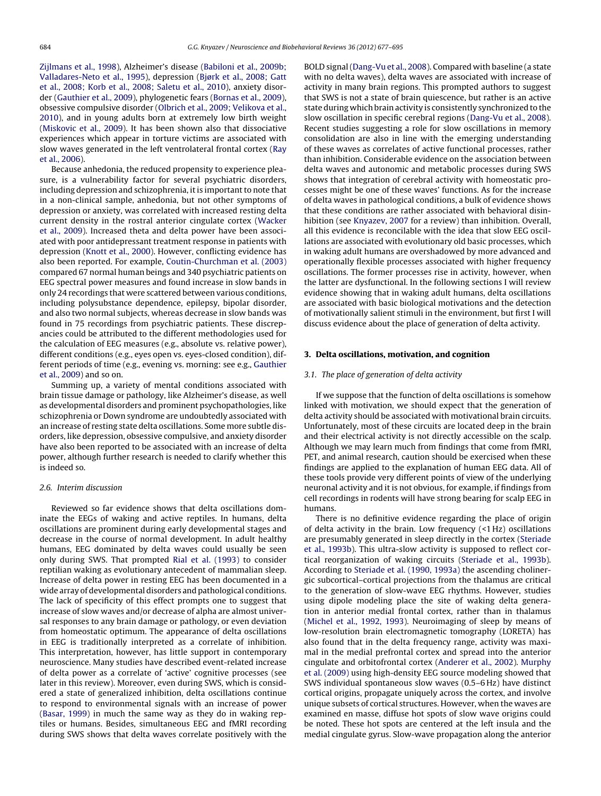[Zijlmans](#page-17-0) et [al.,](#page-17-0) [1998\),](#page-17-0) Alzheimer's disease [\(Babiloni](#page-13-0) et [al.,](#page-13-0) [2009b;](#page-13-0) [Valladares-Neto](#page-13-0) et [al.,](#page-13-0) [1995\),](#page-13-0) depression ([Bjørk](#page-13-0) et [al.,](#page-13-0) [2008;](#page-13-0) [Gatt](#page-13-0) et [al.,](#page-13-0) [2008;](#page-13-0) [Korb](#page-13-0) et [al.,](#page-13-0) [2008;](#page-13-0) [Saletu](#page-13-0) et [al.,](#page-13-0) [2010\),](#page-13-0) anxiety disorder ([Gauthier](#page-14-0) [et](#page-14-0) [al.,](#page-14-0) [2009\),](#page-14-0) phylogenetic fears ([Bornas](#page-13-0) et [al.,](#page-13-0) [2009\),](#page-13-0) obsessive compulsive disorder ([Olbrich](#page-16-0) et [al.,](#page-16-0) [2009;](#page-16-0) [Velikova](#page-16-0) et [al.,](#page-16-0) [2010\),](#page-16-0) and in young adults born at extremely low birth weight ([Miskovic](#page-16-0) et [al.,](#page-16-0) [2009\).](#page-16-0) It has been shown also that dissociative experiences which appear in torture victims are associated with slow waves generated in the left ventrolateral frontal cortex ([Ray](#page-17-0) et [al.,](#page-17-0) [2006\).](#page-17-0)

Because anhedonia, the reduced propensity to experience pleasure, is a vulnerability factor for several psychiatric disorders, including depression and schizophrenia, it is important to note that in a non-clinical sample, anhedonia, but not other symptoms of depression or anxiety, was correlated with increased resting delta current density in the rostral anterior cingulate cortex [\(Wacker](#page-18-0) et [al.,](#page-18-0) [2009\).](#page-18-0) Increased theta and delta power have been associated with poor antidepressant treatment response in patients with depression [\(Knott](#page-15-0) et [al.,](#page-15-0) [2000\).](#page-15-0) However, conflicting evidence has also been reported. For example, [Coutin-Churchman](#page-14-0) et [al.](#page-14-0) [\(2003\)](#page-14-0) compared 67 normal human beings and 340 psychiatric patients on EEG spectral power measures and found increase in slow bands in only 24 recordings that were scattered between various conditions, including polysubstance dependence, epilepsy, bipolar disorder, and also two normal subjects, whereas decrease in slow bands was found in 75 recordings from psychiatric patients. These discrepancies could be attributed to the different methodologies used for the calculation of EEG measures (e.g., absolute vs. relative power), different conditions (e.g., eyes open vs. eyes-closed condition), different periods of time (e.g., evening vs. morning: see e.g., [Gauthier](#page-14-0) et [al.,](#page-14-0) [2009\)](#page-14-0) and so on.

Summing up, a variety of mental conditions associated with brain tissue damage or pathology, like Alzheimer's disease, as well as developmental disorders and prominent psychopathologies, like schizophrenia or Down syndrome are undoubtedly associated with an increase of resting state delta oscillations. Some more subtle disorders, like depression, obsessive compulsive, and anxiety disorder have also been reported to be associated with an increase of delta power, although further research is needed to clarify whether this is indeed so.

#### 2.6. Interim discussion

Reviewed so far evidence shows that delta oscillations dominate the EEGs of waking and active reptiles. In humans, delta oscillations are prominent during early developmental stages and decrease in the course of normal development. In adult healthy humans, EEG dominated by delta waves could usually be seen only during SWS. That prompted [Rial](#page-17-0) et [al.](#page-17-0) [\(1993\)](#page-17-0) to consider reptilian waking as evolutionary antecedent of mammalian sleep. Increase of delta power in resting EEG has been documented in a wide array of developmental disorders and pathological conditions. The lack of specificity of this effect prompts one to suggest that increase of slow waves and/or decrease of alpha are almost universal responses to any brain damage or pathology, or even deviation from homeostatic optimum. The appearance of delta oscillations in EEG is traditionally interpreted as a correlate of inhibition. This interpretation, however, has little support in contemporary neuroscience. Many studies have described event-related increase of delta power as a correlate of 'active' cognitive processes (see later in this review). Moreover, even during SWS, which is considered a state of generalized inhibition, delta oscillations continue to respond to environmental signals with an increase of power ([Basar,](#page-13-0) [1999\)](#page-13-0) in much the same way as they do in waking reptiles or humans. Besides, simultaneous EEG and fMRI recording during SWS shows that delta waves correlate positively with the

BOLD signal([Dang-Vu](#page-14-0) et [al.,](#page-14-0) [2008\).](#page-14-0) Compared with baseline (a state with no delta waves), delta waves are associated with increase of activity in many brain regions. This prompted authors to suggest that SWS is not a state of brain quiescence, but rather is an active state during which brain activity is consistently synchronized to the slow oscillation in specific cerebral regions [\(Dang-Vu](#page-14-0) [et](#page-14-0) [al.,](#page-14-0) [2008\).](#page-14-0) Recent studies suggesting a role for slow oscillations in memory consolidation are also in line with the emerging understanding of these waves as correlates of active functional processes, rather than inhibition. Considerable evidence on the association between delta waves and autonomic and metabolic processes during SWS shows that integration of cerebral activity with homeostatic processes might be one of these waves' functions. As for the increase of delta waves in pathological conditions, a bulk of evidence shows that these conditions are rather associated with behavioral disinhibition (see [Knyazev,](#page-15-0) [2007](#page-15-0) for a review) than inhibition. Overall, all this evidence is reconcilable with the idea that slow EEG oscillations are associated with evolutionary old basic processes, which in waking adult humans are overshadowed by more advanced and operationally flexible processes associated with higher frequency oscillations. The former processes rise in activity, however, when the latter are dysfunctional. In the following sections I will review evidence showing that in waking adult humans, delta oscillations are associated with basic biological motivations and the detection of motivationally salient stimuli in the environment, but first I will discuss evidence about the place of generation of delta activity.

#### **3. Delta oscillations, motivation, and cognition**

#### 3.1. The place of generation of delta activity

If we suppose that the function of delta oscillations is somehow linked with motivation, we should expect that the generation of delta activity should be associated with motivational brain circuits. Unfortunately, most of these circuits are located deep in the brain and their electrical activity is not directly accessible on the scalp. Although we may learn much from findings that come from fMRI, PET, and animal research, caution should be exercised when these findings are applied to the explanation of human EEG data. All of these tools provide very different points of view of the underlying neuronal activity and it is not obvious, for example, if findings from cell recordings in rodents will have strong bearing for scalp EEG in humans.

There is no definitive evidence regarding the place of origin of delta activity in the brain. Low frequency (<1 Hz) oscillations are presumably generated in sleep directly in the cortex ([Steriade](#page-17-0) et [al.,](#page-17-0) [1993b\).](#page-17-0) This ultra-slow activity is supposed to reflect cortical reorganization of waking circuits ([Steriade](#page-17-0) et [al.,](#page-17-0) [1993b\).](#page-17-0) According to [Steriade](#page-17-0) et [al.](#page-17-0) [\(1990,](#page-17-0) [1993a\)](#page-17-0) the ascending cholinergic subcortical–cortical projections from the thalamus are critical to the generation of slow-wave EEG rhythms. However, studies using dipole modeling place the site of waking delta generation in anterior medial frontal cortex, rather than in thalamus [\(Michel](#page-16-0) et [al.,](#page-16-0) [1992,](#page-16-0) [1993\).](#page-16-0) Neuroimaging of sleep by means of low-resolution brain electromagnetic tomography (LORETA) has also found that in the delta frequency range, activity was maximal in the medial prefrontal cortex and spread into the anterior cingulate and orbitofrontal cortex [\(Anderer](#page-13-0) et [al.,](#page-13-0) [2002\).](#page-13-0) [Murphy](#page-16-0) et [al.](#page-16-0) [\(2009\)](#page-16-0) using high-density EEG source modeling showed that SWS individual spontaneous slow waves (0.5–6 Hz) have distinct cortical origins, propagate uniquely across the cortex, and involve unique subsets of cortical structures. However, when the waves are examined en masse, diffuse hot spots of slow wave origins could be noted. These hot spots are centered at the left insula and the medial cingulate gyrus. Slow-wave propagation along the anterior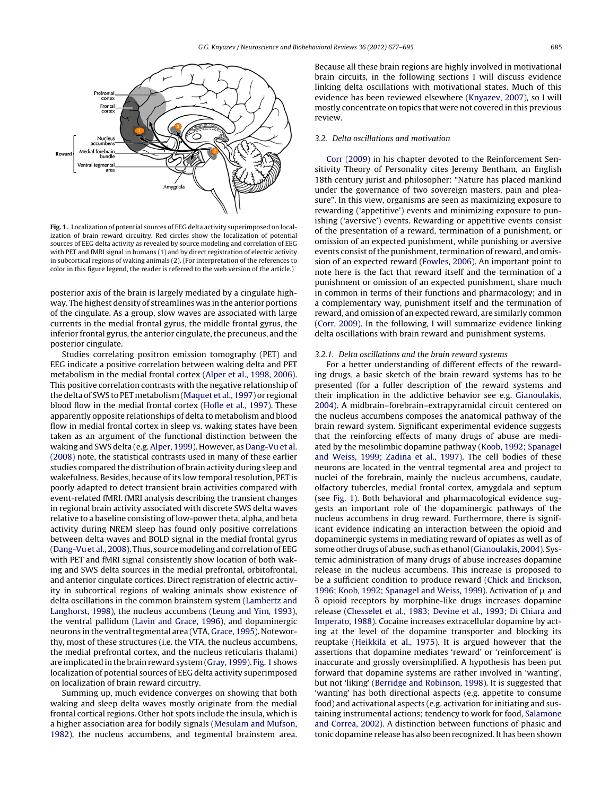

**Fig. 1.** Localization of potential sources of EEG delta activity superimposed on localization of brain reward circuitry. Red circles show the localization of potential sources of EEG delta activity as revealed by source modeling and correlation of EEG with PET and fMRI signal in humans (1) and by direct registration of electric activity in subcortical regions of waking animals (2). (For interpretation of the references to color in this figure legend, the reader is referred to the web version of the article.)

posterior axis of the brain is largely mediated by a cingulate highway. The highest density of streamlines was in the anterior portions of the cingulate. As a group, slow waves are associated with large currents in the medial frontal gyrus, the middle frontal gyrus, the inferior frontal gyrus, the anterior cingulate, the precuneus, and the posterior cingulate.

Studies correlating positron emission tomography (PET) and EEG indicate a positive correlation between waking delta and PET metabolism in the medial frontal cortex ([Alper](#page-13-0) et [al.,](#page-13-0) [1998,](#page-13-0) [2006\).](#page-13-0) This positive correlation contrasts with the negative relationship of the delta of SWS to PET metabolism ([Maquet](#page-16-0) et [al.,](#page-16-0) [1997\)](#page-16-0) or regional blood flow in the medial frontal cortex ([Hofle](#page-15-0) et [al.,](#page-15-0) [1997\).](#page-15-0) These apparently opposite relationships of delta to metabolism and blood flow in medial frontal cortex in sleep vs. waking states have been taken as an argument of the functional distinction between the waking and SWS delta (e.g. [Alper,](#page-13-0) [1999\).](#page-13-0) However, as [Dang-Vu](#page-14-0) et [al.](#page-14-0) [\(2008\)](#page-14-0) note, the statistical contrasts used in many of these earlier studies compared the distribution of brain activity during sleep and wakefulness. Besides, because of its low temporal resolution, PET is poorly adapted to detect transient brain activities compared with event-related fMRI. fMRI analysis describing the transient changes in regional brain activity associated with discrete SWS delta waves relative to a baseline consisting of low-power theta, alpha, and beta activity during NREM sleep has found only positive correlations between delta waves and BOLD signal in the medial frontal gyrus ([Dang-Vue](#page-14-0)t [al.,](#page-14-0) [2008\).](#page-14-0) Thus, source modeling and correlation of EEG with PET and fMRI signal consistently show location of both waking and SWS delta sources in the medial prefrontal, orbitofrontal, and anterior cingulate cortices. Direct registration of electric activity in subcortical regions of waking animals show existence of delta oscillations in the common brainstem system [\(Lambertz](#page-16-0) [and](#page-16-0) [Langhorst,](#page-16-0) [1998\),](#page-16-0) the nucleus accumbens ([Leung](#page-16-0) [and](#page-16-0) [Yim,](#page-16-0) [1993\),](#page-16-0) the ventral pallidum [\(Lavin](#page-16-0) [and](#page-16-0) [Grace,](#page-16-0) [1996\),](#page-16-0) and dopaminergic neurons in the ventral tegmental area (VTA, [Grace,](#page-15-0) [1995\).](#page-15-0) Noteworthy, most of these structures (i.e. the VTA, the nucleus accumbens, the medial prefrontal cortex, and the nucleus reticularis thalami) are implicated in the brain reward system ([Gray,](#page-15-0) [1999\).](#page-15-0) Fig. 1 shows localization of potential sources of EEG delta activity superimposed on localization of brain reward circuitry.

Summing up, much evidence converges on showing that both waking and sleep delta waves mostly originate from the medial frontal cortical regions. Other hot spots include the insula, which is a higher association area for bodily signals ([Mesulam](#page-16-0) [and](#page-16-0) [Mufson,](#page-16-0) [1982\),](#page-16-0) the nucleus accumbens, and tegmental brainstem area.

Because all these brain regions are highly involved in motivational brain circuits, in the following sections I will discuss evidence linking delta oscillations with motivational states. Much of this evidence has been reviewed elsewhere [\(Knyazev,](#page-15-0) [2007\),](#page-15-0) so I will mostly concentrate on topics that were not covered in this previous review.

#### 3.2. Delta oscillations and motivation

[Corr](#page-14-0) [\(2009\)](#page-14-0) in his chapter devoted to the Reinforcement Sensitivity Theory of Personality cites Jeremy Bentham, an English 18th century jurist and philosopher: "Nature has placed mankind under the governance of two sovereign masters, pain and pleasure". In this view, organisms are seen as maximizing exposure to rewarding ('appetitive') events and minimizing exposure to punishing ('aversive') events. Rewarding or appetitive events consist of the presentation of a reward, termination of a punishment, or omission of an expected punishment, while punishing or aversive events consist of the punishment, termination of reward, and omission of an expected reward ([Fowles,](#page-14-0) [2006\).](#page-14-0) An important point to note here is the fact that reward itself and the termination of a punishment or omission of an expected punishment, share much in common in terms of their functions and pharmacology; and in a complementary way, punishment itself and the termination of reward, and omission of an expected reward, are similarly common [\(Corr,](#page-14-0) [2009\).](#page-14-0) In the following, I will summarize evidence linking delta oscillations with brain reward and punishment systems.

#### 3.2.1. Delta oscillations and the brain reward systems

For a better understanding of different effects of the rewarding drugs, a basic sketch of the brain reward systems has to be presented (for a fuller description of the reward systems and their implication in the addictive behavior see e.g. [Gianoulakis,](#page-15-0) [2004\).](#page-15-0) A midbrain–forebrain–extrapyramidal circuit centered on the nucleus accumbens composes the anatomical pathway of the brain reward system. Significant experimental evidence suggests that the reinforcing effects of many drugs of abuse are mediated by the mesolimbic dopamine pathway ([Koob,](#page-15-0) [1992;](#page-15-0) [Spanagel](#page-15-0) [and](#page-15-0) [Weiss,](#page-15-0) [1999;](#page-15-0) [Zadina](#page-15-0) et [al.,](#page-15-0) [1997\).](#page-15-0) The cell bodies of these neurons are located in the ventral tegmental area and project to nuclei of the forebrain, mainly the nucleus accumbens, caudate, olfactory tubercles, medial frontal cortex, amygdala and septum (see Fig. 1). Both behavioral and pharmacological evidence suggests an important role of the dopaminergic pathways of the nucleus accumbens in drug reward. Furthermore, there is significant evidence indicating an interaction between the opioid and dopaminergic systems in mediating reward of opiates as well as of some other drugs of abuse, such as ethanol [\(Gianoulakis,](#page-15-0) [2004\).](#page-15-0) Systemic administration of many drugs of abuse increases dopamine release in the nucleus accumbens. This increase is proposed to be a sufficient condition to produce reward [\(Chick](#page-14-0) [and](#page-14-0) [Erickson,](#page-14-0) [1996;](#page-14-0) [Koob,](#page-14-0) [1992;](#page-14-0) [Spanagel](#page-14-0) [and](#page-14-0) [Weiss,](#page-14-0) [1999\).](#page-14-0) Activation of  $\mu$  and  $\delta$  opioid receptors by morphine-like drugs increases dopamine release [\(Chesselet](#page-14-0) et [al.,](#page-14-0) [1983;](#page-14-0) [Devine](#page-14-0) et [al.,](#page-14-0) [1993;](#page-14-0) [Di](#page-14-0) [Chiara](#page-14-0) [and](#page-14-0) [Imperato,](#page-14-0) [1988\).](#page-14-0) Cocaine increases extracellular dopamine by acting at the level of the dopamine transporter and blocking its reuptake [\(Heikkila](#page-15-0) et [al.,](#page-15-0) [1975\).](#page-15-0) It is argued however that the assertions that dopamine mediates 'reward' or 'reinforcement' is inaccurate and grossly oversimplified. A hypothesis has been put forward that dopamine systems are rather involved in 'wanting', but not 'liking' [\(Berridge](#page-13-0) [and](#page-13-0) [Robinson,](#page-13-0) [1998\).](#page-13-0) It is suggested that 'wanting' has both directional aspects (e.g. appetite to consume food) and activational aspects (e.g. activation for initiating and sustaining instrumental actions; tendency to work for food, [Salamone](#page-17-0) [and](#page-17-0) [Correa,](#page-17-0) [2002\).](#page-17-0) A distinction between functions of phasic and tonic dopamine release has also been recognized. It has been shown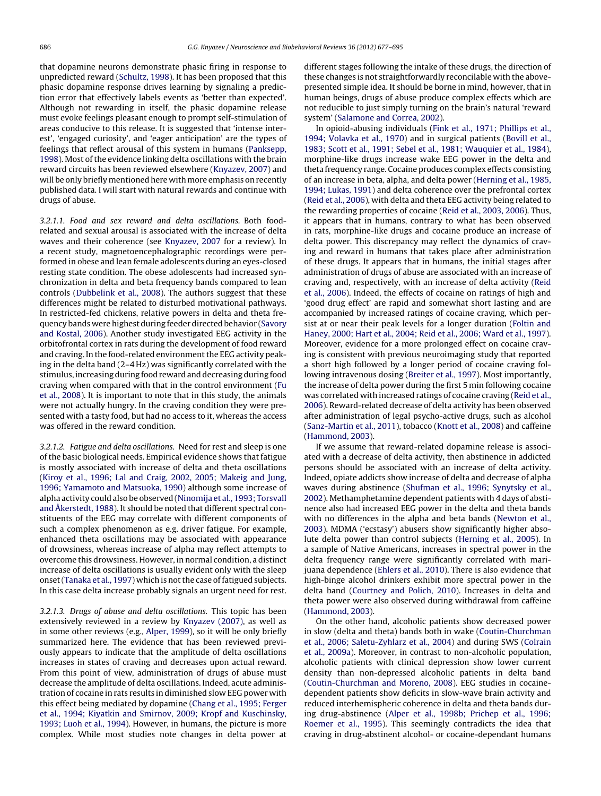that dopamine neurons demonstrate phasic firing in response to unpredicted reward ([Schultz,](#page-17-0) [1998\).](#page-17-0) It has been proposed that this phasic dopamine response drives learning by signaling a prediction error that effectively labels events as 'better than expected'. Although not rewarding in itself, the phasic dopamine release must evoke feelings pleasant enough to prompt self-stimulation of areas conducive to this release. It is suggested that 'intense interest', 'engaged curiosity', and 'eager anticipation' are the types of feelings that reflect arousal of this system in humans ([Panksepp,](#page-16-0) [1998\).](#page-16-0) Most of the evidence linking delta oscillations with the brain reward circuits has been reviewed elsewhere ([Knyazev,](#page-15-0) [2007\)](#page-15-0) and will be only briefly mentioned here with more emphasis on recently published data. I will start with natural rewards and continue with drugs of abuse.

3.2.1.1. Food and sex reward and delta oscillations. Both foodrelated and sexual arousal is associated with the increase of delta waves and their coherence (see [Knyazev,](#page-15-0) [2007](#page-15-0) for a review). In a recent study, magnetoencephalographic recordings were performed in obese and lean female adolescents during an eyes-closed resting state condition. The obese adolescents had increased synchronization in delta and beta frequency bands compared to lean controls [\(Dubbelink](#page-14-0) et [al.,](#page-14-0) [2008\).](#page-14-0) The authors suggest that these differences might be related to disturbed motivational pathways. In restricted-fed chickens, relative powers in delta and theta frequency bands were highest during feeder directed behavior ([Savory](#page-17-0) [and](#page-17-0) [Kostal,](#page-17-0) [2006\).](#page-17-0) Another study investigated EEG activity in the orbitofrontal cortex in rats during the development of food reward and craving. In the food-related environment the EEG activity peaking in the delta band (2–4 Hz) was significantly correlated with the stimulus, increasing during food reward and decreasing during food craving when compared with that in the control environment [\(Fu](#page-14-0) et [al.,](#page-14-0) [2008\).](#page-14-0) It is important to note that in this study, the animals were not actually hungry. In the craving condition they were presented with a tasty food, but had no access to it, whereas the access was offered in the reward condition.

3.2.1.2. Fatigue and delta oscillations. Need for rest and sleep is one of the basic biological needs. Empirical evidence shows that fatigue is mostly associated with increase of delta and theta oscillations ([Kiroy](#page-15-0) [et](#page-15-0) [al.,](#page-15-0) [1996;](#page-15-0) [Lal](#page-15-0) [and](#page-15-0) [Craig,](#page-15-0) [2002,](#page-15-0) [2005;](#page-15-0) [Makeig](#page-15-0) [and](#page-15-0) [Jung,](#page-15-0) [1996;](#page-15-0) [Yamamoto](#page-15-0) [and](#page-15-0) [Matsuoka,](#page-15-0) [1990\)](#page-15-0) although some increase of alpha activity could also be observed ([Ninomija](#page-16-0) et [al.,](#page-16-0) [1993;](#page-16-0) [Torsvall](#page-16-0) [and](#page-16-0) [Åkerstedt,](#page-16-0) [1988\).](#page-16-0) It should be noted that different spectral constituents of the EEG may correlate with different components of such a complex phenomenon as e.g. driver fatigue. For example, enhanced theta oscillations may be associated with appearance of drowsiness, whereas increase of alpha may reflect attempts to overcome this drowsiness. However, in normal condition, a distinct increase of delta oscillations is usually evident only with the sleep onset [\(Tanaka](#page-18-0) et [al.,](#page-18-0) [1997\)](#page-18-0) which is not the case of fatigued subjects. In this case delta increase probably signals an urgent need for rest.

3.2.1.3. Drugs of abuse and delta oscillations. This topic has been extensively reviewed in a review by [Knyazev](#page-15-0) [\(2007\),](#page-15-0) as well as in some other reviews (e.g., [Alper,](#page-13-0) [1999\),](#page-13-0) so it will be only briefly summarized here. The evidence that has been reviewed previously appears to indicate that the amplitude of delta oscillations increases in states of craving and decreases upon actual reward. From this point of view, administration of drugs of abuse must decrease the amplitude of delta oscillations. Indeed, acute administration of cocaine in rats results in diminished slow EEG power with this effect being mediated by dopamine [\(Chang](#page-14-0) et [al.,](#page-14-0) [1995;](#page-14-0) [Ferger](#page-14-0) et [al.,](#page-14-0) [1994;](#page-14-0) [Kiyatkin](#page-14-0) [and](#page-14-0) [Smirnov,](#page-14-0) [2009;](#page-14-0) [Kropf](#page-14-0) [and](#page-14-0) [Kuschinsky,](#page-14-0) [1993;](#page-14-0) [Luoh](#page-14-0) et [al.,](#page-14-0) [1994\).](#page-14-0) However, in humans, the picture is more complex. While most studies note changes in delta power at

different stages following the intake of these drugs, the direction of these changes is not straightforwardly reconcilable with the abovepresented simple idea. It should be borne in mind, however, that in human beings, drugs of abuse produce complex effects which are not reducible to just simply turning on the brain's natural 'reward system' ([Salamone](#page-17-0) [and](#page-17-0) [Correa,](#page-17-0) [2002\).](#page-17-0)

In opioid-abusing individuals ([Fink](#page-14-0) [et](#page-14-0) [al.,](#page-14-0) [1971;](#page-14-0) [Phillips](#page-14-0) et [al.,](#page-14-0) [1994;](#page-14-0) [Volavka](#page-14-0) et [al.,](#page-14-0) [1970\)](#page-14-0) and in surgical patients [\(Bovill](#page-13-0) et [al.,](#page-13-0) [1983;](#page-13-0) [Scott](#page-13-0) et [al.,](#page-13-0) [1991;](#page-13-0) [Sebel](#page-13-0) et [al.,](#page-13-0) [1981;](#page-13-0) [Wauquier](#page-13-0) et [al.,](#page-13-0) [1984\),](#page-13-0) morphine-like drugs increase wake EEG power in the delta and theta frequency range.Cocaine produces complex effects consisting of an increase in beta, alpha, and delta power [\(Herning](#page-15-0) et [al.,](#page-15-0) [1985,](#page-15-0) [1994;](#page-15-0) [Lukas,](#page-15-0) [1991\)](#page-15-0) and delta coherence over the prefrontal cortex [\(Reid](#page-17-0) et [al.,](#page-17-0) [2006\),](#page-17-0) with delta and theta EEG activity being related to the rewarding properties of cocaine [\(Reid](#page-17-0) et [al.,](#page-17-0) [2003,](#page-17-0) [2006\).](#page-17-0) Thus, it appears that in humans, contrary to what has been observed in rats, morphine-like drugs and cocaine produce an increase of delta power. This discrepancy may reflect the dynamics of craving and reward in humans that takes place after administration of these drugs. It appears that in humans, the initial stages after administration of drugs of abuse are associated with an increase of craving and, respectively, with an increase of delta activity [\(Reid](#page-17-0) et [al.,](#page-17-0) [2006\).](#page-17-0) Indeed, the effects of cocaine on ratings of high and 'good drug effect' are rapid and somewhat short lasting and are accompanied by increased ratings of cocaine craving, which persist at or near their peak levels for a longer duration ([Foltin](#page-14-0) [and](#page-14-0) [Haney,](#page-14-0) [2000;](#page-14-0) [Hart](#page-14-0) et [al.,](#page-14-0) [2004;](#page-14-0) [Reid](#page-14-0) et [al.,](#page-14-0) [2006;](#page-14-0) [Ward](#page-14-0) et [al.,](#page-14-0) [1997\).](#page-14-0) Moreover, evidence for a more prolonged effect on cocaine craving is consistent with previous neuroimaging study that reported a short high followed by a longer period of cocaine craving following intravenous dosing ([Breiter](#page-13-0) et [al.,](#page-13-0) [1997\).](#page-13-0) Most importantly, the increase of delta power during the first 5 min following cocaine was correlated with increased ratings of cocaine craving [\(Reid](#page-17-0) et [al.,](#page-17-0) [2006\).](#page-17-0) Reward-related decrease of delta activity has been observed after administration of legal psycho-active drugs, such as alcohol [\(Sanz-Martin](#page-17-0) et [al.,](#page-17-0) [2011\),](#page-17-0) tobacco ([Knott](#page-15-0) et [al.,](#page-15-0) [2008\)](#page-15-0) and caffeine [\(Hammond,](#page-15-0) [2003\).](#page-15-0)

If we assume that reward-related dopamine release is associated with a decrease of delta activity, then abstinence in addicted persons should be associated with an increase of delta activity. Indeed, opiate addicts show increase of delta and decrease of alpha waves during abstinence [\(Shufman](#page-17-0) et [al.,](#page-17-0) [1996;](#page-17-0) [Synytsky](#page-17-0) et [al.,](#page-17-0) [2002\).](#page-17-0) Methamphetamine dependent patients with 4 days of abstinence also had increased EEG power in the delta and theta bands with no differences in the alpha and beta bands ([Newton](#page-16-0) et [al.,](#page-16-0) [2003\).](#page-16-0) MDMA ('ecstasy') abusers show significantly higher absolute delta power than control subjects ([Herning](#page-15-0) et [al.,](#page-15-0) [2005\).](#page-15-0) In a sample of Native Americans, increases in spectral power in the delta frequency range were significantly correlated with marijuana dependence [\(Ehlers](#page-14-0) et [al.,](#page-14-0) [2010\).](#page-14-0) There is also evidence that high-binge alcohol drinkers exhibit more spectral power in the delta band ([Courtney](#page-14-0) [and](#page-14-0) [Polich,](#page-14-0) [2010\).](#page-14-0) Increases in delta and theta power were also observed during withdrawal from caffeine [\(Hammond,](#page-15-0) [2003\).](#page-15-0)

On the other hand, alcoholic patients show decreased power in slow (delta and theta) bands both in wake ([Coutin-Churchman](#page-14-0) et [al.,](#page-14-0) [2006;](#page-14-0) [Saletu-Zyhlarz](#page-14-0) et [al.,](#page-14-0) [2004\)](#page-14-0) and during SWS ([Colrain](#page-14-0) et [al.,](#page-14-0) [2009a\).](#page-14-0) Moreover, in contrast to non-alcoholic population, alcoholic patients with clinical depression show lower current density than non-depressed alcoholic patients in delta band [\(Coutin-Churchman](#page-14-0) [and](#page-14-0) [Moreno,](#page-14-0) [2008\).](#page-14-0) EEG studies in cocainedependent patients show deficits in slow-wave brain activity and reduced interhemispheric coherence in delta and theta bands during drug-abstinence ([Alper](#page-13-0) et [al.,](#page-13-0) [1998b;](#page-13-0) [Prichep](#page-13-0) et [al.,](#page-13-0) [1996;](#page-13-0) [Roemer](#page-13-0) et [al.,](#page-13-0) [1995\).](#page-13-0) This seemingly contradicts the idea that craving in drug-abstinent alcohol- or cocaine-dependant humans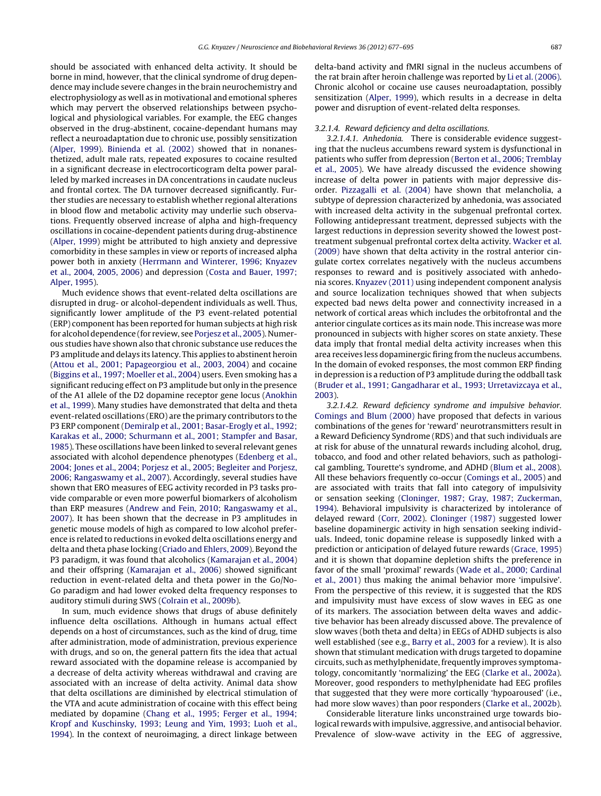should be associated with enhanced delta activity. It should be borne in mind, however, that the clinical syndrome of drug dependence may include severe changes in the brain neurochemistry and electrophysiology as well as in motivational and emotional spheres which may pervert the observed relationships between psychological and physiological variables. For example, the EEG changes observed in the drug-abstinent, cocaine-dependant humans may reflect a neuroadaptation due to chronic use, possibly sensitization ([Alper,](#page-13-0) [1999\).](#page-13-0) [Binienda](#page-13-0) et [al.](#page-13-0) [\(2002\)](#page-13-0) showed that in nonanesthetized, adult male rats, repeated exposures to cocaine resulted in a significant decrease in electrocorticogram delta power paralleled by marked increases in DA concentrations in caudate nucleus and frontal cortex. The DA turnover decreased significantly. Further studies are necessary to establish whether regional alterations in blood flow and metabolic activity may underlie such observations. Frequently observed increase of alpha and high-frequency oscillations in cocaine-dependent patients during drug-abstinence ([Alper,](#page-13-0) [1999\)](#page-13-0) might be attributed to high anxiety and depressive comorbidity in these samples in view or reports of increased alpha power both in anxiety ([Herrmann](#page-15-0) [and](#page-15-0) [Winterer,](#page-15-0) [1996;](#page-15-0) [Knyazev](#page-15-0) et [al.,](#page-15-0) [2004,](#page-15-0) [2005,](#page-15-0) [2006\)](#page-15-0) and depression [\(Costa](#page-14-0) [and](#page-14-0) [Bauer,](#page-14-0) [1997;](#page-14-0) [Alper,](#page-14-0) [1995\).](#page-14-0)

Much evidence shows that event-related delta oscillations are disrupted in drug- or alcohol-dependent individuals as well. Thus, significantly lower amplitude of the P3 event-related potential (ERP) component has been reported for human subjects at high risk for alcohol dependence (for review, see [Porjesz](#page-17-0) et [al.,](#page-17-0) [2005\).](#page-17-0) Numerous studies have shown also that chronic substance use reduces the P3 amplitude and delays its latency. This applies to abstinent heroin ([Attou](#page-13-0) et [al.,](#page-13-0) [2001;](#page-13-0) [Papageorgiou](#page-13-0) et [al.,](#page-13-0) [2003,](#page-13-0) [2004\)](#page-13-0) and cocaine ([Biggins](#page-13-0) et [al.,](#page-13-0) [1997;](#page-13-0) [Moeller](#page-13-0) et [al.,](#page-13-0) [2004\)](#page-13-0) users. Even smoking has a significant reducing effect on P3 amplitude but only in the presence of the A1 allele of the D2 dopamine receptor gene locus ([Anokhin](#page-13-0) et [al.,](#page-13-0) [1999\).](#page-13-0) Many studies have demonstrated that delta and theta event-related oscillations (ERO) are the primary contributors to the P3 ERP component [\(Demiralp](#page-14-0) et [al.,](#page-14-0) [2001;](#page-14-0) [Basar-Erogly](#page-14-0) et [al.,](#page-14-0) [1992;](#page-14-0) [Karakas](#page-14-0) et [al.,](#page-14-0) [2000;](#page-14-0) [Schurmann](#page-14-0) et [al.,](#page-14-0) [2001;](#page-14-0) [Stampfer](#page-14-0) [and](#page-14-0) [Basar,](#page-14-0) [1985\).](#page-14-0) These oscillations have been linked to several relevant genes associated with alcohol dependence phenotypes ([Edenberg](#page-14-0) et [al.,](#page-14-0) [2004;](#page-14-0) [Jones](#page-14-0) et [al.,](#page-14-0) [2004;](#page-14-0) [Porjesz](#page-14-0) et [al.,](#page-14-0) [2005;](#page-14-0) [Begleiter](#page-14-0) [and](#page-14-0) [Porjesz,](#page-14-0) [2006;](#page-14-0) [Rangaswamy](#page-14-0) et [al.,](#page-14-0) [2007\).](#page-14-0) Accordingly, several studies have shown that ERO measures of EEG activity recorded in P3 tasks provide comparable or even more powerful biomarkers of alcoholism than ERP measures [\(Andrew](#page-13-0) [and](#page-13-0) [Fein,](#page-13-0) [2010;](#page-13-0) [Rangaswamy](#page-13-0) [et](#page-13-0) [al.,](#page-13-0) [2007\).](#page-13-0) It has been shown that the decrease in P3 amplitudes in genetic mouse models of high as compared to low alcohol preference is related to reductions in evoked delta oscillations energy and delta and theta phase locking ([Criado](#page-14-0) [and](#page-14-0) [Ehlers,](#page-14-0) [2009\).](#page-14-0) Beyond the P3 paradigm, it was found that alcoholics ([Kamarajan](#page-15-0) et [al.,](#page-15-0) [2004\)](#page-15-0) and their offspring [\(Kamarajan](#page-15-0) et [al.,](#page-15-0) [2006\)](#page-15-0) showed significant reduction in event-related delta and theta power in the Go/No-Go paradigm and had lower evoked delta frequency responses to auditory stimuli during SWS [\(Colrain](#page-14-0) et [al.,](#page-14-0) [2009b\).](#page-14-0)

In sum, much evidence shows that drugs of abuse definitely influence delta oscillations. Although in humans actual effect depends on a host of circumstances, such as the kind of drug, time after administration, mode of administration, previous experience with drugs, and so on, the general pattern fits the idea that actual reward associated with the dopamine release is accompanied by a decrease of delta activity whereas withdrawal and craving are associated with an increase of delta activity. Animal data show that delta oscillations are diminished by electrical stimulation of the VTA and acute administration of cocaine with this effect being mediated by dopamine ([Chang](#page-14-0) et [al.,](#page-14-0) [1995;](#page-14-0) [Ferger](#page-14-0) et [al.,](#page-14-0) [1994;](#page-14-0) [Kropf](#page-14-0) [and](#page-14-0) [Kuschinsky,](#page-14-0) [1993;](#page-14-0) [Leung](#page-14-0) [and](#page-14-0) [Yim,](#page-14-0) [1993;](#page-14-0) [Luoh](#page-14-0) et [al.,](#page-14-0) [1994\).](#page-14-0) In the context of neuroimaging, a direct linkage between delta-band activity and fMRI signal in the nucleus accumbens of the rat brain after heroin challenge was reported by [Li](#page-16-0) et [al.](#page-16-0) [\(2006\).](#page-16-0) Chronic alcohol or cocaine use causes neuroadaptation, possibly sensitization [\(Alper,](#page-13-0) [1999\),](#page-13-0) which results in a decrease in delta power and disruption of event-related delta responses.

# 3.2.1.4. Reward deficiency and delta oscillations.

3.2.1.4.1. Anhedonia. There is considerable evidence suggesting that the nucleus accumbens reward system is dysfunctional in patients who suffer from depression [\(Berton](#page-13-0) et [al.,](#page-13-0) [2006;](#page-13-0) [Tremblay](#page-13-0) et [al.,](#page-13-0) [2005\).](#page-13-0) We have already discussed the evidence showing increase of delta power in patients with major depressive disorder. [Pizzagalli](#page-17-0) et [al.](#page-17-0) [\(2004\)](#page-17-0) have shown that melancholia, a subtype of depression characterized by anhedonia, was associated with increased delta activity in the subgenual prefrontal cortex. Following antidepressant treatment, depressed subjects with the largest reductions in depression severity showed the lowest posttreatment subgenual prefrontal cortex delta activity. [Wacker](#page-18-0) et [al.](#page-18-0) [\(2009\)](#page-18-0) have shown that delta activity in the rostral anterior cingulate cortex correlates negatively with the nucleus accumbens responses to reward and is positively associated with anhedonia scores. [Knyazev](#page-15-0) [\(2011\)](#page-15-0) using independent component analysis and source localization techniques showed that when subjects expected bad news delta power and connectivity increased in a network of cortical areas which includes the orbitofrontal and the anterior cingulate cortices as its main node. This increase was more pronounced in subjects with higher scores on state anxiety. These data imply that frontal medial delta activity increases when this area receives less dopaminergic firing from the nucleus accumbens. In the domain of evoked responses, the most common ERP finding in depression is a reduction of P3 amplitude during the oddball task [\(Bruder](#page-13-0) et [al.,](#page-13-0) [1991;](#page-13-0) [Gangadharar](#page-13-0) et [al.,](#page-13-0) [1993;](#page-13-0) [Urretavizcaya](#page-13-0) et [al.,](#page-13-0) [2003\).](#page-13-0)

3.2.1.4.2. Reward deficiency syndrome and impulsive behavior. [Comings](#page-14-0) [and](#page-14-0) [Blum](#page-14-0) [\(2000\)](#page-14-0) have proposed that defects in various combinations of the genes for 'reward' neurotransmitters result in a Reward Deficiency Syndrome (RDS) and that such individuals are at risk for abuse of the unnatural rewards including alcohol, drug, tobacco, and food and other related behaviors, such as pathological gambling, Tourette's syndrome, and ADHD [\(Blum](#page-13-0) et [al.,](#page-13-0) [2008\).](#page-13-0) All these behaviors frequently co-occur [\(Comings](#page-14-0) et [al.,](#page-14-0) [2005\)](#page-14-0) and are associated with traits that fall into category of impulsivity or sensation seeking [\(Cloninger,](#page-14-0) [1987;](#page-14-0) [Gray,](#page-14-0) [1987;](#page-14-0) [Zuckerman,](#page-14-0) [1994\).](#page-14-0) Behavioral impulsivity is characterized by intolerance of delayed reward [\(Corr,](#page-14-0) [2002\).](#page-14-0) [Cloninger](#page-14-0) [\(1987\)](#page-14-0) suggested lower baseline dopaminergic activity in high sensation seeking individuals. Indeed, tonic dopamine release is supposedly linked with a prediction or anticipation of delayed future rewards ([Grace,](#page-15-0) [1995\)](#page-15-0) and it is shown that dopamine depletion shifts the preference in favor of the small 'proximal' rewards ([Wade](#page-18-0) et [al.,](#page-18-0) [2000;](#page-18-0) [Cardinal](#page-18-0) et [al.,](#page-18-0) [2001\)](#page-18-0) thus making the animal behavior more 'impulsive'. From the perspective of this review, it is suggested that the RDS and impulsivity must have excess of slow waves in EEG as one of its markers. The association between delta waves and addictive behavior has been already discussed above. The prevalence of slow waves (both theta and delta) in EEGs of ADHD subjects is also well established (see e.g., [Barry](#page-13-0) et [al.,](#page-13-0) [2003](#page-13-0) for a review). It is also shown that stimulant medication with drugs targeted to dopamine circuits, such as methylphenidate, frequently improves symptomatology, concomitantly 'normalizing' the EEG ([Clarke](#page-14-0) et [al.,](#page-14-0) [2002a\).](#page-14-0) Moreover, good responders to methylphenidate had EEG profiles that suggested that they were more cortically 'hypoaroused' (i.e., had more slow waves) than poor responders ([Clarke](#page-14-0) et [al.,](#page-14-0) [2002b\).](#page-14-0)

Considerable literature links unconstrained urge towards biological rewards with impulsive, aggressive, and antisocial behavior. Prevalence of slow-wave activity in the EEG of aggressive,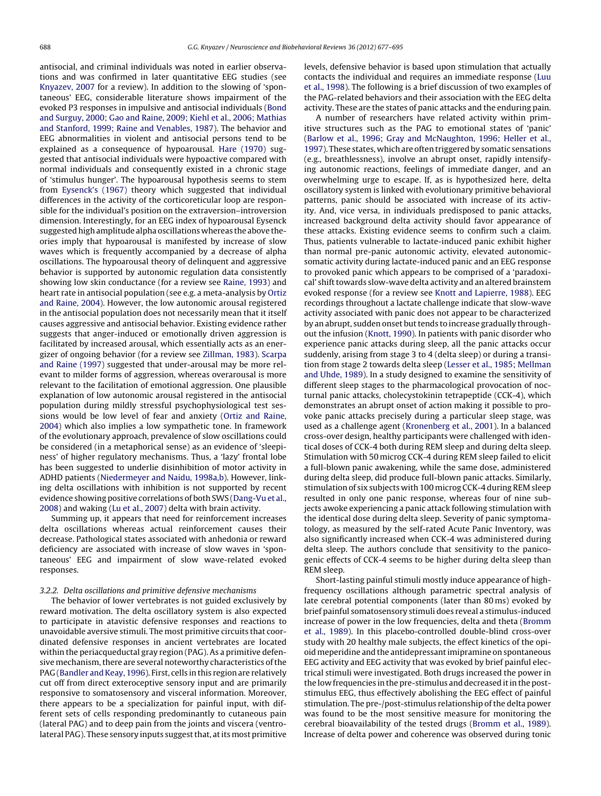antisocial, and criminal individuals was noted in earlier observations and was confirmed in later quantitative EEG studies (see [Knyazev,](#page-15-0) [2007](#page-15-0) for a review). In addition to the slowing of 'spontaneous' EEG, considerable literature shows impairment of the evoked P3 responses in impulsive and antisocial individuals ([Bond](#page-13-0) [and](#page-13-0) [Surguy,](#page-13-0) [2000;](#page-13-0) [Gao](#page-13-0) [and](#page-13-0) [Raine,](#page-13-0) [2009;](#page-13-0) [Kiehl](#page-13-0) et [al.,](#page-13-0) [2006;](#page-13-0) [Mathias](#page-13-0) [and](#page-13-0) [Stanford,](#page-13-0) [1999;](#page-13-0) [Raine](#page-13-0) [and](#page-13-0) [Venables,](#page-13-0) [1987\).](#page-13-0) The behavior and EEG abnormalities in violent and antisocial persons tend to be explained as a consequence of hypoarousal. [Hare](#page-15-0) [\(1970\)](#page-15-0) suggested that antisocial individuals were hypoactive compared with normal individuals and consequently existed in a chronic stage of 'stimulus hunger'. The hypoarousal hypothesis seems to stem from [Eysenck's](#page-14-0) [\(1967\)](#page-14-0) theory which suggested that individual differences in the activity of the corticoreticular loop are responsible for the individual's position on the extraversion–introversion dimension. Interestingly, for an EEG index of hypoarousal Eysenck suggested high amplitude alpha oscillations whereas the above theories imply that hypoarousal is manifested by increase of slow waves which is frequently accompanied by a decrease of alpha oscillations. The hypoarousal theory of delinquent and aggressive behavior is supported by autonomic regulation data consistently showing low skin conductance (for a review see [Raine,](#page-17-0) [1993\)](#page-17-0) and heart rate in antisocial population (see e.g. a meta-analysis by [Ortiz](#page-16-0) [and](#page-16-0) [Raine,](#page-16-0) [2004\).](#page-16-0) However, the low autonomic arousal registered in the antisocial population does not necessarily mean that it itself causes aggressive and antisocial behavior. Existing evidence rather suggests that anger-induced or emotionally driven aggression is facilitated by increased arousal, which essentially acts as an energizer of ongoing behavior (for a review see [Zillman,](#page-18-0) [1983\).](#page-18-0) [Scarpa](#page-17-0) [and](#page-17-0) [Raine](#page-17-0) [\(1997\)](#page-17-0) suggested that under-arousal may be more relevant to milder forms of aggression, whereas overarousal is more relevant to the facilitation of emotional aggression. One plausible explanation of low autonomic arousal registered in the antisocial population during mildly stressful psychophysiological test sessions would be low level of fear and anxiety [\(Ortiz](#page-16-0) [and](#page-16-0) [Raine,](#page-16-0) [2004\)](#page-16-0) which also implies a low sympathetic tone. In framework of the evolutionary approach, prevalence of slow oscillations could be considered (in a metaphorical sense) as an evidence of 'sleepiness' of higher regulatory mechanisms. Thus, a 'lazy' frontal lobe has been suggested to underlie disinhibition of motor activity in ADHD patients ([Niedermeyer](#page-16-0) [and](#page-16-0) [Naidu,](#page-16-0) [1998a,b\).](#page-16-0) However, linking delta oscillations with inhibition is not supported by recent evidence showing positive correlations of both SWS [\(Dang-Vu](#page-14-0) et [al.,](#page-14-0) [2008\)](#page-14-0) and waking ([Lu](#page-16-0) et [al.,](#page-16-0) [2007\)](#page-16-0) delta with brain activity.

Summing up, it appears that need for reinforcement increases delta oscillations whereas actual reinforcement causes their decrease. Pathological states associated with anhedonia or reward deficiency are associated with increase of slow waves in 'spontaneous' EEG and impairment of slow wave-related evoked responses.

#### 3.2.2. Delta oscillations and primitive defensive mechanisms

The behavior of lower vertebrates is not guided exclusively by reward motivation. The delta oscillatory system is also expected to participate in atavistic defensive responses and reactions to unavoidable aversive stimuli. The most primitive circuits that coordinated defensive responses in ancient vertebrates are located within the periacqueductal gray region (PAG). As a primitive defensive mechanism, there are several noteworthy characteristics of the PAG [\(Bandler](#page-13-0) and Keay, [1996\).](#page-13-0) First, cells in this region are relatively cut off from direct exteroceptive sensory input and are primarily responsive to somatosensory and visceral information. Moreover, there appears to be a specialization for painful input, with different sets of cells responding predominantly to cutaneous pain (lateral PAG) and to deep pain from the joints and viscera (ventrolateral PAG). These sensory inputs suggest that, at its most primitive levels, defensive behavior is based upon stimulation that actually contacts the individual and requires an immediate response ([Luu](#page-16-0) et [al.,](#page-16-0) [1998\).](#page-16-0) The following is a brief discussion of two examples of the PAG-related behaviors and their association with the EEG delta activity. These are the states of panic attacks and the enduring pain.

A number of researchers have related activity within primitive structures such as the PAG to emotional states of 'panic' [\(Barlow](#page-13-0) et [al.,](#page-13-0) [1996;](#page-13-0) [Gray](#page-13-0) [and](#page-13-0) [McNaughton,](#page-13-0) [1996;](#page-13-0) [Heller](#page-13-0) et [al.,](#page-13-0) [1997\).](#page-13-0) These states, which are often triggered by somatic sensations (e.g., breathlessness), involve an abrupt onset, rapidly intensifying autonomic reactions, feelings of immediate danger, and an overwhelming urge to escape. If, as is hypothesized here, delta oscillatory system is linked with evolutionary primitive behavioral patterns, panic should be associated with increase of its activity. And, vice versa, in individuals predisposed to panic attacks, increased background delta activity should favor appearance of these attacks. Existing evidence seems to confirm such a claim. Thus, patients vulnerable to lactate-induced panic exhibit higher than normal pre-panic autonomic activity, elevated autonomicsomatic activity during lactate-induced panic and an EEG response to provoked panic which appears to be comprised of a 'paradoxical' shift towards slow-wave delta activity and an altered brainstem evoked response (for a review see [Knott](#page-15-0) [and](#page-15-0) [Lapierre,](#page-15-0) [1988\).](#page-15-0) EEG recordings throughout a lactate challenge indicate that slow-wave activity associated with panic does not appear to be characterized by an abrupt, sudden onset but tends to increase gradually throughout the infusion ([Knott,](#page-15-0) [1990\).](#page-15-0) In patients with panic disorder who experience panic attacks during sleep, all the panic attacks occur suddenly, arising from stage 3 to 4 (delta sleep) or during a transition from stage 2 towards delta sleep [\(Lesser](#page-16-0) et [al.,](#page-16-0) [1985;](#page-16-0) [Mellman](#page-16-0) [and](#page-16-0) [Uhde,](#page-16-0) [1989\).](#page-16-0) In a study designed to examine the sensitivity of different sleep stages to the pharmacological provocation of nocturnal panic attacks, cholecystokinin tetrapeptide (CCK-4), which demonstrates an abrupt onset of action making it possible to provoke panic attacks precisely during a particular sleep stage, was used as a challenge agent ([Kronenberg](#page-16-0) et [al.,](#page-16-0) [2001\).](#page-16-0) In a balanced cross-over design, healthy participants were challenged with identical doses of CCK-4 both during REM sleep and during delta sleep. Stimulation with 50 microg CCK-4 during REM sleep failed to elicit a full-blown panic awakening, while the same dose, administered during delta sleep, did produce full-blown panic attacks. Similarly, stimulation of six subjects with 100 microg CCK-4 during REM sleep resulted in only one panic response, whereas four of nine subjects awoke experiencing a panic attack following stimulation with the identical dose during delta sleep. Severity of panic symptomatology, as measured by the self-rated Acute Panic Inventory, was also significantly increased when CCK-4 was administered during delta sleep. The authors conclude that sensitivity to the panicogenic effects of CCK-4 seems to be higher during delta sleep than REM sleep.

Short-lasting painful stimuli mostly induce appearance of highfrequency oscillations although parametric spectral analysis of late cerebral potential components (later than 80 ms) evoked by brief painful somatosensory stimuli does reveal a stimulus-induced increase of power in the low frequencies, delta and theta [\(Bromm](#page-13-0) et [al.,](#page-13-0) [1989\).](#page-13-0) In this placebo-controlled double-blind cross-over study with 20 healthy male subjects, the effect kinetics of the opioid meperidine and the antidepressant imipramine on spontaneous EEG activity and EEG activity that was evoked by brief painful electrical stimuli were investigated. Both drugs increased the power in the low frequencies in the pre-stimulus and decreased it in the poststimulus EEG, thus effectively abolishing the EEG effect of painful stimulation. The pre-/post-stimulus relationship of the delta power was found to be the most sensitive measure for monitoring the cerebral bioavailability of the tested drugs [\(Bromm](#page-13-0) et [al.,](#page-13-0) [1989\).](#page-13-0) Increase of delta power and coherence was observed during tonic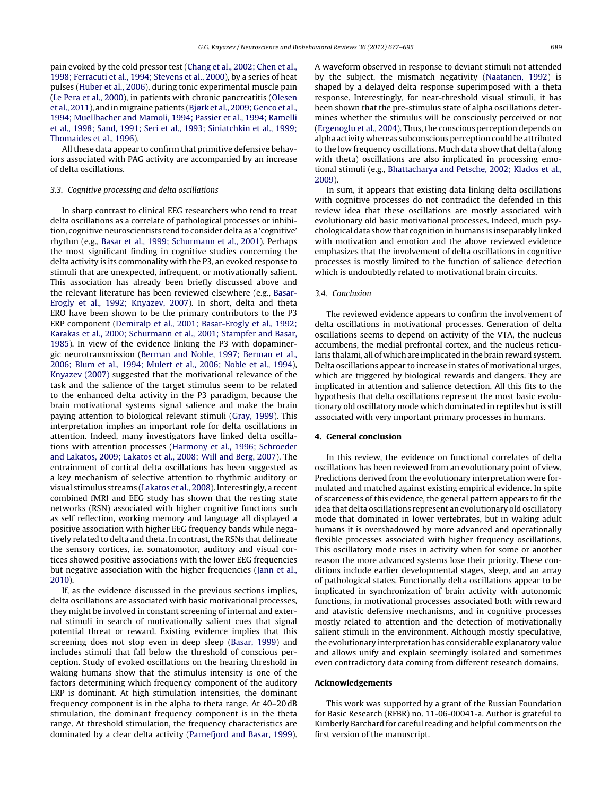pain evoked by the cold pressor test [\(Chang](#page-14-0) et [al.,](#page-14-0) [2002;](#page-14-0) [Chen](#page-14-0) et [al.,](#page-14-0) [1998;](#page-14-0) [Ferracuti](#page-14-0) et [al.,](#page-14-0) [1994;](#page-14-0) [Stevens](#page-14-0) et [al.,](#page-14-0) [2000\),](#page-14-0) by a series of heat pulses [\(Huber](#page-15-0) et [al.,](#page-15-0) [2006\),](#page-15-0) during tonic experimental muscle pain ([Le](#page-16-0) [Pera](#page-16-0) et [al.,](#page-16-0) [2000\),](#page-16-0) in patients with chronic pancreatitis [\(Olesen](#page-16-0) et [al.,](#page-16-0) [2011\),](#page-16-0) and in migraine patients [\(Bjørk](#page-13-0) et [al.,](#page-13-0) [2009;](#page-13-0) [Genco](#page-13-0) et [al.,](#page-13-0) [1994;](#page-13-0) [Muellbacher](#page-13-0) [and](#page-13-0) [Mamoli,](#page-13-0) [1994;](#page-13-0) [Passier](#page-13-0) et [al.,](#page-13-0) [1994;](#page-13-0) [Ramelli](#page-13-0) et [al.,](#page-13-0) [1998;](#page-13-0) [Sand,](#page-13-0) [1991;](#page-13-0) [Seri](#page-13-0) et [al.,](#page-13-0) [1993;](#page-13-0) [Siniatchkin](#page-13-0) et [al.,](#page-13-0) [1999;](#page-13-0) [Thomaides](#page-13-0) et [al.,](#page-13-0) [1996\).](#page-13-0)

All these data appear to confirm that primitive defensive behaviors associated with PAG activity are accompanied by an increase of delta oscillations.

#### 3.3. Cognitive processing and delta oscillations

In sharp contrast to clinical EEG researchers who tend to treat delta oscillations as a correlate of pathological processes or inhibition, cognitive neuroscientists tend to consider delta as a 'cognitive' rhythm (e.g., [Basar](#page-13-0) et [al.,](#page-13-0) [1999;](#page-13-0) [Schurmann](#page-13-0) et [al.,](#page-13-0) [2001\).](#page-13-0) Perhaps the most significant finding in cognitive studies concerning the delta activity is its commonality with the P3, an evoked response to stimuli that are unexpected, infrequent, or motivationally salient. This association has already been briefly discussed above and the relevant literature has been reviewed elsewhere (e.g., [Basar-](#page-13-0)Erogly et [al.,](#page-13-0) [1992;](#page-13-0) [Knyazev,](#page-13-0) [2007\).](#page-13-0) In short, delta and theta ERO have been shown to be the primary contributors to the P3 ERP component ([Demiralp](#page-14-0) et [al.,](#page-14-0) [2001;](#page-14-0) [Basar-Erogly](#page-14-0) et [al.,](#page-14-0) [1992;](#page-14-0) [Karakas](#page-14-0) et [al.,](#page-14-0) [2000;](#page-14-0) [Schurmann](#page-14-0) et [al.,](#page-14-0) [2001;](#page-14-0) [Stampfer](#page-14-0) [and](#page-14-0) [Basar,](#page-14-0) [1985\).](#page-14-0) In view of the evidence linking the P3 with dopaminergic neurotransmission [\(Berman](#page-13-0) [and](#page-13-0) [Noble,](#page-13-0) [1997;](#page-13-0) [Berman](#page-13-0) et [al.,](#page-13-0) [2006;](#page-13-0) [Blum](#page-13-0) et [al.,](#page-13-0) [1994;](#page-13-0) [Mulert](#page-13-0) [et](#page-13-0) [al.,](#page-13-0) [2006;](#page-13-0) [Noble](#page-13-0) et [al.,](#page-13-0) [1994\),](#page-13-0) [Knyazev](#page-15-0) [\(2007\)](#page-15-0) suggested that the motivational relevance of the task and the salience of the target stimulus seem to be related to the enhanced delta activity in the P3 paradigm, because the brain motivational systems signal salience and make the brain paying attention to biological relevant stimuli [\(Gray,](#page-15-0) [1999\).](#page-15-0) This interpretation implies an important role for delta oscillations in attention. Indeed, many investigators have linked delta oscillations with attention processes [\(Harmony](#page-15-0) et [al.,](#page-15-0) [1996;](#page-15-0) [Schroeder](#page-15-0) [and](#page-15-0) [Lakatos,](#page-15-0) [2009;](#page-15-0) [Lakatos](#page-15-0) et [al.,](#page-15-0) [2008;](#page-15-0) [Will](#page-15-0) [and](#page-15-0) [Berg,](#page-15-0) [2007\).](#page-15-0) The entrainment of cortical delta oscillations has been suggested as a key mechanism of selective attention to rhythmic auditory or visual stimulus streams ([Lakatos](#page-16-0) et [al.,](#page-16-0) [2008\).](#page-16-0) Interestingly, a recent combined fMRI and EEG study has shown that the resting state networks (RSN) associated with higher cognitive functions such as self reflection, working memory and language all displayed a positive association with higher EEG frequency bands while negatively related to delta and theta. In contrast, the RSNs that delineate the sensory cortices, i.e. somatomotor, auditory and visual cortices showed positive associations with the lower EEG frequencies but negative association with the higher frequencies [\(Jann](#page-15-0) et [al.,](#page-15-0) [2010\).](#page-15-0)

If, as the evidence discussed in the previous sections implies, delta oscillations are associated with basic motivational processes, they might be involved in constant screening of internal and external stimuli in search of motivationally salient cues that signal potential threat or reward. Existing evidence implies that this screening does not stop even in deep sleep ([Basar,](#page-13-0) [1999\)](#page-13-0) and includes stimuli that fall below the threshold of conscious perception. Study of evoked oscillations on the hearing threshold in waking humans show that the stimulus intensity is one of the factors determining which frequency component of the auditory ERP is dominant. At high stimulation intensities, the dominant frequency component is in the alpha to theta range. At 40–20 dB stimulation, the dominant frequency component is in the theta range. At threshold stimulation, the frequency characteristics are dominated by a clear delta activity [\(Parnefjord](#page-17-0) [and](#page-17-0) [Basar,](#page-17-0) [1999\).](#page-17-0)

A waveform observed in response to deviant stimuli not attended by the subject, the mismatch negativity [\(Naatanen,](#page-16-0) [1992\)](#page-16-0) is shaped by a delayed delta response superimposed with a theta response. Interestingly, for near-threshold visual stimuli, it has been shown that the pre-stimulus state of alpha oscillations determines whether the stimulus will be consciously perceived or not [\(Ergenoglu](#page-14-0) et [al.,](#page-14-0) [2004\).](#page-14-0) Thus, the conscious perception depends on alpha activity whereas subconscious perception could be attributed to the low frequency oscillations. Much data show that delta (along with theta) oscillations are also implicated in processing emotional stimuli (e.g., [Bhattacharya](#page-13-0) [and](#page-13-0) [Petsche,](#page-13-0) [2002;](#page-13-0) [Klados](#page-13-0) et [al.,](#page-13-0) [2009\).](#page-13-0)

In sum, it appears that existing data linking delta oscillations with cognitive processes do not contradict the defended in this review idea that these oscillations are mostly associated with evolutionary old basic motivational processes. Indeed, much psychological data show that cognition in humans is inseparably linked with motivation and emotion and the above reviewed evidence emphasizes that the involvement of delta oscillations in cognitive processes is mostly limited to the function of salience detection which is undoubtedly related to motivational brain circuits.

#### 3.4. Conclusion

The reviewed evidence appears to confirm the involvement of delta oscillations in motivational processes. Generation of delta oscillations seems to depend on activity of the VTA, the nucleus accumbens, the medial prefrontal cortex, and the nucleus reticularis thalami, all of which are implicated in the brain reward system. Delta oscillations appear to increase in states of motivational urges, which are triggered by biological rewards and dangers. They are implicated in attention and salience detection. All this fits to the hypothesis that delta oscillations represent the most basic evolutionary old oscillatory mode which dominated in reptiles but is still associated with very important primary processes in humans.

## **4. General conclusion**

In this review, the evidence on functional correlates of delta oscillations has been reviewed from an evolutionary point of view. Predictions derived from the evolutionary interpretation were formulated and matched against existing empirical evidence. In spite of scarceness of this evidence, the general pattern appears to fit the idea that delta oscillations represent an evolutionary old oscillatory mode that dominated in lower vertebrates, but in waking adult humans it is overshadowed by more advanced and operationally flexible processes associated with higher frequency oscillations. This oscillatory mode rises in activity when for some or another reason the more advanced systems lose their priority. These conditions include earlier developmental stages, sleep, and an array of pathological states. Functionally delta oscillations appear to be implicated in synchronization of brain activity with autonomic functions, in motivational processes associated both with reward and atavistic defensive mechanisms, and in cognitive processes mostly related to attention and the detection of motivationally salient stimuli in the environment. Although mostly speculative, the evolutionary interpretation has considerable explanatory value and allows unify and explain seemingly isolated and sometimes even contradictory data coming from different research domains.

#### **Acknowledgements**

This work was supported by a grant of the Russian Foundation for Basic Research (RFBR) no. 11-06-00041-a. Author is grateful to Kimberly Barchard for careful reading and helpful comments on the first version of the manuscript.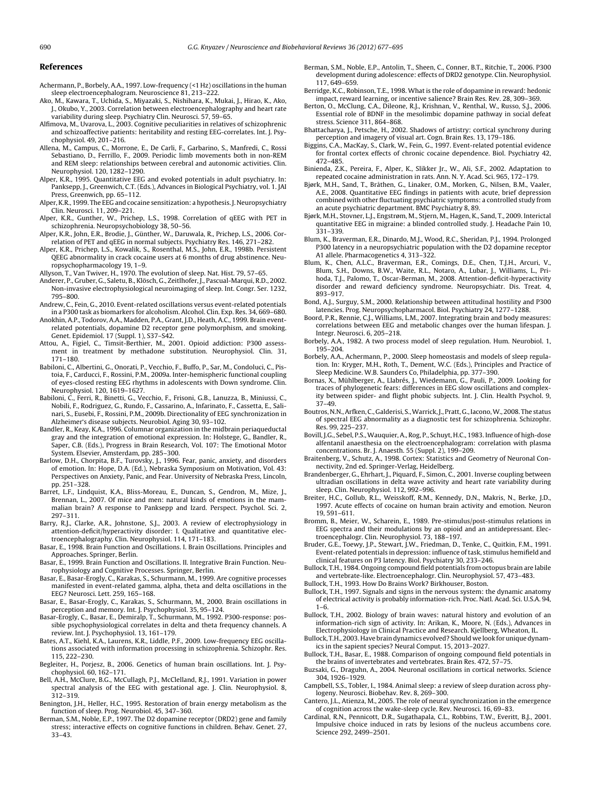#### <span id="page-13-0"></span>**References**

- Achermann, P., Borbely, A.A., 1997. Low-frequency (<1 Hz) oscillations in the human sleep electroencephalogram. Neuroscience 81, 213–222.
- Ako, M., Kawara, T., Uchida, S., Miyazaki, S., Nishihara, K., Mukai, J., Hirao, K., Ako, J., Okubo, Y., 2003. Correlation between electroencephalography and heart rate variability during sleep. Psychiatry Clin. Neurosci. 57, 59–65.
- Alfimova, M., Uvarova, L., 2003. Cognitive peculiarities in relatives of schizophrenic and schizoaffective patients: heritability and resting EEG-correlates. Int. J. Psychophysiol. 49, 201–216.
- Allena, M., Campus, C., Morrone, E., De Carli, F., Garbarino, S., Manfredi, C., Rossi Sebastiano, D., Ferrillo, F., 2009. Periodic limb movements both in non-REM and REM sleep: relationships between cerebral and autonomic activities. Clin. Neurophysiol. 120, 1282–1290.
- Alper, K.R., 1995. Quantitative EEG and evoked potentials in adult psychiatry. In: Panksepp, J., Greenwich, C.T. (Eds.), Advances in Biological Psychiatry, vol. 1. JAI Press, Greenwich, pp. 65–112.
- Alper,K.R., 1999. The EEG and cocaine sensitization: a hypothesis. J. Neuropsychiatry Clin. Neurosci. 11, 209–221.
- Alper, K.R., Gunther, W., Prichep, L.S., 1998. Correlation of qEEG with PET in schizophrenia. Neuropsychobiology 38, 50–56.
- Alper, K.R., John, E.R., Brodie, J., Günther, W., Daruwala, R., Prichep, L.S., 2006. Correlation of PET and qEEG in normal subjects. Psychiatry Res. 146, 271–282.
- Alper, K.R., Prichep, L.S., Kowalik, S., Rosenthal, M.S., John, E.R., 1998b. Persistent QEEG abnormality in crack cocaine users at 6 months of drug abstinence. Neuropsychopharmacology 19, 1–9.
- Allyson, T., Van Twiver, H., 1970. The evolution of sleep. Nat. Hist. 79, 57–65.
- Anderer, P., Gruber, G., Saletu, B., Klösch, G., Zeitlhofer, J., Pascual-Marqui, R.D., 2002. Non-invasive electrophysiological neuroimaging of sleep. Int. Congr. Ser. 1232, 795–800.
- Andrew, C., Fein, G., 2010. Event-related oscillations versus event-related potentials in a P300 task as biomarkers for alcoholism. Alcohol. Clin. Exp. Res. 34, 669–680.
- Anokhin, A.P., Todorov, A.A., Madden, P.A., Grant, J.D., Heath, A.C., 1999. Brain eventrelated potentials, dopamine D2 receptor gene polymorphism, and smoking. Genet. Epidemiol. 17 (Suppl. 1), S37–S42.
- Attou, A., Figiel, C., Timsit-Berthier, M., 2001. Opioid addiction: P300 assessment in treatment by methadone substitution. Neurophysiol. Clin. 31, 171–180.
- Babiloni, C., Albertini, G., Onorati, P., Vecchio, F., Buffo, P., Sar, M., Condoluci, C., Pistoia, F., Carducci, F., Rossini, P.M., 2009a. Inter-hemispheric functional coupling of eyes-closed resting EEG rhythms in adolescents with Down syndrome. Clin. Neurophysiol. 120, 1619–1627.
- Babiloni, C., Ferri, R., Binetti, G., Vecchio, F., Frisoni, G.B., Lanuzza, B., Miniussi, C., Nobili, F., Rodriguez, G., Rundo, F., Cassarino, A., Infarinato, F., Cassetta, E., Salinari, S., Eusebi, F., Rossini, P.M., 2009b. Directionality of EEG synchronization in Alzheimer's disease subjects. Neurobiol. Aging 30, 93–102.
- Bandler, R., Keay, K.A., 1996. Columnar organization in the midbrain periaqueductal gray and the integration of emotional expression. In: Holstege, G., Bandler, R., Saper, C.B. (Eds.), Progress in Brain Research, Vol. 107: The Emotional Motor System. Elsevier, Amsterdam, pp. 285–300.
- Barlow, D.H., Chorpita, B.F., Turovsky, J., 1996. Fear, panic, anxiety, and disorders of emotion. In: Hope, D.A. (Ed.), Nebraska Symposium on Motivation, Vol. 43: Perspectives on Anxiety, Panic, and Fear. University of Nebraska Press, Lincoln, pp. 251–328.
- Barret, L.F., Lindquist, K.A., Bliss-Moreau, E., Duncan, S., Gendron, M., Mize, J., Brennan, L., 2007. Of mice and men: natural kinds of emotions in the mammalian brain? A response to Panksepp and Izard. Perspect. Psychol. Sci. 2, 297–311.
- Barry, R.J., Clarke, A.R., Johnstone, S.J., 2003. A review of electrophysiology in attention-deficit/hyperactivity disorder: I. Qualitative and quantitative electroencephalography. Clin. Neurophysiol. 114, 171–183.
- Basar, E., 1998. Brain Function and Oscillations. I. Brain Oscillations. Principles and Approaches. Springer, Berlin.
- Basar, E., 1999. Brain Function and Oscillations. II. Integrative Brain Function. Neurophysiology and Cognitive Processes. Springer, Berlin.
- Basar, E., Basar-Erogly, C., Karakas, S., Schurmann, M., 1999. Are cognitive processes manifested in event-related gamma, alpha, theta and delta oscillations in the EEG? Neurosci. Lett. 259, 165–168.
- Basar, E., Basar-Erogly, C., Karakas, S., Schurmann, M., 2000. Brain oscillations in perception and memory. Int. J. Psychophysiol. 35, 95–124.
- Basar-Erogly, C., Basar, E., Demiralp, T., Schurmann, M., 1992. P300-response: possible psychophysiological correlates in delta and theta frequency channels. A review. Int. J. Psychophysiol. 13, 161–179.
- Bates, A.T., Kiehl, K.A., Laurens, K.R., Liddle, P.F., 2009. Low-frequency EEG oscillations associated with information processing in schizophrenia. Schizophr. Res. 115, 222–230.
- Begleiter, H., Porjesz, B., 2006. Genetics of human brain oscillations. Int. J. Psychophysiol. 60, 162–171.
- Bell, A.H., McClure, B.G., McCullagh, P.J., McClelland, R.J., 1991. Variation in power spectral analysis of the EEG with gestational age. J. Clin. Neurophysiol. 8, 312–319.
- Benington, J.H., Heller, H.C., 1995. Restoration of brain energy metabolism as the function of sleep. Prog. Neurobiol. 45, 347–360.
- Berman, S.M., Noble, E.P., 1997. The D2 dopamine receptor (DRD2) gene and family stress; interactive effects on cognitive functions in children. Behav. Genet. 27, 33–43.
- Berman, S.M., Noble, E.P., Antolin, T., Sheen, C., Conner, B.T., Ritchie, T., 2006. P300 development during adolescence: effects of DRD2 genotype. Clin. Neurophysiol. 117, 649–659.
- Berridge, K.C., Robinson, T.E., 1998. What is the role of dopamine in reward: hedonic impact, reward learning, or incentive salience? Brain Res. Rev. 28, 309–369.
- Berton, O., McClung, C.A., Dileone, R.J., Krishnan, V., Renthal, W., Russo, S.J., 2006. Essential role of BDNF in the mesolimbic dopamine pathway in social defeat stress. Science 311, 864–868.
- Bhattacharya, J., Petsche, H., 2002. Shadows of artistry: cortical synchrony during perception and imagery of visual art. Cogn. Brain Res. 13, 179–186.
- Biggins, C.A., MacKay, S., Clark, W., Fein, G., 1997. Event-related potential evidence for frontal cortex effects of chronic cocaine dependence. Biol. Psychiatry 42, 472–485.
- Binienda, Z.K., Pereira, F., Alper, K., Slikker Jr., W., Ali, S.F., 2002. Adaptation to repeated cocaine administration in rats. Ann. N. Y. Acad. Sci. 965, 172–179.
- Bjørk, M.H., Sand, T., Bråthen, G., Linaker, O.M., Morken, G., Nilsen, B.M., Vaaler, A.E., 2008. Quantitative EEG findings in patients with acute, brief depression combined with other fluctuating psychiatric symptoms: a controlled study from an acute psychiatric department. BMC Psychiatry 8, 89.
- Bjørk, M.H., Stovner, L.J., Engstrøm, M., Stjern, M., Hagen, K., Sand, T., 2009. Interictal quantitative EEG in migraine: a blinded controlled study. J. Headache Pain 10, 331–339.
- Blum, K., Braverman, E.R., Dinardo, M.J., Wood, R.C., Sheridan, P.J., 1994. Prolonged P300 latency in a neuropsychiatric population with the D2 dopamine receptor A1 allele. Pharmacogenetics 4, 313–322.
- Blum, K., Chen, A.L.C., Braverman, E.R., Comings, D.E., Chen, T.J.H., Arcuri, V., Blum, S.H., Downs, B.W., Waite, R.L., Notaro, A., Lubar, J., Williams, L., Prihoda, T.J., Palomo, T., Oscar-Berman, M., 2008. Attention-deficit-hyperactivity disorder and reward deficiency syndrome. Neuropsychiatr. Dis. Treat. 4, 893–917.
- Bond, A.J., Surguy, S.M., 2000. Relationship between attitudinal hostility and P300 latencies. Prog. Neuropsychopharmacol. Biol. Psychiatry 24, 1277–1288.
- Boord, P.R., Rennie, C.J., Williams, L.M., 2007. Integrating brain and body measures: correlations between EEG and metabolic changes over the human lifespan. J. Integr. Neurosci. 6, 205–218.
- Borbely, A.A., 1982. A two process model of sleep regulation. Hum. Neurobiol. 1, 195–204.
- Borbely, A.A., Achermann, P., 2000. Sleep homeostasis and models of sleep regulation. In: Kryger, M.H., Roth, T., Dement, W.C. (Eds.), Principles and Practice of Sleep Medicine. W.B. Saunders Co, Philadelphia, pp. 377–390.
- Bornas, X., Mühlberger, A., Llabrés, J., Wiedemann, G., Pauli, P., 2009. Looking for traces of phylogenetic fears: differences in EEG slow oscillations and complexity between spider- and flight phobic subjects. Int. J. Clin. Health Psychol. 9, 37–49.
- Boutros, N.N.,Arfken,C., Galderisi, S.,Warrick,J., Pratt, G.,Iacono,W., 2008. The status of spectral EEG abnormality as a diagnostic test for schizophrenia. Schizophr. Res. 99, 225–237.
- Bovill, J.G., Sebel, P.S.,Wauquier, A., Rog, P., Schuyt, H.C., 1983. Influence of high-dose alfentanil anaesthesia on the electroencephalogram: correlation with plasma concentrations. Br. J. Anaesth. 55 (Suppl. 2), 199–209.
- Braitenberg, V., Schutz, A., 1998. Cortex: Statistics and Geometry of Neuronal Con-
- nectivity, 2nd ed. Springer-Verlag, Heidelberg. Brandenberger, G., Ehrhart, J., Piquard, F., Simon, C., 2001. Inverse coupling between ultradian oscillations in delta wave activity and heart rate variability during sleep. Clin. Neurophysiol. 112, 992–996.
- Breiter, H.C., Gollub, R.L., Weisskoff, R.M., Kennedy, D.N., Makris, N., Berke, J.D., 1997. Acute effects of cocaine on human brain activity and emotion. Neuron 19, 591–611.
- Bromm, B., Meier, W., Scharein, E., 1989. Pre-stimulus/post-stimulus relations in EEG spectra and their modulations by an opioid and an antidepressant. Electroencephalogr. Clin. Neurophysiol. 73, 188–197.
- Bruder, G.E., Toewy, J.P., Stewart, J.W., Friedman, D., Tenke, C., Quitkin, F.M., 1991. Event-related potentials in depression: influence of task, stimulus hemifield and clinical features on P3 latency. Biol. Psychiatry 30, 233–246.
- Bullock, T.H., 1984. Ongoing compound field potentials from octopus brain are labile and vertebrate-like. Electroencephalogr. Clin. Neurophysiol. 57, 473–483.
- Bullock, T.H., 1993. How Do Brains Work? Birkhouser, Boston.
- Bullock, T.H., 1997. Signals and signs in the nervous system: the dynamic anatomy of electrical activity is probably information-rich. Proc. Natl. Acad. Sci. U.S.A. 94,  $1 - 6$
- Bullock, T.H., 2002. Biology of brain waves: natural history and evolution of an information-rich sign of activity. In: Arikan, K., Moore, N. (Eds.), Advances in Electrophysiology in Clinical Practice and Research. Kjellberg, Wheaton, IL.
- Bullock, T.H., 2003. Have brain dynamics evolved? Should we look for unique dynamics in the sapient species? Neural Comput. 15, 2013–2027.
- Bullock, T.H., Basar, E., 1988. Comparison of ongoing compound field potentials in the brains of invertebrates and vertebrates. Brain Res. 472, 57–75.
- Buzsaki, G., Draguhn, A., 2004. Neuronal oscillations in cortical networks. Science 304, 1926–1929.
- Campbell, S.S., Tobler, I., 1984. Animal sleep: a review of sleep duration across phylogeny. Neurosci. Biobehav. Rev. 8, 269–300.
- Cantero, J.L., Atienza, M., 2005. The role of neural synchronization in the emergence of cognition across the wake-sleep cycle. Rev. Neurosci. 16, 69–83.
- Cardinal, R.N., Pennicott, D.R., Sugathapala, C.L., Robbins, T.W., Everitt, B.J., 2001. Impulsive choice induced in rats by lesions of the nucleus accumbens core. Science 292, 2499–2501.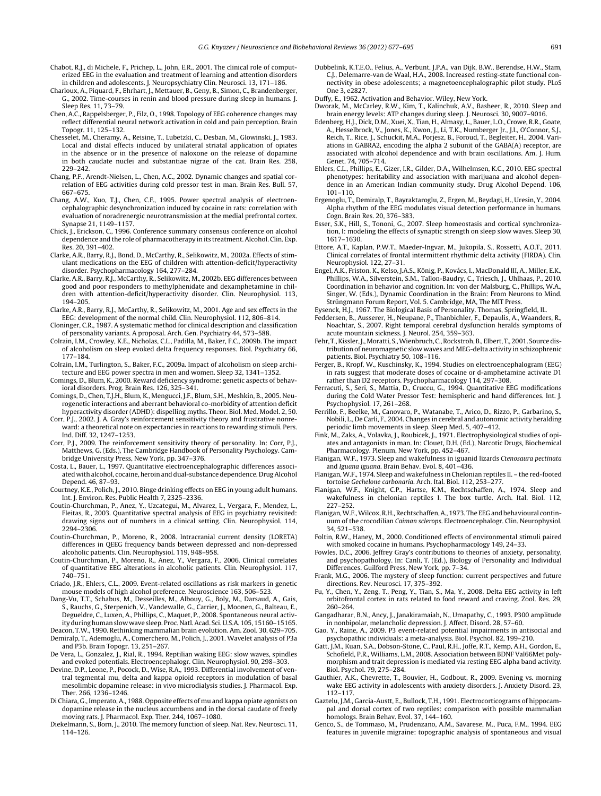- <span id="page-14-0"></span>Chabot, R.J., di Michele, F., Prichep, L., John, E.R., 2001. The clinical role of computerized EEG in the evaluation and treatment of learning and attention disorders in children and adolescents. J. Neuropsychiatry Clin. Neurosci. 13, 171–186.
- Charloux, A., Piquard, F., Ehrhart, J., Mettauer, B., Geny, B., Simon, C., Brandenberger, G., 2002. Time-courses in renin and blood pressure during sleep in humans. J. Sleep Res. 11, 73–79.
- Chen, A.C., Rappelsberger, P., Filz, O., 1998. Topology of EEG coherence changes may reflect differential neural network activation in cold and pain perception. Brain Topogr. 11, 125–132.
- Chesselet, M., Cheramy, A., Reisine, T., Lubetzki, C., Desban, M., Glowinski, J., 1983. Local and distal effects induced by unilateral striatal application of opiates in the absence or in the presence of naloxone on the release of dopamine in both caudate nuclei and substantiae nigrae of the cat. Brain Res. 258, 229–242.
- Chang, P.F., Arendt-Nielsen, L., Chen, A.C., 2002. Dynamic changes and spatial correlation of EEG activities during cold pressor test in man. Brain Res. Bull. 57, 667–675.
- Chang, A.W., Kuo, T.J., Chen, C.F., 1995. Power spectral analysis of electroencephalographic desynchronization induced by cocaine in rats: correlation with evaluation of noradrenergic neurotransmission at the medial prefrontal cortex. Synapse 21, 1149–1157.
- Chick, J., Erickson, C., 1996. Conference summary consensus conference on alcohol dependence and the role of pharmacotherapy in its treatment. Alcohol. Clin. Exp. Res. 20, 391–402.
- Clarke, A.R., Barry, R.J., Bond, D., McCarthy, R., Selikowitz, M., 2002a. Effects of stimulant medications on the EEG of children with attention-deficit/hyperactivity disorder. Psychopharmacology 164, 277–284.
- Clarke, A.R., Barry, R.J., McCarthy, R., Selikowitz, M., 2002b. EEG differences between good and poor responders to methylphenidate and dexamphetamine in children with attention-deficit/hyperactivity disorder. Clin. Neurophysiol. 113, 194–205.
- Clarke, A.R., Barry, R.J., McCarthy, R., Selikowitz, M., 2001. Age and sex effects in the EEG: development of the normal child. Clin. Neurophysiol. 112, 806–814.
- Cloninger, C.R., 1987. A systematic method for clinical description and classification of personality variants. A proposal. Arch. Gen. Psychiatry 44, 573–588.
- Colrain, I.M., Crowley, K.E., Nicholas, C.L., Padilla, M., Baker, F.C., 2009b. The impact of alcoholism on sleep evoked delta frequency responses. Biol. Psychiatry 66, 177–184.
- Colrain, I.M., Turlington, S., Baker, F.C., 2009a. Impact of alcoholism on sleep architecture and EEG power spectra in men and women. Sleep 32, 1341–1352.
- Comings, D., Blum, K., 2000. Reward deficiency syndrome: genetic aspects of behavioral disorders. Prog. Brain Res. 126, 325–341.
- Comings, D., Chen, T.J.H., Blum, K., Mengucci, J.F., Blum, S.H., Meshkin, B., 2005. Neurogenetic interactions and aberrant behavioral co-morbidity of attention deficit hyperactivity disorder (ADHD): dispelling myths. Theor. Biol. Med. Model. 2, 50.
- Corr, P.J., 2002. J. A. Gray's reinforcement sensitivity theory and frustrative nonreward: a theoretical note on expectancies in reactions to rewarding stimuli. Pers. Ind. Diff. 32, 1247–1253.
- Corr, P.J., 2009. The reinforcement sensitivity theory of personality. In: Corr, P.J., Matthews, G. (Eds.), The Cambridge Handbook of Personality Psychology. Cambridge University Press, New York, pp. 347–376.
- Costa, L., Bauer, L., 1997. Quantitative electroencephalographic differences associated with alcohol, cocaine, heroin and dual-substance dependence. DrugAlcohol Depend. 46, 87–93.
- Courtney, K.E., Polich, J., 2010. Binge drinking effects on EEG in young adult humans. Int. J. Environ. Res. Public Health 7, 2325–2336.
- Coutin-Churchman, P., Anez, Y., Uzcategui, M., Alvarez, L., Vergara, F., Mendez, L., Fleitas, R., 2003. Quantitative spectral analysis of EEG in psychiatry revisited: drawing signs out of numbers in a clinical setting. Clin. Neurophysiol. 114, 2294–2306.
- Coutin-Churchman, P., Moreno, R., 2008. Intracranial current density (LORETA) differences in QEEG frequency bands between depressed and non-depressed alcoholic patients. Clin. Neurophysiol. 119, 948–958.
- Coutin-Churchman, P., Moreno, R., Anez, Y., Vergara, F., 2006. Clinical correlates of quantitative EEG alterations in alcoholic patients. Clin. Neurophysiol. 117, 740–751.
- Criado, J.R., Ehlers, C.L., 2009. Event-related oscillations as risk markers in genetic mouse models of high alcohol preference. Neuroscience 163, 506–523.
- Dang-Vu, T.T., Schabus, M., Desseilles, M., Albouy, G., Boly, M., Darsaud, A., Gais, S., Rauchs, G., Sterpenich, V., Vandewalle, G., Carrier, J., Moonen, G., Balteau, E., Degueldre, C., Luxen, A., Phillips, C., Maquet, P., 2008. Spontaneous neural activityduringhumanslow wave sleep. Proc.Natl.Acad. Sci. U.S.A.105,15160–15165.
- Deacon, T.W., 1990. Rethinking mammalian brain evolution. Am. Zool. 30, 629–705. Demiralp, T., Ademoglu, A., Comerchero, M., Polich, J., 2001. Wavelet analysis of P3a
- and P3b. Brain Topogr. 13, 251–267. De Vera, L., Gonzalez, J., Rial, R., 1994. Reptilian waking EEG: slow waves, spindles
- and evoked potentials. Electroencephalogr. Clin. Neurophysiol. 90, 298–303. Devine, D.P., Leone, P., Pocock, D., Wise, R.A., 1993. Differential involvement of ventral tegmental mu, delta and kappa opioid receptors in modulation of basal mesolimbic dopamine release: in vivo microdialysis studies. J. Pharmacol. Exp. Ther. 266, 1236–1246.
- Di Chiara, G., Imperato, A., 1988. Opposite effects of mu and kappa opiate agonists on dopamine release in the nucleus accumbens and in the dorsal caudate of freely moving rats. J. Pharmacol. Exp. Ther. 244, 1067–1080.
- Diekelmann, S., Born, J., 2010. The memory function of sleep. Nat. Rev. Neurosci. 11, 114–126.
- Dubbelink, K.T.E.O., Felius, A., Verbunt, J.P.A., van Dijk, B.W., Berendse, H.W., Stam, C.J., Delemarre-van de Waal, H.A., 2008. Increased resting-state functional connectivity in obese adolescents; a magnetoencephalographic pilot study. PLoS One 3, e2827.
- Duffy, E., 1962. Activation and Behavior. Wiley, New York.
- Dworak, M., McCarley, R.W., Kim, T., Kalinchuk, A.V., Basheer, R., 2010. Sleep and brain energy levels: ATP changes during sleep. J. Neurosci. 30, 9007–9016.
- Edenberg, H.J., Dick, D.M., Xuei, X., Tian, H., Almasy, L., Bauer, L.O., Crowe, R.R., Goate, A., Hesselbrock, V., Jones, K., Kwon, J., Li, T.K., Nurnberger Jr., J.I., O'Connor, S.J., Reich, T., Rice, J., Schuckit, M.A., Porjesz, B., Foroud, T., Begleiter, H., 2004. Variations in GABRA2, encoding the alpha 2 subunit of the GABA(A) receptor, are associated with alcohol dependence and with brain oscillations. Am. J. Hum. Genet. 74, 705–714.
- Ehlers, C.L., Phillips, E., Gizer, I.R., Gilder, D.A., Wilhelmsen, K.C., 2010. EEG spectral phenotypes: heritability and association with marijuana and alcohol dependence in an American Indian community study. Drug Alcohol Depend. 106, 101–110.
- Ergenoglu, T., Demiralp, T., Bayraktaroglu, Z., Ergen, M., Beydagi, H., Uresin, Y., 2004. Alpha rhythm of the EEG modulates visual detection performance in humans. Cogn. Brain Res. 20, 376–383.
- Esser, S.K., Hill, S., Tononi, G., 2007. Sleep homeostasis and cortical synchronization, I: modeling the effects of synaptic strength on sleep slow waves. Sleep 30, 1617–1630.
- Ettore, A.T., Kaplan, P.W.T., Maeder-Ingvar, M., Jukopila, S., Rossetti, A.O.T., 2011. Clinical correlates of frontal intermittent rhythmic delta activity (FIRDA). Clin. Neurophysiol. 122, 27–31.
- Engel, A.K., Friston, K., Kelso, J.A.S., König, P., Kovács, I., MacDonald III, A., Miller, E.K., Phillips, W.A., Silverstein, S.M., Tallon-Baudry, C., Triesch, J., Uhlhaas, P., 2010. Coordination in behavior and cognition. In: von der Malsburg, C., Phillips, W.A., Singer, W. (Eds.), Dynamic Coordination in the Brain: From Neurons to Mind. Strüngmann Forum Report, Vol. 5. Cambridge, MA, The MIT Press.
- Eysenck, H.J., 1967. The Biological Basis of Personality. Thomas, Springfield, IL.
- Feddersen, B., Ausserer, H., Neupane, P., Thanbichler, F., Depaulis, A., Waanders, R., Noachtar, S., 2007. Right temporal cerebral dysfunction heralds symptoms of acute mountain sickness. J. Neurol. 254, 359–363.
- Fehr, T., Kissler, J., Moratti, S., Wienbruch, C., Rockstroh, B., Elbert, T., 2001. Source distribution of neuromagnetic slow waves and MEG-delta activity in schizophrenic patients. Biol. Psychiatry 50, 108–116.
- Ferger, B., Kropf, W., Kuschinsky, K., 1994. Studies on electroencephalogram (EEG) in rats suggest that moderate doses of cocaine or d-amphetamine activate D1 rather than D2 receptors. Psychopharmacology 114, 297–308.
- Ferracuti, S., Seri, S., Mattia, D., Cruccu, G., 1994. Quantitative EEG modifications during the Cold Water Pressor Test: hemispheric and hand differences. Int. J. Psychophysiol. 17, 261–268.
- Ferrillo, F., Beelke, M., Canovaro, P., Watanabe, T., Arico, D., Rizzo, P., Garbarino, S., Nobili, L., De Carli, F., 2004. Changes in cerebral and autonomic activity heralding periodic limb movements in sleep. Sleep Med. 5, 407–412.
- Fink, M., Zaks, A., Volavka, J., Roubicek, J., 1971. Electrophysiological studies of opiates and antagonists in man. In: Clouet, D.H. (Ed.), Narcotic Drugs, Biochemical Pharmacology. Plenum, New York, pp. 452–467.
- Flanigan, W.F., 1973. Sleep and wakefulness in iguanid lizards Ctenosaura pectinata and Iguana iguana. Brain Behav. Evol. 8, 401–436.
- Flanigan, W.F., 1974. Sleep and wakefulness in Chelonian reptiles II. the red-footed tortoise Gechelone carbonaria. Arch. Ital. Biol. 112, 253–277.
- Flanigan, W.F., Knight, C.P., Hartse, K.M., Rechtschaffen, A., 1974. Sleep and wakefulness in chelonian reptiles I. The box turtle. Arch. Ital. Biol. 112, 227–252.
- Flanigan,W.F.,Wilcox,R.H.,Rechtschaffen,A., 1973. The EEG andbehavioural continuum of the crocodilian Caiman sclerops. Electroencephalogr. Clin. Neurophysiol. 34, 521–538.
- Foltin, R.W., Haney, M., 2000. Conditioned effects of environmental stimuli paired with smoked cocaine in humans. Psychopharmacology 149, 24–33.
- Fowles, D.C., 2006. Jeffrey Gray's contributions to theories of anxiety, personality, and psychopathology. In: Canli, T. (Ed.), Biology of Personality and Individual Differences. Guilford Press, New York, pp. 7–34.
- Frank, M.G., 2006. The mystery of sleep function: current perspectives and future directions. Rev. Neurosci. 17, 375–392.
- Fu, Y., Chen, Y., Zeng, T., Peng, Y., Tian, S., Ma, Y., 2008. Delta EEG activity in left orbitofrontal cortex in rats related to food reward and craving. Zool. Res. 29, 260–264.
- Gangadharar, B.N., Ancy, J., Janakiramaiah, N., Umapathy, C., 1993. P300 amplitude in nonbipolar, melancholic depression. J. Affect. Disord. 28, 57–60.
- Gao, Y., Raine, A., 2009. P3 event-related potential impairments in antisocial and psychopathic individuals: a meta-analysis. Biol. Psychol. 82, 199–210.
- Gatt, J.M., Kuan, S.A., Dobson-Stone, C., Paul, R.H., Joffe, R.T., Kemp, A.H., Gordon, E., Schofield, P.R., Williams, L.M., 2008. Association between BDNF Val66Met polymorphism and trait depression is mediated via resting EEG alpha band activity. Biol. Psychol. 79, 275–284.
- Gauthier, A.K., Chevrette, T., Bouvier, H., Godbout, R., 2009. Evening vs. morning wake EEG activity in adolescents with anxiety disorders. J. Anxiety Disord. 23, 112–117.
- Gaztelu, J.M., Garcia-Austt, E., Bullock, T.H., 1991. Electrocorticograms of hippocampal and dorsal cortex of two reptiles: comparison with possible mammalian homologs. Brain Behav. Evol. 37, 144–160.
- Genco, S., de Tommaso, M., Prudenzano, A.M., Savarese, M., Puca, F.M., 1994. EEG features in juvenile migraine: topographic analysis of spontaneous and visual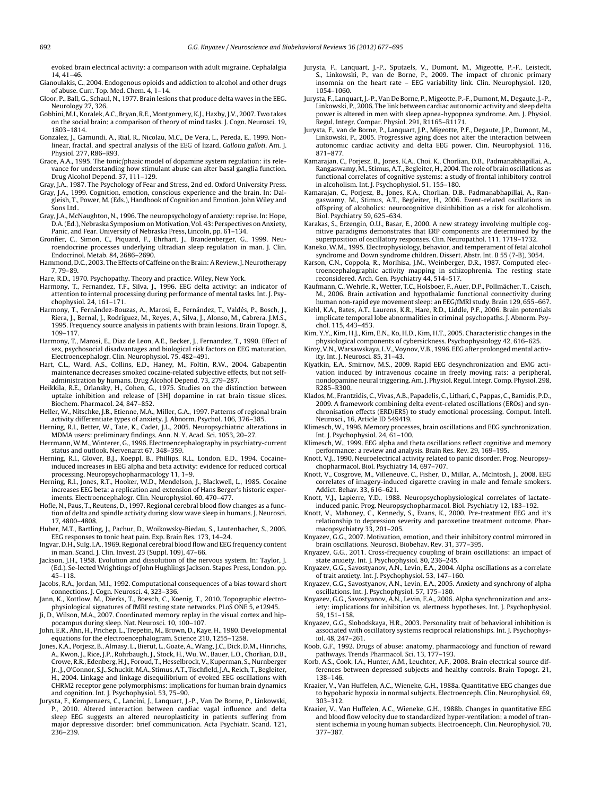<span id="page-15-0"></span>evoked brain electrical activity: a comparison with adult migraine. Cephalalgia 14, 41–46.

- Gianoulakis, C., 2004. Endogenous opioids and addiction to alcohol and other drugs of abuse. Curr. Top. Med. Chem. 4, 1–14.
- Gloor, P., Ball, G., Schaul, N., 1977. Brain lesions that produce delta waves in the EEG. Neurology 27, 326.
- Gobbini, M.I.,Koralek,A.C., Bryan, R.E., Montgomery,K.J., Haxby, J.V., 2007. Two takes on the social brain: a comparison of theory of mind tasks. J. Cogn. Neurosci. 19, 1803–1814.
- Gonzalez, J., Gamundi, A., Rial, R., Nicolau, M.C., De Vera, L., Pereda, E., 1999. Nonlinear, fractal, and spectral analysis of the EEG of lizard, Gallotia galloti. Am. J. Physiol. 277, R86–R93.
- Grace, A.A., 1995. The tonic/phasic model of dopamine system regulation: its relevance for understanding how stimulant abuse can alter basal ganglia function. Drug Alcohol Depend. 37, 111–129.
- Gray, J.A., 1987. The Psychology of Fear and Stress, 2nd ed. Oxford University Press.
- Gray, J.A., 1999. Cognition, emotion, conscious experience and the brain. In: Dalgleish, T., Power, M. (Eds.), Handbook of Cognition and Emotion. John Wiley and Sons Ltd..
- Gray, J.A., McNaughton, N., 1996. The neuropsychology of anxiety: reprise. In: Hope, D.A.(Ed.), Nebraska Symposium on Motivation, Vol. 43: Perspectives on Anxiety, Panic, and Fear. University of Nebraska Press, Lincoln, pp. 61–134.
- Gronfier, C., Simon, C., Piquard, F., Ehrhart, J., Brandenberger, G., 1999. Neuroendocrine processes underlying ultradian sleep regulation in man. J. Clin. Endocrinol. Metab. 84, 2686–2690.
- Hammond, D.C., 2003. The Effects of Caffeine on the Brain: A Review. J. Neurotherapy 7, 79–89.
- Hare, R.D., 1970. Psychopathy. Theory and practice. Wiley, New York.
- Harmony, T., Fernandez, T.F., Silva, J., 1996. EEG delta activity: an indicator of attention to internal processing during performance of mental tasks. Int. J. Psychophysiol. 24, 161–171.
- Harmony, T., Fernández-Bouzas, A., Marosi, E., Fernández, T., Valdés, P., Bosch, J., Riera, J., Bernal, J., Rodríguez, M., Reyes, A., Silva, J., Alonso, M., Cabrera, J.M.S., 1995. Frequency source analysis in patients with brain lesions. Brain Topogr. 8, 109–117.
- Harmony, T., Marosi, E., Diaz de Leon, A.E., Becker, J., Fernandez, T., 1990. Effect of sex, psychosocial disadvantages and biological risk factors on EEG maturation. Electroencephalogr. Clin. Neurophysiol. 75, 482–491.
- Hart, C.L., Ward, A.S., Collins, E.D., Haney, M., Foltin, R.W., 2004. Gabapentin maintenance decreases smoked cocaine-related subjective effects, but not selfadministration by humans. Drug Alcohol Depend. 73, 279–287.
- Heikkila, R.E., Orlansky, H., Cohen, G., 1975. Studies on the distinction between uptake inhibition and release of [3H] dopamine in rat brain tissue slices. Biochem. Pharmacol. 24, 847–852.
- Heller, W., Nitschke, J.B., Etienne, M.A., Miller, G.A., 1997. Patterns of regional brain
- activity differentiate types of anxiety. J. Abnorm. Psychol. 106, 376–385. Herning, R.I., Better, W., Tate, K., Cadet, J.L., 2005. Neuropsychiatric alterations in MDMA users: preliminary findings. Ann. N. Y. Acad. Sci. 1053, 20–27.
- Herrmann, W.M., Winterer, G., 1996. Electroencephalography in psychiatry-current status and outlook. Nervenarzt 67, 348–359.
- Herning, R.I., Glover, B.J., Koeppl, B., Phillips, R.L., London, E.D., 1994. Cocaineinduced increases in EEG alpha and beta activity: evidence for reduced cortical processing. Neuropsychopharmacology 11, 1–9.
- Herning, R.I., Jones, R.T., Hooker, W.D., Mendelson, J., Blackwell, L., 1985. Cocaine increases EEG beta: a replication and extension of Hans Berger's historic experiments. Electroencephalogr. Clin. Neurophysiol. 60, 470–477.
- Hofle, N., Paus, T., Reutens, D., 1997. Regional cerebral blood flow changes as a function of delta and spindle activity during slow wave sleep in humans. J. Neurosci. 17, 4800–4808.
- Huber, M.T., Bartling, J., Pachur, D., Woikowsky-Biedau, S., Lautenbacher, S., 2006. EEG responses to tonic heat pain. Exp. Brain Res. 173, 14–24.
- Ingvar, D.H., Sulg, I.A., 1969. Regional cerebral blood flow and EEG frequency content in man. Scand. J. Clin. Invest. 23 (Suppl. 109), 47–66.
- Jackson, J.H., 1958. Evolution and dissolution of the nervous system. In: Taylor, J. (Ed.), Se-lected Wrightings of John Hughlings Jackson. Stapes Press, London, pp. 45–118.
- Jacobs, R.A., Jordan, M.I., 1992. Computational consequences of a bias toward short connections. J. Cogn. Neurosci. 4, 323–336.
- Jann, K., Kottlow, M., Dierks, T., Boesch, C., Koenig, T., 2010. Topographic electrophysiological signatures of fMRI resting state networks. PLoS ONE 5, e12945.
- Ji, D., Wilson, M.A., 2007. Coordinated memory replay in the visual cortex and hippocampus during sleep. Nat. Neurosci. 10, 100–107.
- John, E.R., Ahn, H., Prichep, L., Trepetin, M., Brown, D., Kaye, H., 1980. Developmental equations for the electroencephalogram. Science 210, 1255–1258.
- Jones, K.A., Porjesz, B., Almasy, L., Bierut, L., Goate, A., Wang, J.C., Dick, D.M., Hinrichs, A., Kwon, J., Rice, J.P., Rohrbaugh, J., Stock, H., Wu, W., Bauer, L.O., Chorlian, D.B., Crowe, R.R., Edenberg, H.J., Foroud, T., Hesselbrock, V., Kuperman, S., Nurnberger Jr., J., O'Connor, S.J., Schuckit, M.A., Stimus, A.T., Tischfield, J.A., Reich, T., Begleiter, 2004. Linkage and linkage disequilibrium of evoked EEG oscillations with CHRM2 receptor gene polymorphisms: implications for human brain dynamics and cognition. Int. J. Psychophysiol. 53, 75–90.
- Jurysta, F., Kempenaers, C., Lancini, J., Lanquart, J.-P., Van De Borne, P., Linkowski, P., 2010. Altered interaction between cardiac vagal influence and delta sleep EEG suggests an altered neuroplasticity in patients suffering from major depressive disorder: brief communication. Acta Psychiatr. Scand. 121, 236–239.
- Jurysta, F., Lanquart, J.-P., Sputaels, V., Dumont, M., Migeotte, P.-F., Leistedt, S., Linkowski, P., van de Borne, P., 2009. The impact of chronic primary insomnia on the heart rate – EEG variability link. Clin. Neurophysiol. 120, 1054–1060.
- Jurysta, F., Lanquart, J.-P.,Van De Borne, P., Migeotte, P.-F., Dumont, M., Degaute, J.-P., Linkowski, P., 2006. The link between cardiac autonomic activity and sleep delta power is altered in men with sleep apnea-hypopnea syndrome. Am. J. Physiol. Regul. Integr. Compar. Physiol. 291, R1165–R1171.
- Jurysta, F., van de Borne, P., Lanquart, J.P., Migeotte, P.F., Degaute, J.P., Dumont, M., Linkowski, P., 2005. Progressive aging does not alter the interaction between autonomic cardiac activity and delta EEG power. Clin. Neurophysiol. 116, 871–877.
- Kamarajan, C., Porjesz, B., Jones, K.A., Choi, K., Chorlian, D.B., Padmanabhapillai, A., Rangaswamy, M., Stimus, A.T., Begleiter, H., 2004. The role of brain oscillations as functional correlates of cognitive systems: a study of frontal inhibitory control in alcoholism. Int. J. Psychophysiol. 51, 155–180.
- Kamarajan, C., Porjesz, B., Jones, K.A., Chorlian, D.B., Padmanabhapillai, A., Rangaswamy, M., Stimus, A.T., Begleiter, H., 2006. Event-related oscillations in offspring of alcoholics: neurocognitive disinhibition as a risk for alcoholism. Biol. Psychiatry 59, 625–634.
- Karakas, S., Erzengin, O.U., Basar, E., 2000. A new strategy involving multiple cognitive paradigms demonstrates that ERP components are determined by the superposition of oscillatory responses. Clin. Neuropathol. 111, 1719–1732.
- Kaneko, W.M., 1995. Electrophysiology, behavior, and temperament of fetal alcohol syndrome and Down syndrome children. Dissert. Abstr. Int. B 55 (7-B), 3054.
- Karson, C.N., Coppola, R., Morihisa, J.M., Weinberger, D.R., 1987. Computed electroencephalographic activity mapping in schizophrenia. The resting state reconsidered. Arch. Gen. Psychiatry 44, 514–517.
- Kaufmann, C., Wehrle, R., Wetter, T.C., Holsboer, F., Auer, D.P., Pollmächer, T., Czisch, M., 2006. Brain activation and hypothalamic functional connectivity during human non-rapid eye movement sleep: an EEG/fMRI study. Brain 129, 655–667.
- Kiehl, K.A., Bates, A.T., Laurens, K.R., Hare, R.D., Liddle, P.F., 2006. Brain potentials implicate temporal lobe abnormalities in criminal psychopaths. J. Abnorm. Psychol. 115, 443–453.
- Kim, Y.Y., Kim, H.J., Kim, E.N., Ko, H.D., Kim, H.T., 2005. Characteristic changes in the physiological components of cybersickness. Psychophysiology 42, 616–625.
- Kiroy, V.N., Warsawskaya, L.V., Voynov, V.B., 1996. EEG after prolonged mental activity. Int. J. Neurosci. 85, 31–43.
- Kiyatkin, E.A., Smirnov, M.S., 2009. Rapid EEG desynchronization and EMG activation induced by intravenous cocaine in freely moving rats: a peripheral, nondopamine neural triggering. Am. J. Physiol. Regul. Integr. Comp. Physiol. 298, R285–R300.
- Klados, M., Frantzidis, C., Vivas, A.B., Papadelis, C., Lithari, C., Pappas, C., Bamidis, P.D., 2009. A framework combining delta event-related oscillations (EROs) and syn-chronisation effects (ERD/ERS) to study emotional processing. Comput. Intell. Neurosci., 16, Article ID 549419.
- Klimesch, W., 1996. Memory processes, brain oscillations and EEG synchronization. Int. J. Psychophysiol. 24, 61–100.
- Klimesch, W., 1999. EEG alpha and theta oscillations reflect cognitive and memory performance: a review and analysis. Brain Res. Rev. 29, 169–195.
- Knott, V.J., 1990. Neuroelectrical activity related to panic disorder. Prog. Neuropsychopharmacol. Biol. Psychiatry 14, 697–707.
- Knott, V., Cosgrove, M., Villeneuve, C., Fisher, D., Millar, A., McIntosh, J., 2008. EEG correlates of imagery-induced cigarette craving in male and female smokers. Addict. Behav. 33, 616–621.
- Knott, V.J., Lapierre, Y.D., 1988. Neuropsychophysiological correlates of lactateinduced panic. Prog. Neuropsychopharmacol. Biol. Psychiatry 12, 183–192.
- Knott, V., Mahoney, C., Kennedy, S., Evans, K., 2000. Pre-treatment EEG and it's relationship to depression severity and paroxetine treatment outcome. Pharmacopsychiatry 33, 201–205.
- Knyazev, G.G., 2007. Motivation, emotion, and their inhibitory control mirrored in brain oscillations. Neurosci. Biobehav. Rev. 31, 377–395.
- Knyazev, G.G., 2011. Cross-frequency coupling of brain oscillations: an impact of state anxiety. Int. J. Psychophysiol. 80, 236–245.
- Knyazev, G.G., Savostyanov, A.N., Levin, E.A., 2004. Alpha oscillations as a correlate of trait anxiety. Int. J. Psychophysiol. 53, 147–160.
- Knyazev, G.G., Savostyanov, A.N., Levin, E.A., 2005. Anxiety and synchrony of alpha oscillations. Int. J. Psychophysiol. 57, 175–180.
- Knyazev, G.G., Savostyanov, A.N., Levin, E.A., 2006. Alpha synchronization and anxiety: implications for inhibition vs. alertness hypotheses. Int. J. Psychophysiol. 59, 151–158.
- Knyazev, G.G., Slobodskaya, H.R., 2003. Personality trait of behavioral inhibition is associated with oscillatory systems reciprocal relationships. Int. J. Psychophysiol. 48, 247–261.
- Koob, G.F., 1992. Drugs of abuse: anatomy, pharmacology and function of reward pathways. Trends Pharmacol. Sci. 13, 177–193.
- Korb, A.S., Cook, I.A., Hunter, A.M., Leuchter, A.F., 2008. Brain electrical source differences between depressed subjects and healthy controls. Brain Topogr. 21, 138–146.
- Kraaier, V., Van Huffelen, A.C., Wieneke, G.H., 1988a. Quantitative EEG changes due to hypobaric hypoxia in normal subjects. Electroenceph. Clin. Neurophysiol. 69, 303–312.
- Kraaier, V., Van Huffelen, A.C., Wieneke, G.H., 1988b. Changes in quantitative EEG and blood flow velocity due to standardized hyper-ventilation; a model of transient ischemia in young human subjects. Electroenceph. Clin. Neurophysiol. 70, 377–387.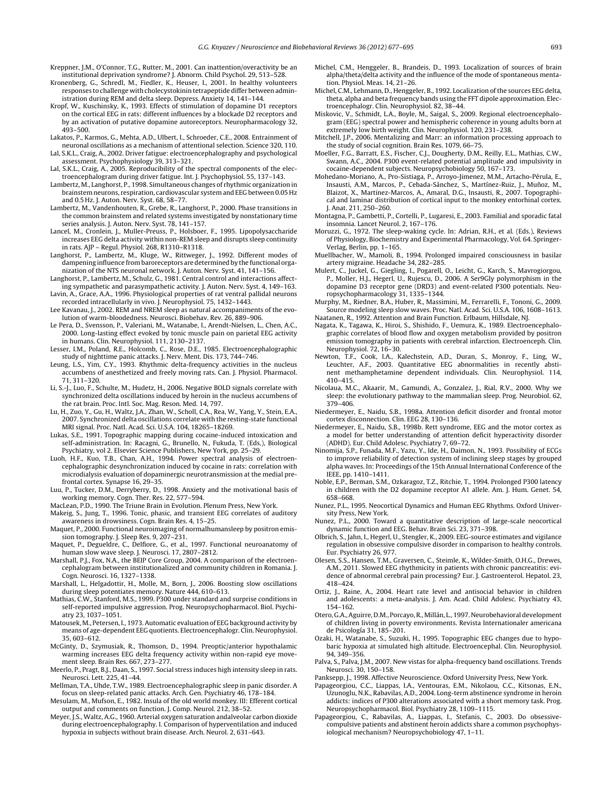<span id="page-16-0"></span>Kreppner, J.M., O'Connor, T.G., Rutter, M., 2001. Can inattention/overactivity be an institutional deprivation syndrome? J. Abnorm. Child Psychol. 29, 513–528.

- Kronenberg, G., Schredl, M., Fiedler, K., Heuser, I., 2001. In healthy volunteers responses to challenge with cholecystokinin tetrapeptide differ between administration during REM and delta sleep. Depress. Anxiety 14, 141–144.
- Kropf, W., Kuschinsky, K., 1993. Effects of stimulation of dopamine D1 receptors on the cortical EEG in rats: different influences by a blockade D2 receptors and by an activation of putative dopamine autoreceptors. Neuropharmacology 32, 493–500.
- Lakatos, P., Karmos, G., Mehta, A.D., Ulbert, I., Schroeder, C.E., 2008. Entrainment of neuronal oscillations as a mechanism of attentional selection. Science 320, 110.
- Lal, S.K.L., Craig, A., 2002. Driver fatigue: electroencephalography and psychological assessment. Psychophysiology 39, 313–321.
- Lal, S.K.L., Craig, A., 2005. Reproducibility of the spectral components of the electroencephalogram during driver fatigue. Int. J. Psychophysiol. 55, 137–143.
- Lambertz, M., Langhorst, P., 1998. Simultaneous changes of rhythmic organization in brainstem neurons, respiration, cardiovascular system and EEG between 0.05 Hz and 0.5 Hz. J. Auton. Nerv. Syst. 68, 58–77.
- Lambertz, M., Vandenhouten, R., Grebe, R., Langhorst, P., 2000. Phase transitions in the common brainstem and related systems investigated by nonstationary time series analysis. J. Auton. Nerv. Syst. 78, 141–157.
- Lancel, M., Cronlein, J., Muller-Preuss, P., Holsboer, F., 1995. Lipopolysaccharide increases EEG delta activity within non-REM sleep and disrupts sleep continuity in rats. AJP – Regul. Physiol. 268, R1310–R1318.
- Langhorst, P., Lambertz, M., Kluge, W., Rittweger, J., 1992. Different modes of dampening influence from baroreceptors are determined by the functional organization of the NTS neuronal network. J. Auton. Nerv. Syst. 41, 141–156.
- Langhorst, P., Lambertz, M., Schulz, G., 1981. Central control and interactions affecting sympathetic and parasympathetic activity. J. Auton. Nerv. Syst. 4, 149–163.
- Lavin, A., Grace, A.A., 1996. Physiological properties of rat ventral pallidal neurons recorded intracellularly in vivo. J. Neurophysiol. 75, 1432–1443.
- Lee Kavanau, J., 2002. REM and NREM sleep as natural accompaniments of the evolution of warm-bloodedness. Neurosci. Biobehav. Rev. 26, 889–906.
- Le Pera, D., Svensson, P., Valeriani, M., Watanabe, I., Arendt-Nielsen, L., Chen, A.C., 2000. Long-lasting effect evoked by tonic muscle pain on parietal EEG activity in humans. Clin. Neurophysiol. 111, 2130–2137.
- Lesser, I.M., Poland, R.E., Holcomb, C., Rose, D.E., 1985. Electroencephalographic study of nighttime panic attacks. J. Nerv. Ment. Dis. 173, 744–746.
- Leung, L.S., Yim, C.Y., 1993. Rhythmic delta-frequency activities in the nucleus accumbens of anesthetized and freely moving rats. Can. J. Physiol. Pharmacol. 71, 311–320.
- Li, S.-J., Luo, F., Schulte, M., Hudetz, H., 2006. Negative BOLD signals correlate with synchronized delta oscillations induced by heroin in the nucleus accumbens of the rat brain. Proc. Intl. Soc. Mag. Reson. Med. 14, 797.
- Lu, H., Zuo, Y., Gu, H., Waltz, J.A., Zhan, W., Scholl, C.A., Rea, W., Yang, Y., Stein, E.A., 2007. Synchronized delta oscillations correlate with the resting-state functional MRI signal. Proc. Natl. Acad. Sci. U.S.A. 104, 18265–18269.
- Lukas, S.E., 1991. Topographic mapping during cocaine-induced intoxication and self-administration. In: Racagni, G., Brunello, N., Fukuda, T. (Eds.), Biological Psychiatry, vol 2. Elsevier Science Publishers, New York, pp. 25–29.
- Luoh, H.F., Kuo, T.B., Chan, A.H., 1994. Power spectral analysis of electroencephalographic desynchronization induced by cocaine in rats: correlation with microdialysis evaluation of dopaminergic neurotransmission at the medial prefrontal cortex. Synapse 16, 29–35.
- Luu, P., Tucker, D.M., Derryberry, D., 1998. Anxiety and the motivational basis of working memory. Cogn. Ther. Res. 22, 577–594.
- MacLean, P.D., 1990. The Triune Brain in Evolution. Plenum Press, New York.
- Makeig, S., Jung, T., 1996. Tonic, phasic, and transient EEG correlates of auditory awareness in drowsiness. Cogn. Brain Res. 4, 15–25.
- Maquet, P., 2000. Functional neuroimaging of normalhumansleep by positron emission tomography. J. Sleep Res. 9, 207–231.
- Maquet, P., Degueldre, C., Delfiore, G., et al., 1997. Functional neuroanatomy of human slow wave sleep. J. Neurosci. 17, 2807–2812.
- Marshall, P.J., Fox, N.A., the BEIP Core Group, 2004. A comparison of the electroencephalogram between institutionalized and community children in Romania. J. Cogn. Neurosci. 16, 1327–1338.
- Marshall, L., Helgadottir, H., Molle, M., Born, J., 2006. Boosting slow oscillations during sleep potentiates memory. Nature 444, 610–613.
- Mathias, C.W., Stanford, M.S., 1999. P300 under standard and surprise conditions in self-reported impulsive aggression. Prog. Neuropsychopharmacol. Biol. Psychiatry 23, 1037–1051.
- Matousek, M., Petersen, I., 1973. Automatic evaluation of EEG background activity by means of age-dependent EEG quotients. Electroencephalogr. Clin. Neurophysiol. 35, 603–612.
- McGinty, D., Szymusiak, R., Thomson, D., 1994. Preoptic/anterior hypothalamic warming increases EEG delta frequency activity within non-rapid eye movement sleep. Brain Res. 667, 273–277.
- Meerlo, P., Pragt, B.J., Daan, S., 1997. Social stress induces high intensity sleep in rats. Neurosci. Lett. 225, 41–44.
- Mellman, T.A., Uhde, T.W., 1989. Electroencephalographic sleep in panic disorder. A focus on sleep-related panic attacks. Arch. Gen. Psychiatry 46, 178–184.
- Mesulam, M., Mufson, E., 1982. Insula of the old world monkey. III: Efferent cortical output and comments on function. J. Comp. Neurol. 212, 38–52.
- Meyer, J.S., Waltz, A.G., 1960. Arterial oxygen saturation andalveolar carbon dioxide during electroencephalography. I. Comparison of hyperventilation and induced hypoxia in subjects without brain disease. Arch. Neurol. 2, 631–643.
- Michel, C.M., Henggeler, B., Brandeis, D., 1993. Localization of sources of brain alpha/theta/delta activity and the influence of the mode of spontaneous mentation. Physiol. Meas. 14, 21–26.
- Michel, C.M., Lehmann, D., Henggeler, B., 1992. Localization of the sources EEG delta, theta, alpha and beta frequency bands using the FFT dipole approximation. Electroencephalogr. Clin. Neurophysiol. 82, 38–44.
- Miskovic, V., Schmidt, L.A., Boyle, M., Saigal, S., 2009. Regional electroencephalogram (EEG) spectral power and hemispheric coherence in young adults born at extremely low birth weight. Clin. Neurophysiol. 120, 231–238.
- Mitchell, J.P., 2006. Mentalizing and Marr: an information processing approach to the study of social cognition. Brain Res. 1079, 66–75.
- Moeller, F.G., Barratt, E.S., Fischer, C.J., Dougherty, D.M., Reilly, E.L., Mathias, C.W., Swann, A.C., 2004. P300 event-related potential amplitude and impulsivity in cocaine-dependent subjects. Neuropsychobiology 50, 167–173.
- Mohedano-Moriano, A., Pro-Sistiaga, P., Arroyo-Jimenez, M.M., Artacho-Pérula, E., Insausti, A.M., Marcos, P., Cebada-Sánchez, S., Martínez-Ruiz, J., Muñoz, M., Blaizot, X., Martinez-Marcos, A., Amaral, D.G., Insausti, R., 2007. Topographical and laminar distribution of cortical input to the monkey entorhinal cortex. J. Anat. 211, 250–260.
- Montagna, P., Gambetti, P., Cortelli, P., Lugaresi, E., 2003. Familial and sporadic fatal insomnia. Lancet Neurol. 2, 167–176.
- Moruzzi, G., 1972. The sleep-waking cycle. In: Adrian, R.H., et al. (Eds.), Reviews of Physiology, Biochemistry and Experimental Pharmacology, Vol. 64. Springer-Verlag, Berlin, pp. 1–165.
- Muellbacher, W., Mamoli, B., 1994. Prolonged impaired consciousness in basilar artery migraine. Headache 34, 282–285.
- Mulert, C., Juckel, G., Giegling, I., Pogarell, O., Leicht, G., Karch, S., Mavrogiorgou, P., Moller, H.J., Hegerl, U., Rujescu, D., 2006. A Ser9Gly polymorphism in the dopamine D3 receptor gene (DRD3) and event-related P300 potentials. Neuropsychopharmacology 31, 1335–1344.
- Murphy, M., Riedner, B.A., Huber, R., Massimini, M., Ferrarelli, F., Tononi, G., 2009. Source modeling sleep slow waves. Proc. Natl. Acad. Sci. U.S.A. 106, 1608–1613. Naatanen, R., 1992. Attention and Brain Function. Erlbaum, Hillsdale, NJ.
- Nagata, K., Tagawa, K., Hiroi, S., Shishido, F., Uemura, K., 1989. Electroencephalographic correlates of blood flow and oxygen metabolism provided by positron emission tomography in patients with cerebral infarction. Electroenceph. Clin. Neurophysiol. 72, 16–30.
- Newton, T.F., Cook, I.A., Kalechstein, A.D., Duran, S., Monroy, F., Ling, W., Leuchter, A.F., 2003. Quantitative EEG abnormalities in recently abstinent methamphetamine dependent individuals. Clin. Neurophysiol. 114, 410–415.
- Nicolaua, M.C., Akaarir, M., Gamundi, A., Gonzalez, J., Rial, R.V., 2000. Why we sleep: the evolutionary pathway to the mammalian sleep. Prog. Neurobiol. 62, 379–406.
- Niedermeyer, E., Naidu, S.B., 1998a. Attention deficit disorder and frontal motor cortex disconnection. Clin. EEG 28, 130–136.
- Niedermeyer, E., Naidu, S.B., 1998b. Rett syndrome, EEG and the motor cortex as a model for better understanding of attention deficit hyperactivity disorder (ADHD). Eur. Child Adolesc. Psychiatry 7, 69–72.
- Ninomija, S.P., Funada, M.F., Yazu, Y., Ide, H., Daimon, N., 1993. Possibility of ECGs to improve reliability of detection system of inclining sleep stages by grouped alpha waves. In: Proceedings of the 15th Annual International Conference of the IEEE, pp. 1410–1411.
- Noble, E.P., Berman, S.M., Ozkaragoz, T.Z., Ritchie, T., 1994. Prolonged P300 latency in children with the D2 dopamine receptor A1 allele. Am. J. Hum. Genet. 54, 658–668.
- Nunez, P.L., 1995. Neocortical Dynamics and Human EEG Rhythms. Oxford University Press, New York.
- Nunez, P.L., 2000. Toward a quantitative description of large-scale neocortical dynamic function and EEG. Behav. Brain Sci. 23, 371–398.
- Olbrich, S., Jahn, I., Hegerl, U., Stengler, K., 2009. EEG-source estimates and vigilance regulation in obsessive compulsive disorder in comparison to healthy controls. Eur. Psychiatry 26, 977.
- Olesen, S.S., Hansen, T.M., Graversen, C., Steimle, K., Wilder-Smith, O.H.G., Drewes, A.M., 2011. Slowed EEG rhythmicity in patients with chronic pancreatitis: evidence of abnormal cerebral pain processing? Eur. J. Gastroenterol. Hepatol. 23, 418–424.
- Ortiz, J., Raine, A., 2004. Heart rate level and antisocial behavior in children and adolescents: a meta-analysis. J. Am. Acad. Child Adolesc. Psychiatry 43, 154–162.
- Otero, G.A.,Aguirre, D.M., Porcayo,R.,Millán, L., 1997. Neurobehavioral development of children living in poverty environments. Revista Internationaler americana de Psicología 31, 185–201.
- Ozaki, H., Watanabe, S., Suzuki, H., 1995. Topographic EEG changes due to hypobaric hypoxia at simulated high altitude. Electroencephal. Clin. Neurophysiol. 94, 349–356.
- Palva, S., Palva, J.M., 2007. New vistas for alpha-frequency band oscillations. Trends Neurosci. 30, 150–158.
- Panksepp, J., 1998. Affective Neuroscience. Oxford University Press, New York.
- Papageorgiou, C.C., Liappas, I.A., Ventouras, E.M., Nikolaou, C.C., Kitsonas, E.N., Uzunoglu, N.K., Rabavilas, A.D., 2004. Long-term abstinence syndrome in heroin addicts: indices of P300 alterations associated with a short memory task. Prog. Neuropsychopharmacol. Biol. Psychiatry 28, 1109–1115.
- Papageorgiou, C., Rabavilas, A., Liappas, I., Stefanis, C., 2003. Do obsessivecompulsive patients and abstinent heroin addicts share a common psychophysiological mechanism? Neuropsychobiology 47, 1–11.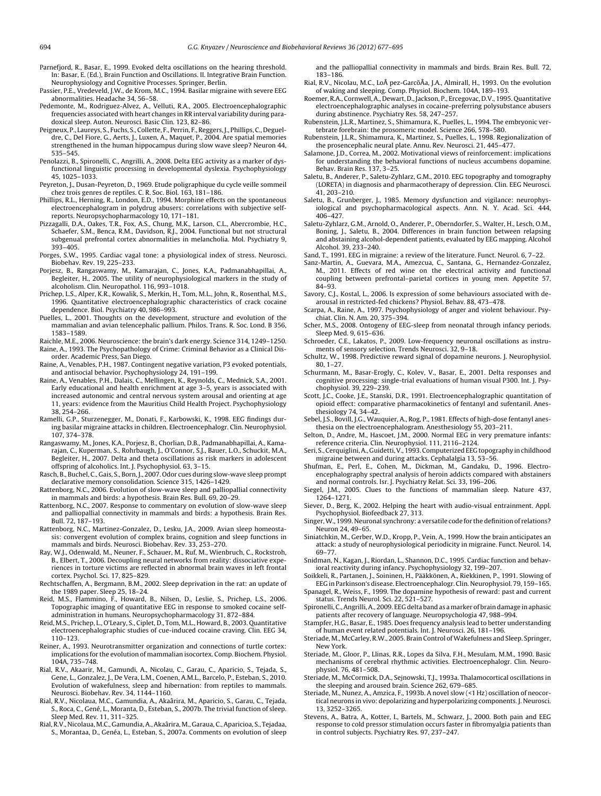<span id="page-17-0"></span>Parnefjord, R., Basar, E., 1999. Evoked delta oscillations on the hearing threshold. In: Basar, E. (Ed.), Brain Function and Oscillations. II. Integrative Brain Function. Neurophysiology and Cognitive Processes. Springer, Berlin.

Passier, P.E., Vredeveld, J.W., de Krom, M.C., 1994. Basilar migraine with severe EEG abnormalities. Headache 34, 56–58.

- Pedemonte, M., Rodriguez-Alvez, A., Velluti, R.A., 2005. Electroencephalographic frequencies associated with heart changes in RR interval variability during paradoxical sleep. Auton. Neurosci. Basic Clin. 123, 82–86.
- Peigneux, P., Laureys, S., Fuchs, S., Collette, F., Perrin, F., Reggers, J., Phillips, C., Degueldre, C., Del Fiore, G., Aerts, J., Luxen, A., Maquet, P., 2004. Are spatial memories strengthened in the human hippocampus during slow wave sleep? Neuron 44, 535–545.
- Penolazzi, B., Spironelli, C., Angrilli, A., 2008. Delta EEG activity as a marker of dysfunctional linguistic processing in developmental dyslexia. Psychophysiology 45, 1025–1033.
- Peyreton, J., Dusan-Peyreton, D., 1969. Etude poligraphique du cycle veille sommeil chez trois genres de reptiles. C. R. Soc. Biol. 163, 181–186.
- Phillips, R.L., Herning, R., London, E.D., 1994. Morphine effects on the spontaneous electroencephalogram in polydrug abusers: correlations with subjective selfreports. Neuropsychopharmacology 10, 171–181.
- Pizzagalli, D.A., Oakes, T.R., Fox, A.S., Chung, M.K., Larson, C.L., Abercrombie, H.C., Schaefer, S.M., Benca, R.M., Davidson, R.J., 2004. Functional but not structural subgenual prefrontal cortex abnormalities in melancholia. Mol. Psychiatry 9, 393–405.
- Porges, S.W., 1995. Cardiac vagal tone: a physiological index of stress. Neurosci. Biobehav. Rev. 19, 225–233.
- Porjesz, B., Rangaswamy, M., Kamarajan, C., Jones, K.A., Padmanabhapillai, A., Begleiter, H., 2005. The utility of neurophysiological markers in the study of alcoholism. Clin. Neuropathol. 116, 993–1018.
- Prichep, L.S., Alper, K.R., Kowalik, S., Merkin, H., Tom, M.L., John, R., Rosenthal, M.S., 1996. Quantitative electroencephalographic characteristics of crack cocaine dependence. Biol. Psychiatry 40, 986–993.
- Puelles, L., 2001. Thoughts on the development, structure and evolution of the mammalian and avian telencephalic pallium. Philos. Trans. R. Soc. Lond. B 356, 1583–1589.
- Raichle, M.E., 2006. Neuroscience: the brain's dark energy. Science 314, 1249–1250. Raine, A., 1993. The Psychopathology of Crime: Criminal Behavior as a Clinical Dis-
- order. Academic Press, San Diego. Raine, A., Venables, P.H., 1987. Contingent negative variation, P3 evoked potentials,
- and antisocial behavior. Psychophysiology 24, 191–199. Raine, A., Venables, P.H., Dalais, C., Mellingen, K., Reynolds, C., Mednick, S.A., 2001. Early educational and health enrichment at age 3–5, years is associated with increased autonomic and central nervous system arousal and orienting at age 11, years: evidence from the Mauritius Child Health Project. Psychophysiology
- 38, 254–266. Ramelli, G.P., Sturzenegger, M., Donati, F., Karbowski, K., 1998. EEG findings dur-
- ing basilar migraine attacks in children. Electroencephalogr. Clin. Neurophysiol. 107, 374–378.
- Rangaswamy, M., Jones, K.A., Porjesz, B., Chorlian, D.B., Padmanabhapillai, A., Kamarajan, C., Kuperman, S., Rohrbaugh, J., O'Connor, S.J., Bauer, L.O., Schuckit, M.A., Begleiter, H., 2007. Delta and theta oscillations as risk markers in adolescent offspring of alcoholics. Int. J. Psychophysiol. 63, 3–15.
- Rasch, B., Buchel, C., Gais, S., Born, J., 2007. Odor cues during slow-wave sleep prompt declarative memory consolidation. Science 315, 1426–1429.
- Rattenborg, N.C., 2006. Evolution of slow-wave sleep and palliopallial connectivity in mammals and birds: a hypothesis. Brain Res. Bull. 69, 20–29.
- Rattenborg, N.C., 2007. Response to commentary on evolution of slow-wave sleep and palliopallial connectivity in mammals and birds: a hypothesis. Brain Res. Bull. 72, 187–193.
- Rattenborg, N.C., Martinez-Gonzalez, D., Lesku, J.A., 2009. Avian sleep homeostasis: convergent evolution of complex brains, cognition and sleep functions in mammals and birds. Neurosci. Biobehav. Rev. 33, 253–270.
- Ray, W.J., Odenwald, M., Neuner, F., Schauer, M., Ruf, M., Wienbruch, C., Rockstroh, B., Elbert, T., 2006. Decoupling neural networks from reality: dissociative experiences in torture victims are reflected in abnormal brain waves in left frontal cortex. Psychol. Sci. 17, 825–829.
- Rechtschaffen, A., Bergmann, B.M., 2002. Sleep deprivation in the rat: an update of the 1989 paper. Sleep 25, 18–24.
- Reid, M.S., Flammino, F., Howard, B., Nilsen, D., Leslie, S., Prichep, L.S., 2006. Topographic imaging of quantitative EEG in response to smoked cocaine selfadministration in humans. Neuropsychopharmacology 31, 872–884.
- Reid, M.S., Prichep, L., O'Leary, S., Ciplet, D., Tom, M.L., Howard, B., 2003. Quantitative electroencephalographic studies of cue-induced cocaine craving. Clin. EEG 34, 110–123.
- Reiner, A., 1993. Neurotransmitter organization and connections of turtle cortex: implications for the evolution of mammalian isocortex. Comp. Biochem. Physiol. 104A, 735–748.
- Rial, R.V., Akaarir, M., Gamundi, A., Nicolau, C., Garau, C., Aparicio, S., Tejada, S., Gene, L., Gonzalez, J., De Vera, L.M., Coenen, A.M.L., Barcelo, P., Esteban, S., 2010. Evolution of wakefulness, sleep and hibernation: from reptiles to mammals. Neurosci. Biobehav. Rev. 34, 1144–1160.
- Rial, R.V., Nicolaua, M.C., Gamundia, A., Akaârira, M., Aparicio, S., Garau, C., Tejada, S., Roca, C., Gené, L., Moranta, D., Esteban, S., 2007b. The trivial function of sleep. Sleep Med. Rev. 11, 311–325.
- Rial, R.V., Nicolaua, M.C., Gamundia,A.,Akaârira, M., Garaua, C.,Aparicioa, S., Tejadaa, S., Morantaa, D., Genéa, L., Esteban, S., 2007a. Comments on evolution of sleep

and the palliopallial connectivity in mammals and birds. Brain Res. Bull. 72, 183–186.

- Rial, R.V., Nicolau, M.C., LoÂ pez-GarcõÂa, J.A., Almirall, H., 1993. On the evolution of waking and sleeping. Comp. Physiol. Biochem. 104A, 189–193.
- Roemer, R.A., Cornwell,A., Dewart, D., Jackson, P., Ercegovac, D.V., 1995. Quantitative electroencephalographic analyses in cocaine-preferring polysubstance abusers during abstinence. Psychiatry Res. 58, 247–257.
- Rubenstein, J.L.R., Martinez, S., Shimamura, K., Puelles, L., 1994. The embryonic vertebrate forebrain: the prosomeric model. Science 266, 578–580.
- Rubenstein, J.L.R., Shimamura, K., Martinez, S., Puelles, L., 1998. Regionalization of the prosencephalic neural plate. Annu. Rev. Neurosci. 21, 445–477.
- Salamone, J.D., Correa, M., 2002. Motivational views of reinforcement: implications for understanding the behavioral functions of nucleus accumbens dopamine. Behav. Brain Res. 137, 3–25.
- Saletu, B., Anderer, P., Saletu-Zyhlarz, G.M., 2010. EEG topography and tomography (LORETA) in diagnosis and pharmacotherapy of depression. Clin. EEG Neurosci. 41, 203–210.
- Saletu, B., Grunberger, J., 1985. Memory dysfunction and vigilance: neurophysiological and psychopharmacological aspects. Ann. N. Y. Acad. Sci. 444, 406–427.
- Saletu-Zyhlarz, G.M., Arnold, O., Anderer, P., Oberndorfer, S., Walter, H., Lesch, O.M., Boning, J., Saletu, B., 2004. Differences in brain function between relapsing and abstaining alcohol-dependent patients, evaluated by EEG mapping. Alcohol Alcohol. 39, 233–240.
- Sand, T., 1991. EEG in migraine: a review of the literature. Funct. Neurol. 6, 7–22.
- Sanz-Martin, A., Guevara, M.A., Amezcua, C., Santana, G., Hernandez-Gonzalez, M., 2011. Effects of red wine on the electrical activity and functional coupling between prefrontal–parietal cortices in young men. Appetite 57, 84–93.
- Savory, C.J., Kostal, L., 2006. Is expression of some behaviours associated with dearousal in restricted-fed chickens? Physiol. Behav. 88, 473–478.
- Scarpa, A., Raine, A., 1997. Psychophysiology of anger and violent behaviour. Psychiat. Clin. N. Am. 20, 375–394.
- Scher, M.S., 2008. Ontogeny of EEG-sleep from neonatal through infancy periods. Sleep Med. 9, 615–636.
- Schroeder, C.E., Lakatos, P., 2009. Low-frequency neuronal oscillations as instruments of sensory selection. Trends Neurosci. 32, 9–18.
- Schultz, W., 1998. Predictive reward signal of dopamine neurons. J. Neurophysiol. 80, 1–27.
- Schurmann, M., Basar-Erogly, C., Kolev, V., Basar, E., 2001. Delta responses and cognitive processing: single-trial evaluations of human visual P300. Int. J. Psychophysiol. 39, 229–239.
- Scott, J.C., Cooke, J.E., Stanski, D.R., 1991. Electroencephalographic quantitation of opioid effect: comparative pharmacokinetics of fentanyl and sufentanil. Anesthesiology 74, 34–42.
- Sebel, J.S., Bovill, J.G., Wauquier, A., Rog, P., 1981. Effects of high-dose fentanyl anes-thesia on the electroencephalogram. Anesthesiology 55, 203–211.
- Selton, D., Andre, M., Hascoet, J.M., 2000. Normal EEG in very premature infants: reference criteria. Clin. Neurophysiol. 111, 2116–2124.
- Seri, S., Cerquiglini, A., Guidetti, V., 1993. Computerized EEG topography in childhood migraine between and during attacks. Cephalalgia 13, 53–56.
- Shufman, E., Perl, E., Cohen, M., Dickman, M., Gandaku, D., 1996. Electroencephalography spectral analysis of heroin addicts compared with abstainers and normal controls. Isr. J. Psychiatry Relat. Sci. 33, 196–206.
- Siegel, J.M., 2005. Clues to the functions of mammalian sleep. Nature 437, 1264–1271.
- Siever, D., Berg, K., 2002. Helping the heart with audio-visual entrainment. Appl. Psychophysiol. Biofeedback 27, 313.
- Singer,W., 1999. Neuronal synchrony: a versatile code for the definition of relations? Neuron 24, 49–65.
- Siniatchkin, M., Gerber, W.D., Kropp, P., Vein, A., 1999. How the brain anticipates an attack: a study of neurophysiological periodicity in migraine. Funct. Neurol. 14, 69–77.
- Snidman, N., Kagan, J., Riordan, L., Shannon, D.C., 1995. Cardiac function and behavioral reactivity during infancy. Psychophysiology 32, 199–207.
- Soikkeli, R., Partanen, J., Soininen, H., Pääkkönen, A., Riekkinen, P., 1991. Slowing of EEG in Parkinson's disease. Electroencephalogr. Clin. Neurophysiol. 79, 159–165.
- Spanagel, R., Weiss, F., 1999. The dopamine hypothesis of reward: past and current status. Trends Neurol. Sci. 22, 521–527.
- Spironelli, C.,Angrilli,A., 2009. EEG delta band as amarker of brain damage in aphasic patients after recovery of language. Neuropsychologia 47, 988–994.
- Stampfer, H.G., Basar, E., 1985. Does frequency analysis lead to better understanding of human event related potentials. Int. J. Neurosci. 26, 181–196.
- Steriade, M., McCarley, R.W., 2005. Brain Control of Wakefulness and Sleep. Springer, New York.
- Steriade, M., Gloor, P., Llinas, R.R., Lopes da Silva, F.H., Mesulam, M.M., 1990. Basic mechanisms of cerebral rhythmic activities. Electroencephalogr. Clin. Neurophysiol. 76, 481–508.
- Steriade, M., McCormick, D.A., Sejnowski, T.J., 1993a. Thalamocortical oscillations in the sleeping and aroused brain. Science 262, 679–685.
- Steriade, M., Nunez, A., Amzica, F., 1993b. A novel slow (<1 Hz) oscillation of neocortical neurons in vivo: depolarizing and hyperpolarizing components. J. Neurosci. 13, 3252–3265.
- Stevens, A., Batra, A., Kotter, I., Bartels, M., Schwarz, J., 2000. Both pain and EEG response to cold pressor stimulation occurs faster in fibromyalgia patients than in control subjects. Psychiatry Res. 97, 237–247.